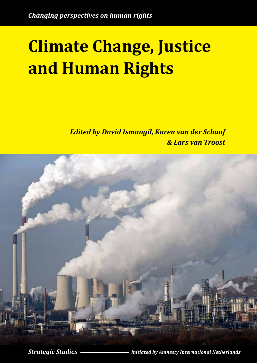# **Climate Change, Justice and Human Rights**

*Edited by David Ismangil, Karen van der Schaaf & Lars van Troost*



**Strategic Studies**  *Christed by Amnesty International Netherlands*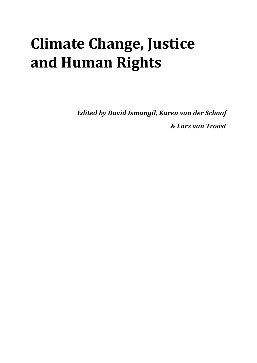## **Climate Change, Justice and Human Rights**

*Edited by David Ismangil, Karen van der Schaaf*

*& Lars van Troost*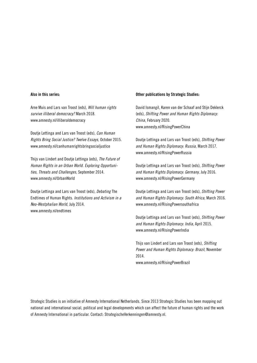#### Also in this series:

Arne Muis and Lars van Troost (eds), *Will human rights survive illiberal democracy?* March 2018. [www.amnesty.nl/illiberaldemocracy](http://www.amnesty.nl/illiberaldemocracy)

Doutje Lettinga and Lars van Troost (eds), *Can Human Rights Bring Social Justice? Twelve Essays*, October 2015. [www.amnesty.nl/canhumanrightsbringsocialjustice](http://www.amnesty.nl/canhumanrightsbringsocialjustice)

Thijs van Lindert and Doutje Lettinga (eds), *The Future of Human Rights in an Urban World. Exploring Opportunities, Threats and Challenges*, September 2014. [www.amnesty.nl/UrbanWorld](http://www.amnesty.nl/UrbanWorld)

Doutje Lettinga and Lars van Troost (eds), *Debating* The Endtimes of Human Rights. *Institutions and Activism in a Neo-Westphalian World*, July 2014. [www.amnesty.nl/endtimes](http://www.amnesty.nl/endtimes)

#### Other publications by Strategic Studies:

David Ismangil, Karen van der Schaaf and Stijn Deklerck (eds), *Shifting Power and Human Rights Diplomacy: China*, February 2020. [www.amnesty.nl/RisingPowerChina](http://www.amnesty.nl/RisingPowerChina) 

Doutje Lettinga and Lars van Troost (eds), *Shifting Power and Human Rights Diplomacy: Russia*, March 2017. [www.amnesty.nl/RisingPowerRussia](http://www.amnesty.nl/RisingPowerRussia)

Doutje Lettinga and Lars van Troost (eds), *Shifting Power and Human Rights Diplomacy: Germany*, July 2016. [www.amnesty.nl/RisingPowerGermany](http://www.amnesty.nl/RisingPowerGermany)

Doutje Lettinga and Lars van Troost (eds), *Shifting Power and Human Rights Diplomacy: South Africa*, March 2016. [www.amnesty.nl/RisingPowersouthafrica](http://www.amnesty.nl/RisingPowersouthafrica)

Doutje Lettinga and Lars van Troost (eds), *Shifting Power and Human Rights Diplomacy: India*, April 2015. [www.amnesty.nl/RisingPowerIndia](http://www.amnesty.nl/RisingPowerIndia)

Thijs van Lindert and Lars van Troost (eds), *Shifting Power and Human Rights Diplomacy: Brazil*, November 2014.

[www.amnesty.nl/RisingPowerBrazil](http://www.amnesty.nl/RisingPowerBrazil)

Strategic Studies is an initiative of Amnesty International Netherlands. Since 2013 Strategic Studies has been mapping out national and international social, political and legal developments which can affect the future of human rights and the work of Amnesty International in particular. Contact: [StrategischeVerkenningen@amnesty.nl.](mailto:www.amnesty.nl/endtimes?subject=)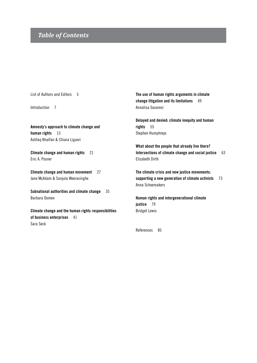## *Table of Contents*

List of Authors and Editors 5

Introduction 7

Amnesty's approach to climate change and human rights 13 Ashfaq Khalfan & Chiara Liguori

Climate change and human rights 21 Eric A. Posner

Climate change and human movement 27 Jane McAdam & Sanjula Weerasinghe

Subnational authorities and climate change 35 Barbara Oomen

Climate change and the human rights responsibilities of business enterprises 41 Sara Seck

The use of human rights arguments in climate change litigation and its limitations 49 Annalisa Savaresi

Delayed and denied: climate inequity and human rights 55 Stephen Humphreys

What about the people that already live there? Intersections of climate change and social justice 63 Elizabeth Dirth

The climate crisis and new justice movements: supporting a new generation of climate activists 73 Anna Schoemakers

Human rights and intergenerational climate justice 79 Bridget Lewis

References 85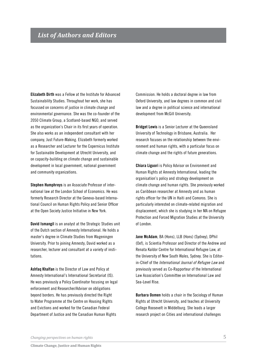### *List of Authors and Editors*

Elizabeth Dirth was a Fellow at the Institute for Advanced Sustainability Studies. Throughout her work, she has focussed on concerns of justice in climate change and environmental governance. She was the co-founder of the 2050 Climate Group, a Scotland-based NGO, and served as the organization's Chair in its first years of operation. She also works as an independent consultant with her company, Just Future-Making. Elizabeth formerly worked as a Researcher and Lecturer for the Copernicus Institute for Sustainable Development at Utrecht University, and on capacity-building on climate change and sustainable development in local government, national government and community organizations.

Stephen Humphreys is an Associate Professor of international law at the London School of Economics. He was formerly Research Director at the Geneva-based International Council on Human Rights Policy and Senior Officer at the Open Society Justice Initiative in New York.

David Ismangil is an analyst at the Strategic Studies unit of the Dutch section of Amnesty International. He holds a master's degree in Climate Studies from Wageningen University. Prior to joining Amnesty, David worked as a researcher, lecturer and consultant at a variety of institutions.

Ashfaq Khalfan is the Director of Law and Policy at Amnesty International's International Secretariat (IS). He was previously a Policy Coordinator focusing on legal enforcement and Researcher/Adviser on obligations beyond borders. He has previously directed the Right to Water Programme at the Centre on Housing Rights and Evictions and worked for the Canadian Federal Department of Justice and the Canadian Human Rights

Commission. He holds a doctoral degree in law from Oxford University, and law degrees in common and civil law and a degree in political science and international development from McGill University.

**Bridget Lewis** is a Senior Lecturer at the Queensland University of Technology in Brisbane, Australia. Her research focuses on the relationship between the environment and human rights, with a particular focus on climate change and the rights of future generations.

Chiara Liguori is Policy Advisor on Environment and Human Rights at Amnesty International, leading the organisation's policy and strategy development on climate change and human rights. She previously worked as Caribbean researcher at Amnesty and as human rights officer for the UN in Haiti and Comoros. She is particularly interested on climate-related migration and displacement, which she is studying in her MA on Refugee Protection and Forced Migration Studies at the University of London.

Jane McAdam, BA (Hons), LLB (Hons) (Sydney), DPhil (Oxf), is Scientia Professor and Director of the Andrew and Renata Kaldor Centre for International Refugee Law, at the University of New South Wales, Sydney. She is Editorin-Chief of the *International Journal of Refugee Law* and previously served as Co-Rapporteur of the International Law Association's Committee on International Law and Sea-Level Rise.

Barbara Oomen holds a chair in the Sociology of Human Rights at Utrecht University, and teaches at University College Roosevelt in Middelburg. She leads a larger research project on Cities and international challenges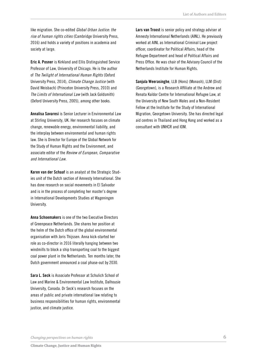like migration. She co-edited *Global Urban Justice: the rise of human rights cities* (Cambridge University Press, 2016) and holds a variety of positions in academia and society at large.

Eric A. Posner is Kirkland and Ellis Distinguished Service Professor of Law, University of Chicago. He is the author of *The Twilight of International Human Rights* (Oxford University Press, 2014), *Climate Change Justice* (with David Weisbach) (Princeton University Press, 2010) and *The Limits of International Law* (with Jack Goldsmith) (Oxford University Press, 2005), among other books.

Annalisa Savaresi is Senior Lecturer in Environmental Law at Stirling University, UK. Her research focuses on climate change, renewable energy, environmental liability, and the interplay between environmental and human rights law. She is Director for Europe of the Global Network for the Study of Human Rights and the Environment, and associate editor of the *Review of European, Comparative and International Law*.

Karen van der Schaaf is an analyst at the Strategic Studies unit of the Dutch section of Amnesty International. She has done research on social movements in El Salvador and is in the process of completing her master's degree in International Developments Studies at Wageningen University.

Anna Schoemakers is one of the two Executive Directors of Greenpeace Netherlands. She shares her position at the helm of the Dutch office of the global environmental organisation with Joris Thijssen. Anna kick-started her role as co-director in 2016 literally hanging between two windmills to block a ship transporting coal to the biggest coal power plant in the Netherlands. Ten months later, the Dutch government announced a coal phase-out by 2030.

Sara L. Seck is Associate Professor at Schulich School of Law and Marine & Environmental Law Institute, Dalhousie University, Canada. Dr Seck's research focuses on the areas of public and private international law relating to business responsibilities for human rights, environmental justice, and climate justice.

Lars van Troost is senior policy and strategy adviser at Amnesty International Netherlands (AINL). He previously worked at AINL as International Criminal Law project officer, coordinator for Political Affairs, head of the Refugee Department and head of Political Affairs and Press Office. He was chair of the Advisory Council of the Netherlands Institute for Human Rights.

Sanjula Weerasinghe, LLB (Hons) (Monash), LLM (Dist) (Georgetown), is a Research Affiliate at the Andrew and Renata Kaldor Centre for International Refugee Law, at the University of New South Wales and a Non-Resident Fellow at the Institute for the Study of International Migration, Georgetown University. She has directed legal aid centres in Thailand and Hong Kong and worked as a consultant with UNHCR and IOM.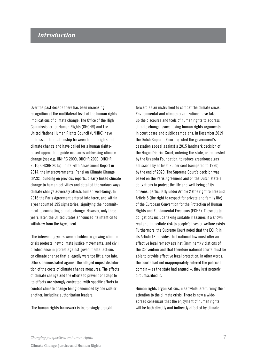#### *Introduction*

Over the past decade there has been increasing recognition at the multilateral level of the human rights implications of climate change. The Office of the High Commissioner for Human Rights (OHCHR) and the United Nations Human Rights Council (UNHRC) have addressed the relationship between human rights and climate change and have called for a human rightsbased approach to guide measures addressing climate change (see e.g. UNHRC 2009; OHCHR 2009; OHCHR 2010; OHCHR 2015). In its Fifth Assessment Report in 2014, the Intergovernmental Panel on Climate Change (IPCC), building on previous reports, clearly linked climate change to human activities and detailed the various ways climate change adversely affects human well-being. In 2016 the Paris Agreement entered into force, and within a year counted 195 signatories, signifying their commitment to combating climate change. However, only three years later, the United States announced its intention to withdraw from the Agreement.

 The intervening years were beholden to growing climate crisis protests, new climate justice movements, and civil disobedience in protest against governmental actions on climate change that allegedly were too little, too late. Others demonstrated against the alleged unjust distribution of the costs of climate change measures. The effects of climate change and the efforts to prevent or adapt to its effects are strongly contested, with specific efforts to combat climate change being denounced by one side or another, including authoritarian leaders.

The human rights framework is increasingly brought

forward as an instrument to combat the climate crisis. Environmental and climate organizations have taken up the discourse and tools of human rights to address climate change issues, using human rights arguments in court cases and public campaigns. In December 2019 the Dutch Supreme Court rejected the government's cassation appeal against a 2015 landmark decision of the Hague District Court, ordering the state, as requested by the Urgenda Foundation, to reduce greenhouse gas emissions by at least 25 per cent (compared to 1990) by the end of 2020. The Supreme Court's decision was based on the Paris Agreement and on the Dutch state's obligations to protect the life and well-being of its citizens, particularly under Article 2 (the right to life) and Article 8 (the right to respect for private and family life) of the European Convention for the Protection of Human Rights and Fundamental Freedoms (ECHR). These state obligations include taking suitable measures if a known real and immediate risk to people's lives or welfare exists. Furthermore, the Supreme Court noted that the ECHR in its Article 13 provides that national law must offer an effective legal remedy against (imminent) violations of the Convention and that therefore national courts must be able to provide effective legal protection. In other words, the courts had not inappropriately entered the political  $domain - as$  the state had argued  $-$ , they just properly circumscribed it.

Human rights organizations, meanwhile, are turning their attention to the climate crisis. There is now a widespread consensus that the enjoyment of human rights will be both directly and indirectly affected by climate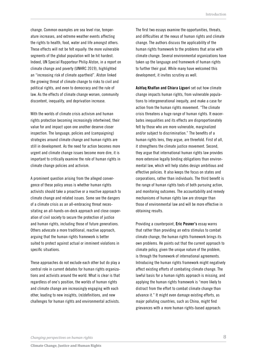change. Common examples are sea level rise, temperature increases, and extreme weather events affecting the rights to health, food, water and life amongst others. These effects will not be felt equally: the more vulnerable segments of the global population will be hit hardest. Indeed, UN Special Rapporteur Philip Alston, in a report on climate change and poverty (UNHRC 2019), highlighted an "increasing risk of climate apartheid". Alston linked the growing threat of climate change to risks to civil and political rights, and even to democracy and the rule of law. As the effects of climate change worsen, community discontent, inequality, and deprivation increase.

With the worlds of climate crisis activism and human rights protection becoming increasingly intertwined, their value for and impact upon one another deserve closer inspection. The language, policies and (campaigning) strategies around climate change and human rights are still in development. As the need for action becomes more urgent and climate change issues become more dire, it is important to critically examine the role of human rights in climate change policies and activism.

A prominent question arising from the alleged convergence of these policy areas is whether human rights activists should take a proactive or a reactive approach to climate change and related issues. Some see the dangers of a climate crisis as an all-embracing threat necessitating an all-hands-on-deck approach and close cooperation of civil society to secure the protection of justice and human rights, including those of future generations. Others advocate a more traditional, reactive approach, arguing that the human rights framework is better suited to protect against actual or imminent violations in specific situations.

These approaches do not exclude each other but do play a central role in current debates for human rights organizations and activists around the world. What is clear is that regardless of one's position, the worlds of human rights and climate change are increasingly engaging with each other, leading to new insights, (re)definitions, and new challenges for human rights and environmental activists.

The first two essays examine the opportunities, threats, and difficulties at the nexus of human rights and climate change. The authors discuss the applicability of the human rights framework to the problems that arise with climate change. Several environmental organizations have taken up the language and framework of human rights to further their goal. While many have welcomed this development, it invites scrutiny as well.

Ashfaq Khalfan and Chiara Liguori set out how climate change impacts human rights, from vulnerable populations to intergenerational inequity, and make a case for action from the human rights movement. "The climate crisis threatens a huge range of human rights. It exacerbates inequalities and its effects are disproportionately felt by those who are more vulnerable, marginalized and/or subject to discrimination." The benefits of a human rights lens, they argue, are threefold. First of all, it strengthens the climate justice movement. Second, they argue that international human rights law provides more extensive legally binding obligations than environmental law, which will help states design ambitious and effective policies. It also keeps the focus on states and corporations, rather than individuals. The third benefit is the range of human rights tools of both pursuing action, and monitoring outcomes. The accountability and remedy mechanisms of human rights law are stronger than those of environmental law and will be more effective in obtaining results.

Providing a counterpoint, Eric Posner's essay warns that rather than providing an extra stimulus to combat climate change, the human rights framework brings its own problems. He points out that the current approach to climate policy, given the unique nature of the problem, is through the framework of international agreements. Introducing the human rights framework might negatively affect existing efforts of combating climate change. The lawful basis for a human rights approach is missing, and applying the human rights framework is "more likely to distract from the effort to combat climate change than advance it." It might even damage existing efforts, as major polluting countries, such as China, might find grievances with a more human rights-based approach: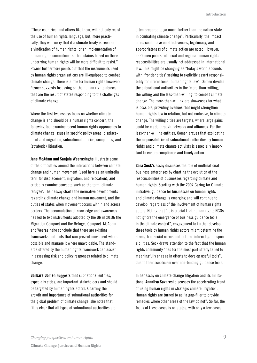"These countries, and others like them, will not only resist the use of human rights language, but, more practically, they will worry that if a climate treaty is seen as a vindication of human rights, or an implementation of human rights commitments, then claims based on those underlying human rights will be more difficult to resist." Posner furthermore points out that the instruments used by human rights organizations are ill-equipped to combat climate change. There is a role for human rights however: Posner suggests focussing on the human rights abuses that are the result of states responding to the challenges of climate change.

Where the first two essays focus on whether climate change is and should be a human rights concern, the following four examine recent human rights approaches to climate change issues in specific policy areas: displacement and migration, subnational entities, companies, and (strategic) litigation.

Jane McAdam and Sanjula Weerasinghe illustrate some of the difficulties around the interactions between climate change and human movement (used here as an umbrella term for displacement, migration, and relocation), and critically examine concepts such as the term 'climate refugee'. Their essay charts the normative developments regarding climate change and human movement, and the duties of states when movement occurs within and across borders. The accumulation of knowledge and awareness has led to two instruments adopted by the UN in 2018: the Migration Compact and the Refugee Compact. McAdam and Weerasinghe conclude that there are existing frameworks and tools that can prevent movement where possible and manage it where unavoidable. The standards offered by the human rights framework can assist in assessing risk and policy responses related to climate change.

Barbara Oomen suggests that subnational entities, especially cities, are important stakeholders and should be targeted by human rights actors. Charting the growth and importance of subnational authorities for the global problem of climate change, she notes that: "it is clear that all types of subnational authorities are

often prepared to go much further than the nation state in combating climate change". Particularly, the impact cities could have on effectiveness, legitimacy, and appropriateness of climate action are noted. However, as Oomen points out, local and regional human rights responsibilities are usually not addressed in international law. This might be changing as "today's world abounds with 'frontier cities' seeking to explicitly assert responsibility for international human rights law". Oomen divides the subnational authorities in the 'more-than-willing, the willing and the less-than-willing' to combat climate change. The more-than-willing are showcases for what is possible, providing avenues that might strengthen human rights law in relation, but not exclusive, to climate change. The willing cities are targets, where large gains could be made through networks and alliances. For the less-than-willing entities, Oomen argues that explicating the responsibilities of subnational authorities by human rights and climate change activists is especially important to ensure compliance and timely action.

Sara Seck's essay discusses the role of multinational business enterprises by charting the evolution of the responsibilities of businesses regarding climate and human rights. Starting with the 2007 Caring for Climate initiative, guidance for businesses on human rights and climate change is emerging and will continue to develop, regardless of the involvement of human rights actors. Noting that "it is crucial that human rights NGOs not ignore the emergence of business guidance tools in the climate context", engagement to further develop these tools by human rights actors might determine the strength of social norms and in turn, inform legal responsibilities. Seck draws attention to the fact that the human rights community "has for the most part utterly failed to meaningfully engage in efforts to develop useful tools", due to their scepticism over non-binding guidance tools.

In her essay on climate change litigation and its limitations, Annalisa Savaresi discusses the accelerating trend of using human rights in strategic climate litigation. Human rights are turned to as "a gap-filler to provide remedies where other areas of the law do not". So far, the focus of these cases is on states, with only a few cases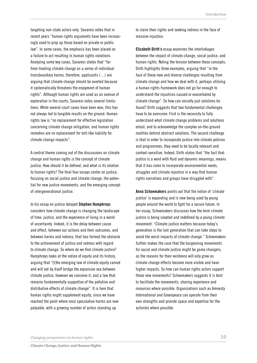targeting non-state actors only. Savaresi notes that in recent years "human rights arguments have been increasingly used to prop up those based on private or public law". In some cases, the emphasis has been placed on a failure to act resulting in human rights violations. Analyzing some key cases, Savaresi states that "far from treating climate change as a series of individual transboundary harms, therefore, applicants (…) are arguing that climate change should be averted because it systematically threatens the enjoyment of human rights". Although human rights are used as an avenue of exploration in the courts, Savaresi notes several limitations. While several court cases have been won, this has not always led to tangible results on the ground. Human rights law is "no replacement for effective legislation concerning climate change mitigation, and human rights remedies are no replacement for tort-like liability for climate change impacts".

A central theme coming out of the discussions on climate change and human rights is the concept of climate justice. How should it be defined, and what is its relation to human rights? The final four essays center on justice, focusing on social justice and climate change, the potential for new justice movements, and the emerging concept of intergenerational justice.

In his essay on justice delayed Stephen Humphreys considers how climate change is changing the landscape of time, justice, and the experience of living in a world of uncertainty. Indeed, it is the delay between cause and effect, between our actions and their outcomes, and between harms and redress, that has formed the obstacle to the achievement of justice and redress with regard to climate change. So where do we find climate justice? Humphreys looks at the notion of equity and its history, arguing that "[t]he emerging law of climate equity cannot and will not by itself bridge the expansive sea between climate justice, however we conceive it, and a law that remains fundamentally supportive of the pollutive and distributive effects of climate change". It is here that human rights might supplement equity, since we have reached the point where once speculative harms are now palpable, with a growing number of actors standing up

to claim their rights and seeking redress in the face of massive injustice.

Elizabeth Dirth's essay examines the interlinkages between the impact of climate change, social justice, and human rights. Noting the tension between these concepts, Dirth highlights three examples, arguing that "in the face of these new and diverse challenges resulting from climate change and how we deal with it, perhaps utilizing a human rights framework does not go far enough to understand the injustices caused or exacerbated by climate change". So how can socially just solutions be found? Dirth suggests that two fundamental challenges have to be overcome. First is the necessity to fully understand what climate change problems and solutions entail, and to acknowledge the complex on-the-ground realities behind abstract solutions. The second challenge is that in order to incorporate justice into climate policies and programmes, they need to be locally relevant and context-sensitive. Indeed, Dirth states that "the fact that justice is a word with fluid and dynamic meanings, means that it has come to incorporate environmental needs, struggles and climate injustice in a way that human rights narratives and groups have struggled with".

Anna Schoemakers points out that the notion of 'climate justice' is expanding and is now being used by young people around the world to fight for a secure future. In her essay, Schoemakers discusses how the term climate justice is being coopted and redefined by a young climate movement: "Climate justice matters because today's generation is the last generation that can take steps to avoid the worst impacts of climate change." Schoemakers further makes the case that the burgeoning movements for social and climate justice might be game changers, as the reasons for their existence will only grow as climate change effects become more visible and have higher impacts. So how can human rights actors support these new movements? Schoemakers suggests it is best to facilitate the movements, sharing experience and resources where possible. Organizations such as Amnesty International and Greenpeace can operate from their own strengths and provide space and expertise for the activists where possible.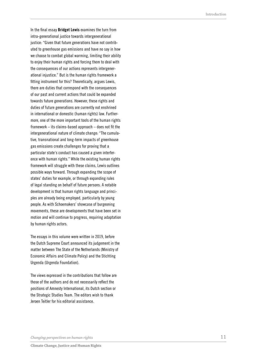In the final essay **Bridget Lewis** examines the turn from intra-generational justice towards intergenerational justice: "Given that future generations have not contributed to greenhouse gas emissions and have no say in how we choose to combat global warming, limiting their ability to enjoy their human rights and forcing them to deal with the consequences of our actions represents intergenerational injustice." But is the human rights framework a fitting instrument for this? Theoretically, argues Lewis, there are duties that correspond with the consequences of our past and current actions that could be expanded towards future generations. However, these rights and duties of future generations are currently not enshrined in international or domestic (human rights) law. Furthermore, one of the more important tools of the human rights framework – its claims-based approach – does not fit the intergenerational nature of climate change: "The cumulative, transnational and long-term impacts of greenhouse gas emissions create challenges for proving that a particular state's conduct has caused a given interference with human rights." While the existing human rights framework will struggle with these claims, Lewis outlines possible ways forward. Through expanding the scope of states' duties for example, or through expanding rules of legal standing on behalf of future persons. A notable development is that human rights language and principles are already being employed, particularly by young people. As with Schoemakers' showcase of burgeoning movements, these are developments that have been set in motion and will continue to progress, requiring adaptation by human rights actors.

The essays in this volume were written in 2019, before the Dutch Supreme Court announced its judgement in the matter between The State of the Netherlands (Ministry of Economic Affairs and Climate Policy) and the Stichting Urgenda (Urgenda Foundation).

The views expressed in the contributions that follow are those of the authors and do not necessarily reflect the positions of Amnesty International, its Dutch section or the Strategic Studies Team. The editors wish to thank Jeroen Teitler for his editorial assistance.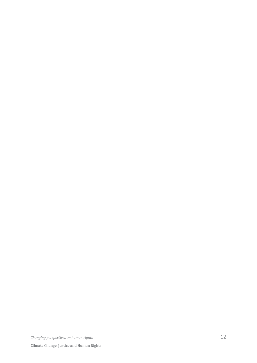*Changing perspectives on human rights*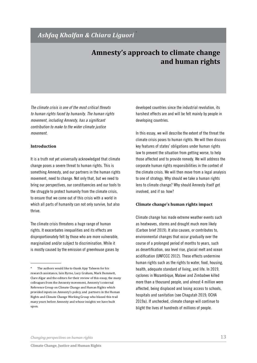## *Ashfaq Khalfan & Chiara Liguori* \*

## **Amnesty's approach to climate change and human rights**

*The climate crisis is one of the most critical threats to human rights faced by humanity. The human rights*  movement, including Amnesty, has a significant *contribution to make to the wider climate justice movement.*

#### **Introduction**

It is a truth not yet universally acknowledged that climate change poses a severe threat to human rights. This is something Amnesty, and our partners in the human rights movement, need to change. Not only that, but we need to bring our perspectives, our constituencies and our tools to the struggle to protect humanity from the climate crisis, to ensure that we come out of this crisis with a world in which all parts of humanity can not only survive, but also thrive.

The climate crisis threatens a huge range of human rights. It exacerbates inequalities and its effects are disproportionately felt by those who are more vulnerable, marginalized and/or subject to discrimination. While it is mostly caused by the emission of greenhouse gases by

developed countries since the industrial revolution, its harshest effects are and will be felt mainly by people in developing countries.

In this essay, we will describe the extent of the threat the climate crisis poses to human rights. We will then discuss key features of states' obligations under human rights law to prevent the situation from getting worse, to help those affected and to provide remedy. We will address the corporate human rights responsibilities in the context of the climate crisis. We will then move from a legal analysis to one of strategy. Why should we take a human rights lens to climate change? Why should Amnesty itself get involved, and if so: how?

#### **Climate change's human rights impact**

Climate change has made extreme weather events such as heatwaves, storms and drought much more likely (Carbon brief 2019). It also causes, or contributes to, environmental changes that occur gradually over the course of a prolonged period of months to years, such as desertification, sea level rise, glacial melt and ocean acidification (UNFCCC 2012). These effects undermine human rights such as the rights to water, food, housing, health, adequate standard of living, and life. In 2019, cyclones in Mozambique, Malawi and Zimbabwe killed more than a thousand people, and almost 4 million were affected, being displaced and losing access to schools, hospitals and sanitation (see Chagutah 2019; OCHA 2019a). If unchecked, climate change will continue to blight the lives of hundreds of millions of people.

The authors would like to thank Ajay Taheem for his research assistance, Iain Byrne, Lucy Graham, Mark Dummett, Clare Algar and the editors for their review of this essay, the many colleagues from the Amnesty movement, Amnesty's external Reference Group on Climate Change and Human Rights which provided inputs on Amnesty's policy, and partners in the Human Rights and Climate Change Working Group who blazed this trail many years before Amnesty and whose insights we have built upon.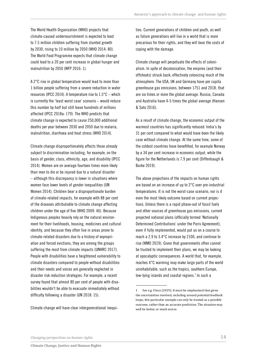The World Health Organization (WHO) projects that climate-caused undernourishment is expected to lead to 7.5 million children suffering from stunted growth by 2030, rising to 10 million by 2050 (WHO 2014: 80). The World Food Programme expects that climate change could lead to a 20 per cent increase in global hunger and malnutrition by 2050 (WFP 2016: 1).

A 2°C rise in global temperature would lead to more than 1 billion people suffering from a severe reduction in water resources (IPCC 2014). A temperature rise to 1.5°C – which is currently the 'least worst case' scenario – would reduce this number by half but still leave hundreds of millions affected (IPCC 2018a: 179). The WHO predicts that climate change is expected to cause 250,000 additional deaths per year between 2030 and 2050 due to malaria, malnutrition, diarrhoea and heat stress (WHO 2014).

Climate change disproportionately affects those already subject to discrimination including, for example, on the basis of gender, class, ethnicity, age, and disability (IPCC 2014). Women are on average fourteen times more likely than men to die or be injured due to a natural disaster – although this discrepancy is lower in situations where women face lower levels of gender inequalities (UN Women 2014). Children bear a disproportionate burden of climate-related impacts, for example with 88 per cent of the diseases attributable to climate change affecting children under the age of five (WHO 2009: 46). Because Indigenous peoples heavily rely on the natural environment for their livelihoods, housing, medicines and cultural identity, and because they often live in areas prone to climate-related disasters due to a history of expropriation and forced evictions, they are among the groups suffering the most from climate impacts (UNHRC 2017). People with disabilities have a heightened vulnerability to climate disasters compared to people without disabilities and their needs and voices are generally neglected in disaster risk reduction strategies. For example, a recent survey found that almost 80 per cent of people with disabilities wouldn't be able to evacuate immediately without difficulty following a disaster (UN 2018: 15).

Climate change will have clear intergenerational inequi-

ties. Current generations of children and youth, as well as future generations will live in a world that is more precarious for their rights, and they will bear the costs of coping with the damage.

Climate change will perpetuate the effects of colonialism. In spite of decolonization, the empires (and their offshoots) struck back; effectively colonizing much of the atmosphere. The USA, UK and Germany have per capita greenhouse gas emissions, between 1751 and 2018, that are six times or more the global average. Russia, Canada and Australia have 4-5 times the global average (Hansen & Sato 2016).

As a result of climate change, the economic output of the warmest countries has significantly reduced: India's by 31 per cent compared to what would have been the likely case without climate change. At the same time, some of the coldest countries have benefitted, for example Norway by a 34 per cent increase in economic output, while the figure for the Netherlands is 7.9 per cent (Diffenbaugh & Burke 2019).

The above projections of the impacts on human rights are based on an increase of up to 2°C over pre-industrial temperatures. It is not the worst-case scenario, nor is it even the most likely outcome based on current projections. Unless there is a rapid phase-out of fossil fuels and other sources of greenhouse gas emissions, current projected national plans (officially termed 'Nationally Determined Contributions' under the Paris Agreement), even if fully implemented, would put us on a course to reach a 2.9 to 3.4°C increase by 2100, and continue to rise (WMO 2019). Given that governments often cannot be trusted to implement their plans, we may be looking at apocalyptic consequences. A world that, for example, reaches 4°C warming may make large parts of the world uninhabitable, such as the tropics, southern Europe, low-lying islands and coastal regions.<sup>1</sup> In such a

<sup>1</sup> See e.g. Vince (2019). It must be emphasized that given the uncertainties involved, including around potential feedback loops, this particular example can only be treated as a possible outcome, rather than an accurate prediction. The situation may well be better, or much worse.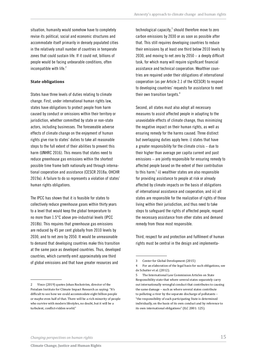situation, humanity would somehow have to completely revise its political, social and economic structures and accommodate itself primarily in densely populated cities in the relatively small number of countries in temperate zones that could sustain life. If it could not, billions of people would be facing unbearable conditions, often incompatible with life. $2$ 

#### **State obligations**

States have three levels of duties relating to climate change. First, under international human rights law, states have obligations to protect people from harm caused by conduct or omissions within their territory or jurisdiction, whether committed by state or non-state actors, including businesses. The foreseeable adverse effects of climate change on the enjoyment of human rights give rise to states' duties to take all reasonable steps to the full extent of their abilities to prevent this harm (UNHRC 2016). This means that states need to reduce greenhouse gas emissions within the shortest possible time frame both nationally and through international cooperation and assistance (CESCR 2018a; OHCHR 2019a). A failure to do so represents a violation of states' human rights obligations.

The IPCC has shown that it is feasible for states to collectively reduce greenhouse gases within thirty years to a level that would keep the global temperature to no more than 1.5°C above pre-industrial levels (IPCC 2018b). This requires that greenhouse gas emissions are reduced by 45 per cent globally from 2010 levels by 2030, and to net zero by 2050. It would be unreasonable to demand that developing countries make this transition at the same pace as developed countries. Thus, developed countries, which currently emit approximately one third of global emissions and that have greater resources and

 $t$ echnological capacity, $3$  should therefore move to zero carbon emissions by 2030 or as soon as possible after that. This still requires developing countries to reduce their emissions by at least one third below 2010 levels by 2030, and moving to net zero by 2050 – a deeply difficult task, for which many will require significant financial assistance and technical cooperation. Wealthier countries are required under their obligations of international cooperation (as per Article 2.1 of the ICESCR) to respond to developing countries' requests for assistance to meet their own transition targets.<sup>4</sup>

Second, all states must also adopt all necessary measures to assist affected people in adapting to the unavoidable effects of climate change, thus minimizing the negative impact on their human rights, as well as ensuring remedy for the harms caused. Three distinct but overlapping duties apply here: i) states that have a greater responsibility for the climate crisis – due to their higher than average per capita current and past emissions – are jointly responsible for ensuring remedy to affected people based on the extent of their contribution to this harm;<sup>5</sup> ii) wealthier states are also responsible for providing assistance to people at risk or already affected by climate impacts on the basis of obligations of international assistance and cooperation; and iii) all states are responsible for the realization of rights of those living within their jurisdiction, and thus need to take steps to safeguard the rights of affected people, request the necessary assistance from other states and demand remedy from those most responsible.

Third, respect for and protection and fulfilment of human rights must be central in the design and implementa-

<sup>2</sup> Vince (2019) quotes Johan Rockström, director of the Potsdam Institute for Climate Impact Research as saying: "It's difficult to see how we could accommodate eight billion people or maybe even half of that. There will be a rich minority of people who survive with modern lifestyles, no doubt, but it will be a turbulent, conflict-ridden world."

<sup>3</sup> Center for Global Development (2015)

<sup>4</sup> For an elaboration of the legal basis for such obligations, see de Schutter et al. (2012).

<sup>5</sup> The International Law Commission Articles on State Responsibility state that where several states separately carry out internationally wrongful conduct that contributes to causing the same damage – such as where several states contribute to polluting a river by the separate discharge of pollutants – "the responsibility of each participating State is determined individually, on the basis of its own conduct and by reference to its own international obligations" (ILC 2001: 125).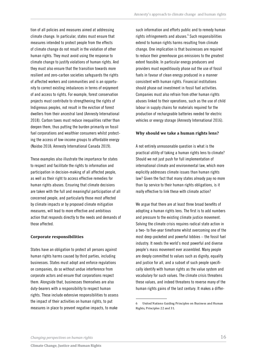tion of all policies and measures aimed at addressing climate change. In particular, states must ensure that measures intended to protect people from the effects of climate change do not result in the violation of other human rights. They must avoid using the response to climate change to justify violations of human rights. And they must also ensure that the transition towards more resilient and zero-carbon societies safeguards the rights of affected workers and communities and is an opportunity to correct existing imbalances in terms of enjoyment of and access to rights. For example, forest conservation projects must contribute to strengthening the rights of Indigenous peoples, not result in the eviction of forest dwellers from their ancestral land (Amnesty International 2018). Carbon taxes must reduce inequalities rather than deepen them, thus putting the burden primarily on fossil fuel corporations and wealthier consumers whilst protecting the access of low-income groups to affordable energy (Naidoo 2018; Amnesty International Canada 2019).

These examples also illustrate the importance for states to respect and facilitate the rights to information and participation in decision-making of all affected people, as well as their right to access effective remedies for human rights abuses. Ensuring that climate decisions are taken with the full and meaningful participation of all concerned people, and particularly those most affected by climate impacts or by proposed climate mitigation measures, will lead to more effective and ambitious action that responds directly to the needs and demands of those affected.

#### **Corporate responsibilities**

States have an obligation to protect all persons against human rights harms caused by third parties, including businesses. States must adopt and enforce regulations on companies, do so without undue interference from corporate actors and ensure that corporations respect them. Alongside that, businesses themselves are also duty-bearers with a responsibility to respect human rights. These include extensive responsibilities to assess the impact of their activities on human rights, to put measures in place to prevent negative impacts, to make

such information and efforts public and to remedy human rights infringements and abuses.<sup>6</sup> Such responsibilities extend to human rights harms resulting from climate change. One implication is that businesses are required to reduce their greenhouse gas emissions to the greatest extent feasible. In particular energy producers and providers must expeditiously phase out the use of fossil fuels in favour of clean energy produced in a manner consistent with human rights. Financial institutions should phase out investment in fossil fuel activities. Companies must also refrain from other human rights abuses linked to their operations, such as the use of child labour in supply chains for materials required for the production of rechargeable batteries needed for electric vehicles or energy storage (Amnesty International 2016).

#### **Why should we take a human rights lens?**

A not entirely unreasonable question is what is the practical utility of taking a human rights lens to climate? Should we not just push for full implementation of international climate and environmental law, which more explicitly addresses climate issues than human rights law? Given the fact that many states already pay no more than lip service to their human rights obligations, is it really effective to link these with climate action?

We argue that there are at least three broad benefits of adopting a human rights lens. The first is to add numbers and pressure to the existing climate justice movement. Solving the climate crisis requires radical state action in a two- to five-year timeframe whilst overcoming one of the most deep-pocketed and powerful lobbies – the fossil fuel industry. It needs the world's most powerful and diverse people's mass movement ever assembled. Many people are deeply committed to values such as dignity, equality and justice for all, and a subset of such people specifically identify with human rights as the value system and vocabulary for such values. The climate crisis threatens these values, and indeed threatens to reverse many of the human rights gains of the last century. It makes a differ-

<sup>6</sup> United Nations Guiding Principles on Business and Human Rights, Principles 22 and 31.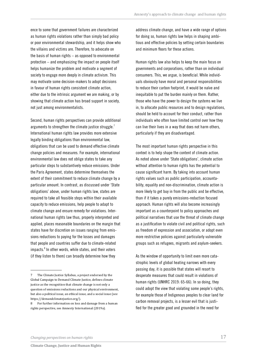ence to some that government failures are characterized as human rights violations rather than simply bad policy or poor environmental stewardship, and it helps show who the villains and victims are. Therefore, to advocate on the basis of human rights – as opposed to environmental protection – and emphasizing the impact on people itself helps humanize the problem and motivate a segment of society to engage more deeply in climate activism. This may motivate some decision-makers to adopt decisions in favour of human rights consistent climate action, either due to the intrinsic argument we are making, or by showing that climate action has broad support in society, not just among environmentalists.

Second, human rights perspectives can provide additional arguments to strengthen the climate justice struggle.<sup>7</sup> International human rights law provides more extensive legally binding obligations than environmental law, obligations that can be used to demand effective climate change policies and measures. For example, international environmental law does not oblige states to take any particular steps to substantively reduce emissions. Under the Paris Agreement, states determine themselves the extent of their commitment to reduce climate change by a particular amount. In contrast, as discussed under 'State obligations' above, under human rights law, states are required to take all feasible steps within their available capacity to reduce emissions, help people to adapt to climate change and ensure remedy for violations. International human rights law thus, properly interpreted and applied, places reasonable boundaries on the margin that states have for discretion on issues ranging from emissions reductions to paying for the losses and damages that people and countries suffer due to climate-related impacts.<sup>8</sup> In other words, while states, and their voters (if they listen to them) can broadly determine how they

address climate change, and have a wide range of options for doing so, human rights law helps in shaping ambitious and effective policies by setting certain boundaries and minimum floors for these actions.

Human rights law also helps to keep the main focus on governments and corporations, rather than on individual consumers. This, we argue, is beneficial. While individuals obviously have moral and personal responsibilities to reduce their carbon footprint, it would be naïve and inequitable to put the burden mainly on them. Rather, those who have the power to design the systems we live in, to allocate public resources and to design regulations, should be held to account for their conduct, rather than individuals who often have limited control over how they can live their lives in a way that does not harm others, particularly if they are disadvantaged.

The most important human rights perspective in this context is to help shape the content of climate action. As noted above under 'State obligations', climate action without attention to human rights has the potential to cause significant harm. By taking into account human rights values such as public participation, accountability, equality and non-discrimination, climate action is more likely to get buy in from the public and be effective, than if it takes a purely emissions-reduction focused approach. Human rights will also become increasingly important as a counterpoint to policy approaches and political narratives that use the threat of climate change as a justification to violate civil and political rights, such as freedom of expression and association, or adopt even more restrictive policies against particularly vulnerable groups such as refugees, migrants and asylum-seekers.

As the window of opportunity to limit even more catastrophic levels of global heating narrows with every passing day, it is possible that states will resort to desperate measures that could result in violations of human rights (UNHRC 2019: 65-66). In so doing, they could adopt the view that violating some people's rights, for example those of Indigenous peoples to clear land for carbon removal projects, is a lesser evil that is justified for the greater good and grounded in the need for

<sup>7</sup> The Climate Justice Syllabus, a project endorsed by the Global Campaign to Demand Climate Justice, defines climate justice as the recognition that climate change is not only a question of emissions reductions and our physical environment, but also a political issue, an ethical issue, and a social issue (see <https://demandclimatejustice.org/>).

<sup>8</sup> For further information on loss and damage from a human rights perspective, see Amnesty International (2019a).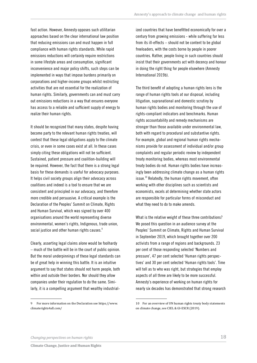fast action. However, Amnesty opposes such utilitarian approaches based on the clear international law position that reducing emissions can and must happen in full compliance with human rights standards. While rapid emissions reductions will certainly require restrictions in some lifestyle areas and consumption, significant inconvenience and major policy shifts, such steps can be implemented in ways that impose burdens primarily on corporations and higher-income groups whilst restricting activities that are not essential for the realization of human rights. Similarly, governments can and must carry out emissions reductions in a way that ensures everyone has access to a reliable and sufficient supply of energy to realize their human rights.

It should be recognized that many states, despite having become party to the relevant human rights treaties, will contest that these legal obligations apply to the climate crisis, or even in some cases exist at all. In these cases simply citing these obligations will not be sufficient. Sustained, patient pressure and coalition-building will be required. However, the fact that there is a strong legal basis for these demands is useful for advocacy purposes. It helps civil society groups align their advocacy across coalitions and indeed is a tool to ensure that we are consistent and principled in our advocacy, and therefore more credible and persuasive. A critical example is the Declaration of the Peoples' Summit on Climate, Rights and Human Survival, which was signed by over 400 organisations around the world representing diverse environmental, women's rights, Indigenous, trade union, social justice and other human rights causes.<sup>9</sup>

Clearly, asserting legal claims alone would be foolhardy – much of the battle will be in the court of public opinion. But the moral underpinnings of these legal standards can be of great help in winning this battle. It is an intuitive argument to say that states should not harm people, both within and outside their borders. Nor should they allow companies under their regulation to do the same. Similarly, it is a compelling argument that wealthy industrialized countries that have benefitted economically for over a century from growing emissions - while suffering far less from its ill-effects – should not be content to be global freeloaders, with the costs borne by people in poorer countries. Rather, people living in such countries should insist that their governments act with decency and honour in doing the right thing for people elsewhere (Amnesty International 2019b).

The third benefit of adopting a human rights lens is the range of human rights tools at our disposal, including litigation, supranational and domestic scrutiny by human rights bodies and monitoring through the use of rights-compliant indicators and benchmarks. Human rights accountability and remedy mechanisms are stronger than those available under environmental law, both with regard to procedural and substantive rights. For example, global and regional human rights mechanisms provide for assessment of individual and/or group complaints and regular periodic review by independent treaty monitoring bodies, whereas most environmental treaty bodies do not. Human rights bodies have increasingly been addressing climate change as a human rights issue.<sup>10</sup> Relatedly, the human rights movement, often working with other disciplines such as scientists and economists, excels at determining whether state actors are responsible for particular forms of misconduct and what they need to do to make amends.

What is the relative weight of these three contributions? We posed this question in an audience survey at the Peoples' Summit on Climate, Rights and Human Survival in September 2019, which brought together over 200 activists from a range of regions and backgrounds. 23 per cent of those responding selected 'Numbers and pressure', 47 per cent selected 'Human rights perspectives' and 30 per cent selected 'Human rights tools'. Time will tell as to who was right, but strategies that employ aspects of all three are likely to be more successful. Amnesty's experience of working on human rights for nearly six decades has demonstrated that strong research

<sup>9</sup> For more information on the Declaration see [https://www.](https://www.climaterights4all.com) [climaterights4all.com](https://www.climaterights4all.com)/

<sup>10</sup> For an overview of UN human rights treaty body statements on climate change, see CIEL & GI-ESCR (2019).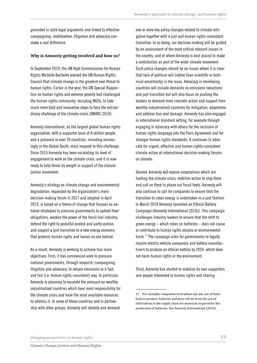grounded in solid legal arguments and linked to effective campaigning, mobilization, litigation and advocacy can make a real difference.

#### **Why is Amnesty getting involved and how so?**

In September 2019, the UN High Commissioner for Human Rights Michelle Bachelet warned the UN Human Rights Council that climate change is the greatest ever threat to human rights. Earlier in the year, the UN Special Rapporteur on human rights and extreme poverty had challenged the human rights community, including NGOs, to take much more bold and innovative steps to face the extraordinary challenge of the climate crisis (UNHRC 2019).

Amnesty International, as the largest global human rights organization, with a supporter base of 8 million people and a presence in over 70 countries, including increasingly in the Global South, must respond to this challenge. Since 2015 Amnesty has been escalating its level of engagement to work on the climate crisis, and it is now ready to fully throw its weight in support of the climate justice movement.

Amnesty's strategy on climate change and environmental degradation, requested by the organization's main decision-making forum in 2017 and adopted in April 2019, is based on a theory of change that focuses on national strategies to pressure governments to uphold their obligations, weaken the power of the fossil fuel industry, defend the right to peaceful protest and participation, and support a just transition to a new energy economy that protects human rights and leaves no one behind.

As a result, Amnesty is working to achieve four main objectives. First, it has commenced work to pressure national governments, through research, campaigning, litigation and advocacy, to reduce emissions in a fast and fair (i.e. human rights consistent) way. In particular, Amnesty is planning to escalate the pressure on wealthy industrialized countries which bear most responsibility for the climate crisis and have the most available resources to address it. In some of these countries and in partnership with other groups, Amnesty will identify and demand

one or more key policy changes related to climate mitigation together with a just and human rights-consistent transition. In so doing, our decision-making will be guided by an assessment of the most critical relevant issues in the country, and of where Amnesty is best placed to make a contribution as part of the wider climate movement. Such policy changes should be on issues where it is clear that lack of political will (rather than scientific or technical uncertainty) is the issue. Advocacy in developing countries will include demands on emissions reductions and just transition but will also focus on pushing the leaders to demand more concrete action and support from wealthy industrialized countries for mitigation, adaptation and address loss and damage. Amnesty has also engaged in international standard setting, for example through engaging in advocacy with others for the inclusion of human rights language into the Paris Agreement and for stronger human rights standards. It continues to advocate for urgent, effective and human rights-consistent climate action at international decision-making forums on climate.

Second, Amnesty will expose corporations which are fuelling the climate crisis, mobilize action to stop them and call on them to phase out fossil fuels. Amnesty will also continue to call for companies to ensure that the transition to clean energy is undertaken in a just fashion. In March 2019 Amnesty launched an Ethical Battery Campaign (Amnesty International 2019c). This campaign challenges industry leaders to ensure that the shift to green energy – which relies on batteries – does not cause or contribute to human rights abuses or environmental harm.<sup>11</sup> The campaign aims for governments to legally require electric vehicle companies and battery manufacturers to produce an ethical battery by 2024, which does not harm human rights or the environment.

Third, Amnesty has started to mobilize its own supporters and people interested in human rights and sharing

<sup>11</sup> For example, companies must phase out any use of fossil fuels to produce batteries and must refrain from the use of child labour in the supply chain for materials required for the production of batteries. See Amnesty International (2016).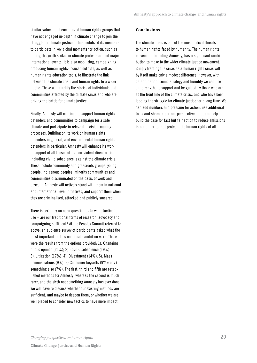similar values, and encouraged human rights groups that have not engaged in-depth in climate change to join the struggle for climate justice. It has mobilized its members to participate in key global moments for action, such as during the youth strikes or climate protests around major international events. It is also mobilizing, campaigning, producing human rights-focused outputs, as well as human rights education tools, to illustrate the link between the climate crisis and human rights to a wider public. These will amplify the stories of individuals and communities affected by the climate crisis and who are driving the battle for climate justice.

Finally, Amnesty will continue to support human rights defenders and communities to campaign for a safe climate and participate in relevant decision-making processes. Building on its work on human rights defenders in general, and environmental human rights defenders in particular, Amnesty will enhance its work in support of all those taking non-violent direct action, including civil disobedience, against the climate crisis. These include community and grassroots groups, young people, Indigenous peoples, minority communities and communities discriminated on the basis of work and descent. Amnesty will actively stand with them in national and international level initiatives, and support them when they are criminalized, attacked and publicly smeared.

There is certainly an open question as to what tactics to use – are our traditional forms of research, advocacy and campaigning sufficient? At the Peoples Summit referred to above, an audience survey of participants asked what the most important tactics on climate ambition were. These were the results from the options provided: 1). Changing public opinion (25%); 2). Civil disobedience (19%); 3). Litigation (17%); 4). Divestment (14%); 5). Mass demonstrations (9%); 6) Consumer boycotts (9%); or 7) something else (7%). The first, third and fifth are established methods for Amnesty, whereas the second is much rarer, and the sixth not something Amnesty has ever done. We will have to discuss whether our existing methods are sufficient, and maybe to deepen them, or whether we are well placed to consider new tactics to have more impact.

#### **Conclusions**

The climate crisis is one of the most critical threats to human rights faced by humanity. The human rights movement, including Amnesty, has a significant contribution to make to the wider climate justice movement. Simply framing the crisis as a human rights crisis will by itself make only a modest difference. However, with determination, sound strategy and humility we can use our strengths to support and be guided by those who are at the front line of the climate crisis, and who have been leading the struggle for climate justice for a long time. We can add numbers and pressure for action, use additional tools and share important perspectives that can help build the case for fast but fair action to reduce emissions in a manner to that protects the human rights of all.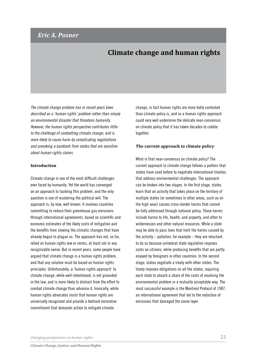#### *Eric A. Posner*

## **Climate change and human rights**

*The climate change problem has in recent years been described as a 'human rights' problem rather than simply an environmental disaster that threatens humanity. However, the human rights perspective contributes little to the challenge of combatting climate change, and is more likely to cause harm by complicating negotiations and provoking a backlash from states that are sensitive about human rights claims.*

#### **Introduction**

Climate change is one of the most difficult challenges ever faced by humanity. Yet the world has converged on an approach to tackling this problem, and the only question is one of mustering the political will. The approach is, by now, well known: it involves countries committing to reduce their greenhouse gas emissions through international agreements, based on scientific and economic estimates of the likely costs of mitigation and the benefits from slowing the climatic changes that have already begun to plague us. The approach has not, so far, relied on human rights law or norms, at least not in any recognizable sense. But in recent years, some people have argued that climate change is a human rights problem, and that any solution must be based on human rights principles. Unfortunately, a 'human rights approach' to climate change, while well-intentioned, is not grounded in the law, and is more likely to distract from the effort to combat climate change than advance it. Ironically, while human rights advocates insist that human rights are universally recognized and provide a bedrock normative commitment that demands action to mitigate climate

change, in fact human rights are more hotly contested than climate policy is, and so a human rights approach could very well undermine the delicate near-consensus on climate policy that it has taken decades to cobble together.

#### **The current approach to climate policy**

What is that near-consensus on climate policy? The current approach to climate change follows a pattern that states have used before to negotiate international treaties that address environmental challenges. The approach can be broken into two stages. In the first stage, states learn that an activity that takes place on the territory of multiple states (or sometimes in other areas, such as on the high seas) causes cross-border harms that cannot be fully addressed through national policy. Those harms include harms to life, health, and property, and often to wildernesses and other natural resources. While a state may be able to pass laws that limit the harms caused by the activity  $-$  pollution, for example  $-$  they are reluctant to do so because unilateral state regulation imposes costs on citizens, while producing benefits that are partly enjoyed by foreigners in other countries. In the second stage, states negotiate a treaty with other states. The treaty imposes obligations on all the states, requiring each state to absorb a share of the costs of resolving the environmental problem in a mutually acceptable way. The most successful example is the Montreal Protocol of 1987, an international agreement that led to the reduction of emissions that damaged the ozone layer.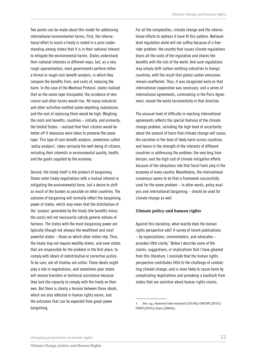Climate change and human rights

Two points can be made about this model for addressing international environmental harms. First, the international effort to reach a treaty is rooted in a prior understanding among states that it is in their national interest to mitigate the environmental harms. States understand their national interests in different ways, but, as a very rough approximation, most governments perform either a formal or rough cost-benefit analysis, in which they compare the benefits from, and costs of, reducing the harm. In the case of the Montreal Protocol, states realized that as the ozone layer dissipated, the incidence of skin cancer and other harms would rise. Yet many industrial and other activities emitted ozone-depleting substances, and the cost of replacing them would be high. Weighing the costs and benefits, countries – initially, and primarily, the United States – realized that their citizens would be better off if measures were taken to preserve the ozone layer. This type of cost-benefit analysis, sometimes called 'policy analysis', takes seriously the well-being of citizens, including their interests in environmental quality, health, and the goods supplied by the economy.

Second, the treaty itself is the product of bargaining. States enter treaty negotiations with a mutual interest in mitigating the environmental harm, but a desire to shift as much of the burden as possible on other countries. The outcome of bargaining will normally reflect the bargaining power of states, which may mean that the distribution of the 'surplus' generated by the treaty (the benefits minus the costs) will not necessarily satisfy general notions of fairness. The states with the most bargaining power are typically (though not always) the wealthiest and most powerful states – those on which other states rely. Thus, the treaty may not require wealthy states, and even states that are responsible for the problem in the first place, to comply with ideals of redistributive or corrective justice. To be sure, not all treaties are unfair. These ideals might play a role in negotiations, and sometimes poor states will receive transfers or technical assistance because they lack the capacity to comply with the treaty on their own. But there is clearly a tension between those ideals, which are also reflected in human rights norms, and the outcomes that can be expected from great-power bargaining.

For all the complexities, climate change and the international efforts to address it have fit this pattern. Nationallevel regulation alone will not suffice because of a freerider problem: the country that issues climate regulations bears all the costs of the regulation and shares the benefits with the rest of the world. And such regulations may simply shift carbon-emitting industries to foreign countries, with the result that global carbon emissions remain unaffected. Thus, it was recognized early on that international cooperation was necessary, and a series of international agreements, culminating in the Paris Agreement, moved the world incrementally in that direction.

The unusual level of difficulty in reaching international agreements reflects the special features of the climate change problem, including the high level of uncertainty about the amount of harm that climate change will cause; the variation in the level of likely harm across countries, and hence in the strength of the interests of different countries in addressing the problem; the very long time horizon; and the high cost of climate mitigation efforts because of the ubiquitous role that fossil fuels play in the economy of every country. Nonetheless, the international consensus seems to be that a framework successfully used for the ozone problem – in other words, policy analysis and international bargaining – should be used for climate change as well.

#### **Climate policy and human rights**

Against this backdrop, what exactly does the human rights perspective add? A survey of recent publications – by organizations, commentators, and advocates – provides little clarity. $<sup>1</sup>$  Below I describe some of the</sup> claims, suggestions, or implications that I have gleaned from this literature. I conclude that the human rights perspective contributes little to the challenge of combatting climate change, and is more likely to cause harm by complicating negotiations and provoking a backlash from states that are sensitive about human rights claims.

<sup>1</sup> See, e.g., Amnesty International (2019d); OHCHR (2015); UNEP (2015); Knox (2009a).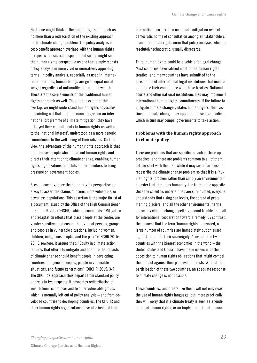First, one might think of the human rights approach as no more than a redescription of the existing approach to the climate change problem. The policy analysis or cost-benefit approach overlaps with the human rights perspective in several respects, and so one might see the human rights perspective as one that simply recasts policy analysis in more vivid or normatively appealing terms. In policy analysis, especially as used in international relations, human beings are given equal moral weight regardless of nationality, status, and wealth. These are the core elements of the traditional human rights approach as well. Thus, to the extent of this overlap, we might understand human rights advocates as pointing out that if states cannot agree on an international programme of climate mitigation, they have betrayed their commitments to human rights as well as to the 'national interest', understood as a more generic commitment to the well-being of their citizens. On this view, the advantage of the human rights approach is that it addresses people who care about human rights and directs their attention to climate change, enabling human rights organizations to mobilize their members to bring pressure on government bodies.

Second, one might see the human rights perspective as a way to assert the claims of poorer, more vulnerable, or powerless populations. This assertion is the major thrust of a document issued by the Office of the High Commissioner of Human Rights (OHCHR), which recommends: "Mitigation and adaptation efforts that place people at the centre, are gender sensitive, and ensure the rights of persons, groups and peoples in vulnerable situations, including women, children, indigenous peoples and the poor" (OHCHR 2015: 23). Elsewhere, it argues that: "Equity in climate action requires that efforts to mitigate and adapt to the impacts of climate change should benefit people in developing countries, indigenous peoples, people in vulnerable situations, and future generations" (OHCHR 2015: 3-4). The OHCHR's approach thus departs from standard policy analysis in two respects. It advocates redistribution of wealth from rich to poor and to other vulnerable groups – which is normally left out of policy analysis – and from developed countries to developing countries. The OHCHR and other human rights organizations have also insisted that

international cooperation on climate mitigation respect democratic norms of consultation among all 'stakeholders' – another human rights norm that policy analysis, which is resolutely technocratic, usually disregards.

Third, human rights could be a vehicle for legal change. Most countries have ratified most of the human rights treaties, and many countries have submitted to the jurisdiction of international legal institutions that monitor or enforce their compliance with those treaties. National courts and other national institutions also may implement international human rights commitments. If the failure to mitigate climate change violates human rights, then victims of climate change may appeal to these legal bodies, which in turn may compel governments to take action.

#### **Problems with the human rights approach to climate policy**

There are problems that are specific to each of these approaches, and there are problems common to all of them. Let me start with the first. While it may seem harmless to redescribe the climate change problem so that it is a 'human rights' problem rather than simply an environmental disaster that threatens humanity, the truth is the opposite. Once the scientific uncertainties are surmounted, everyone understands that rising sea levels, the spread of pests, melting glaciers, and all the other environmental harms caused by climate change spell significant trouble and call for international cooperation toward a remedy. By contrast, the moment that the term 'human rights' is invoked, a large number of countries are immediately put on guard against threats to their sovereignty. Above all, the two countries with the biggest economies in the world – the United States and China – have made no secret of their opposition to human rights obligations that might compel them to act against their perceived interests. Without the participation of these two countries, an adequate response to climate change is not possible.

These countries, and others like them, will not only resist the use of human rights language, but, more practically, they will worry that if a climate treaty is seen as a vindication of human rights, or an implementation of human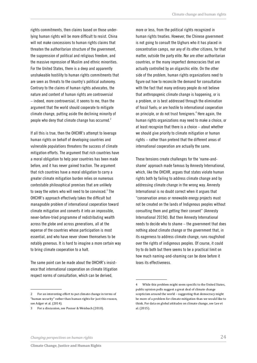Climate change and human rights

rights commitments, then claims based on those underlying human rights will be more difficult to resist. China will not make concessions to human rights claims that threaten the authoritarian structure of the government, the suppression of political and religious freedom, and the massive repression of Muslim and ethnic minorities. For the United States, there is a deep and apparently unshakeable hostility to human rights commitments that are seen as threats to the country's political autonomy. Contrary to the claims of human rights advocates, the nature and content of human rights are controversial – indeed, more controversial, it seems to me, than the argument that the world should cooperate to mitigate climate change, putting aside the declining minority of people who deny that climate change has occurred.<sup>2</sup>

If all this is true, then the OHCHR's attempt to leverage human rights on behalf of developing countries and vulnerable populations threatens the success of climate mitigation efforts. The argument that rich countries have a moral obligation to help poor countries has been made before, and it has never gained traction. The argument that rich countries have a moral obligation to carry a greater climate mitigation burden relies on numerous contestable philosophical premises that are unlikely to sway the voters who will need to be convinced.<sup>3</sup> The OHCHR's approach effectively takes the difficult but manageable problem of international cooperation toward climate mitigation and converts it into an impossible, never-before-tried programme of redistributing wealth across the globe and across generations, all at the expense of the countries whose participation is most essential, and who have never shown themselves to be notably generous. It is hard to imagine a more certain way to bring climate cooperation to a halt.

The same point can be made about the OHCHR's insistence that international cooperation on climate litigation respect norms of consultation, which can be derived,

more or less, from the political rights recognized in human rights treaties. However, the Chinese government is not going to consult the Uighurs who it has placed in concentration camps, nor any of its other citizens, for that matter, outside the party elite. Nor are other authoritarian countries, or the many imperfect democracies that are actually controlled by an oligarchic elite. On the other side of the problem, human rights organizations need to figure out how to reconcile the demand for consultation with the fact that many ordinary people do not believe that anthropogenic climate change is happening, or is a problem, or is best addressed through the elimination of fossil fuels; or are hostile to international cooperation on principle, or do not trust foreigners.<sup>4</sup> Here again, the human rights organizations may need to make a choice, or at least recognize that there is a choice – about whether we should give priority to climate mitigation or human rights – rather than pretend that the different areas of international cooperation are actually the same.

These tensions create challenges for the 'name-andshame' approach made famous by Amnesty International, which, like the OHCHR, argues that states violate human rights both by failing to address climate change and by addressing climate change in the wrong way. Amnesty International is no doubt correct when it argues that "conservation areas or renewable energy projects must not be created on the lands of Indigenous peoples without consulting them and getting their consent" (Amnesty International 2019d). But then Amnesty International needs to decide who to shame – the government that does nothing about climate change or the government that, in its eagerness to address climate change, runs roughshod over the rights of indigenous peoples. Of course, it could try to do both but there seems to be a practical limit on how much naming-and-shaming can be done before it loses its effectiveness.

<sup>2</sup> For an interesting effort to put climate change in terms of "human security" rather than human rights for just this reason, see Adger et al. (2014).

<sup>3</sup> For a discussion, see Posner & Weisbach (2010).

<sup>4</sup> While this problem might seem specific to the United States, public opinion polls suggest a great deal of climate change scepticism around the world – suggesting that democracy might be more of a problem for climate mitigation than we would like to think. For data on global attitudes on climate change, see Lee et al. (2015).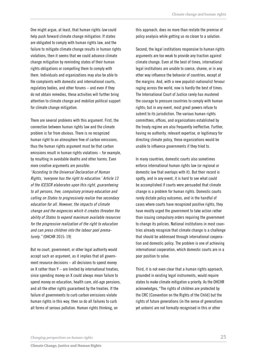One might argue, at least, that human rights *law* could help push forward climate change mitigation. If states are obligated to comply with human rights law, and the failure to mitigate climate change results in human rights violations, then it seems that we could advance climate change mitigation by reminding states of their human rights obligations or compelling them to comply with them. Individuals and organizations may also be able to file complaints with domestic and international courts, regulatory bodies, and other forums – and even if they do not obtain remedies, these activities will further bring attention to climate change and mobilize political support for climate change mitigation.

There are several problems with this argument. First, the connection between human rights law and the climate problem is far from obvious. There is no recognized human right to an atmosphere free of carbon emissions, thus the human rights argument must be that carbon emissions result in human rights violations – for example, by resulting in avoidable deaths and other harms. Even more creative arguments are possible:

*"According to the Universal Declaration of Human Rights, 'everyone has the right to education.' Article 13 of the ICESCR elaborates upon this right, guaranteeing to all persons, free, compulsory primary education and calling on States to progressively realize free secondary education for all. However, the impacts of climate change and the exigencies which it creates threaten the ability of States to expend maximum available resources for the progressive realization of the right to education and can press children into the labour pool prematurely."* (OHCHR 2015: 19)

But no court, government, or other legal authority would accept such an argument, as it implies that all government resource decisions – all decisions to spend money on X rather than  $Y -$  are limited by international treaties, since spending money on X could always mean failure to spend money on education, health care, old-age pensions, and all the other rights guaranteed by the treaties. If the failure of governments to curb carbon emissions violate human rights in this way, then so do all failures to curb all forms of serious pollution. Human rights thinking, on

this approach, does no more than restate the premise of policy analysis while getting us no closer to a solution.

Second, the legal institutions responsive to human rights arguments are too weak to provide any traction against climate change. Even at the best of times, international legal institutions are unable to coerce, shame, or in any other way influence the behavior of countries, except at the margins. And, with a new populist-nationalist fervour raging across the world, now is hardly the best of times. The International Court of Justice rarely has mustered the courage to pressure countries to comply with human rights; but in any event, most great powers refuse to submit to its jurisdiction. The various human rights committees, offices, and organizations established by the treaty regime are also frequently ineffective. Further, having no authority, relevant expertise, or legitimacy for directing climate policy, these organizations would be unable to influence governments if they tried to.

In many countries, domestic courts also sometimes enforce international human rights law (or regional or domestic law that overlaps with it). But their record is spotty, and in any event, it is hard to see what could be accomplished if courts were persuaded that climate change is a problem for human rights. Domestic courts rarely dictate policy outcomes, and in the handful of cases where courts have recognized positive rights, they have mostly urged the government to take action rather than issuing compulsory orders requiring the government to change its policies. National institutions in most countries already recognize that climate change is a challenge that should be addressed through international cooperation and domestic policy. The problem is one of achieving international cooperation, which domestic courts are in a poor position to solve.

Third, it is not even clear that a human rights approach, grounded in existing legal instruments, would require states to make climate mitigation a priority. As the OHCHR acknowledges, "The rights of children are protected by the CRC [Convention on the Rights of the Child] but the rights of future generations (in the sense of generations yet unborn) are not formally recognised in this or other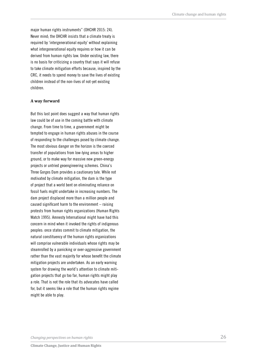major human rights instruments" (OHCHR 2015: 24). Never mind; the OHCHR insists that a climate treaty is required by 'intergenerational equity' without explaining what intergenerational equity requires or how it can be derived from human rights law. Under existing law, there is no basis for criticizing a country that says it will refuse to take climate mitigation efforts because, inspired by the CRC, it needs to spend money to save the lives of existing children instead of the non-lives of not-yet existing children.

#### **A way forward**

But this last point does suggest a way that human rights law could be of use in the coming battle with climate change. From time to time, a government might be tempted to engage in human rights abuses in the course of responding to the challenges posed by climate change. The most obvious danger on the horizon is the coerced transfer of populations from low-lying areas to higher ground, or to make way for massive new green-energy projects or untried geoengineering schemes. China's Three Gorges Dam provides a cautionary tale. While not motivated by climate mitigation, the dam is the type of project that a world bent on eliminating reliance on fossil fuels might undertake in increasing numbers. The dam project displaced more than a million people and caused significant harm to the environment – raising protests from human rights organizations (Human Rights Watch 1995). Amnesty International might have had this concern in mind when it invoked the rights of indigenous peoples: once states commit to climate mitigation, the natural constituency of the human rights organizations will comprise vulnerable individuals whose rights may be steamrolled by a panicking or over-aggressive government rather than the vast majority for whose benefit the climate mitigation projects are undertaken. As an early warning system for drawing the world's attention to climate mitigation projects that go too far, human rights might play a role. That is not the role that its advocates have called for, but it seems like a role that the human rights regime might be able to play.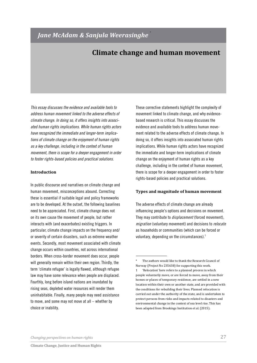## *Jane McAdam & Sanjula Weerasinghe* \*

## **Climate change and human movement**

*This essay discusses the evidence and available tools to address human movement linked to the adverse effects of climate change. In doing so, it offers insights into associated human rights implications. While human rights actors have recognized the immediate and longer-term implications of climate change on the enjoyment of human rights as a key challenge, including in the context of human movement, there is scope for a deeper engagement in order to foster rights-based policies and practical solutions.* 

#### **Introduction**

In public discourse and narratives on climate change and human movement, misconceptions abound. Correcting these is essential if suitable legal and policy frameworks are to be developed. At the outset, the following baselines need to be appreciated. First, climate change does not on its own cause the movement of people, but rather interacts with (and exacerbates) existing triggers. In particular, climate change impacts on the frequency and/ or severity of certain disasters, such as extreme weather events. Secondly, most movement associated with climate change occurs within countries, not across international borders. When cross-border movement does occur, people will generally remain within their own region. Thirdly, the term 'climate refugee' is legally flawed, although refugee law may have some relevance when people are displaced. Fourthly, long before island nations are inundated by rising seas, depleted water resources will render them uninhabitable. Finally, many people may need assistance to move, and some may not move at all – whether by choice or inability.

These corrective statements highlight the complexity of movement linked to climate change, and why evidencebased research is critical. This essay discusses the evidence and available tools to address human movement related to the adverse effects of climate change. In doing so, it offers insights into associated human rights implications. While human rights actors have recognized the immediate and longer-term implications of climate change on the enjoyment of human rights as a key challenge, including in the context of human movement, there is scope for a deeper engagement in order to foster rights-based policies and practical solutions.

#### **Types and magnitude of human movement**

The adverse effects of climate change are already influencing people's options and decisions on movement. They may contribute to *displacement* (forced movement), *migration* (voluntary movement) and decisions to *relocate* as households or communities (which can be forced or voluntary, depending on the circumstances). $<sup>1</sup>$ </sup>

The authors would like to thank the Research Council of Norway (Project No 235638) for supporting this work. 1 'Relocation' here refers to a planned process in which people voluntarily move, or are forced to move, away from their homes or places of temporary residence, are settled in a new location within their own or another state, and are provided with the conditions for rebuilding their lives. Planned relocation is carried out under the authority of the state, and is undertaken to protect persons from risks and impacts related to disasters and environmental change in the context of sea level rise. This has been adapted from Brookings Institution et al. (2015).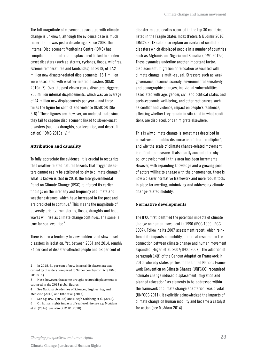The full magnitude of movement associated with climate change is unknown, although the evidence base is much richer than it was just a decade ago. Since 2008, the Internal Displacement Monitoring Centre (IDMC) has compiled data on internal displacement linked to suddenonset disasters (such as storms, cyclones, floods, wildfires, extreme temperatures and landslides). In 2018, of 17.2 million new disaster-related displacements, 16.1 million were associated with weather-related disasters (IDMC 2019a: 7). Over the past eleven years, disasters triggered 265 million internal displacements, which was an average of 24 million new displacements per year – and three times the figure for conflict and violence (IDMC 2019b:  $5-6$ ).<sup>2</sup> These figures are, however, an underestimate since they fail to capture displacement linked to slower-onset disasters (such as droughts, sea level rise, and desertification) (IDMC 2019a:  $v$ ).<sup>3</sup>

#### **Attribution and causality**

To fully appreciate the evidence, it is crucial to recognize that weather-related natural hazards that trigger disasters cannot easily be attributed solely to climate change.<sup>4</sup> What is known is that in 2018, the Intergovernmental Panel on Climate Change (IPCC) reinforced its earlier findings on the intensity and frequency of climate and weather extremes, which have increased in the past and are predicted to continue.<sup>5</sup> This means the magnitude of adversity arising from storms, floods, droughts and heatwaves will rise as climate change continues. The same is true for sea level rise.<sup>6</sup>

There is also a tendency to view sudden- and slow-onset disasters in isolation. Yet, between 2004 and 2014, roughly 34 per cent of disaster-affected people and 58 per cent of

disaster-related deaths occurred in the top 30 countries listed in the Fragile States Index (Peters & Budimir 2016). IDMC's 2018 data also explain an overlap of conflict and disasters which displaced people in a number of countries such as Afghanistan, Nigeria and Somalia (IDMC 2019a). These dynamics underline another important factor: displacement, migration or relocation associated with climate change is multi-causal. Stressors such as weak governance, resource scarcity, environmental sensitivity and demographic changes; individual vulnerabilities associated with age, gender, civil and political status and socio-economic well-being; and other root causes such as conflict and violence, impact on people's resilience, affecting whether they remain in situ (and in what condition), are displaced, or can migrate elsewhere.

This is why climate change is sometimes described in narratives and public discourse as a 'threat multiplier', and why the scale of climate change-related movement is difficult to measure. It also partly accounts for why policy development in this area has been incremental. However, with expanding knowledge and a growing pool of actors willing to engage with the phenomenon, there is now a clearer normative framework and more robust tools in place for averting, minimizing and addressing climate change-related mobility.

#### **Normative developments**

The IPCC first identified the potential impacts of climate change on human movement in 1990 (IPCC 1990; IPCC 1997). Following its 2007 assessment report, which reinforced its impacts on mobility, empirical research on the connection between climate change and human movement expanded (Hegerl et al. 2007; IPCC 2007). The adoption of paragraph 14(f) of the Cancun Adaptation Framework in 2010, whereby states parties to the United Nations Framework Convention on Climate Change (UNFCCC) recognized "climate change induced displacement, migration and planned relocation" as elements to be addressed within the framework of climate change adaptation, was pivotal (UNFCCC 2011). It explicitly acknowledged the impacts of climate change on human mobility and became a catalyst for action (see McAdam 2014).

<sup>2</sup> In 2018, 61 per cent of new internal displacement was caused by disasters compared to 39 per cent by conflict (IDMC 2019a: 6).

<sup>3</sup> Note, however, that some drought-related displacement is captured in the 2018 global figures.

<sup>4</sup> See National Academies of Sciences, Engineering, and Medicine (2016) and Otto et al. (2014).

<sup>5</sup> See e.g. IPCC (2018b) and Hoegh-Guldberg et al. (2018).

<sup>6</sup> On human rights impacts of sea level rise see e.g. McAdam et al. (2016). See also OHCHR (2018).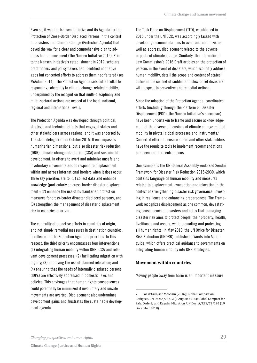Even so, it was the Nansen Initiative and its Agenda for the Protection of Cross-Border Displaced Persons in the context of Disasters and Climate Change (Protection Agenda) that paved the way for a clear and comprehensive plan to address human movement (The Nansen Initiative 2015). Prior to the Nansen Initiative's establishment in 2012, scholars, practitioners and policymakers had identified normative gaps but concerted efforts to address them had faltered (see McAdam 2014). The Protection Agenda sets out a toolkit for responding coherently to climate change-related mobility, underpinned by the recognition that multi-disciplinary and multi-sectoral actions are needed at the local, national, regional and international levels.

The Protection Agenda was developed through political, strategic and technical efforts that engaged states and other stakeholders across regions, and it was endorsed by 109 state delegations in October 2015. It encompasses humanitarian dimensions, but also disaster risk reduction (DRR), climate change adaptation (CCA) and sustainable development, in efforts to avert and minimize unsafe and involuntary movements and to respond to displacement within and across international borders when it does occur. Three key priorities are to: (1) collect data and enhance knowledge (particularly on cross-border disaster displacement); (2) enhance the use of humanitarian protection measures for cross-border disaster displaced persons; and (3) strengthen the management of disaster displacement risk in countries of origin.

The centrality of proactive efforts in countries of origin, and not simply remedial measures in destination countries, is reflected in the Protection Agenda's priorities. In this respect, the third priority encompasses four interventions: (1) integrating human mobility within DRR, CCA and relevant development processes; (2) facilitating migration with dignity; (3) improving the use of planned relocation; and (4) ensuring that the needs of internally displaced persons (IDPs) are effectively addressed in domestic laws and policies. This envisages that human rights consequences could potentially be minimized if involuntary and unsafe movements are averted. Displacement also undermines development gains and frustrates the sustainable development agenda.

The Task Force on Displacement (TFD), established in 2015 under the UNFCCC, was accordingly tasked with developing recommendations to avert and minimize, as well as address, displacement related to the adverse impacts of climate change. Similarly, the International Law Commission's 2016 Draft articles on the protection of persons in the event of disasters, which explicitly address human mobility, detail the scope and content of states' duties in the context of sudden and slow-onset disasters with respect to preventive and remedial actions.

Since the adoption of the Protection Agenda, coordinated efforts (including through the Platform on Disaster Displacement (PDD), the Nansen Initiative's successor) have been undertaken to frame and secure acknowledgement of the diverse dimensions of climate change-related mobility in pivotal global processes and instruments.<sup>7</sup> Concerted efforts to ensure states and other stakeholders have the requisite tools to implement recommendations has been another central focus.

One example is the UN General Assembly-endorsed Sendai Framework for Disaster Risk Reduction 2015-2030, which contains language on human mobility and measures related to displacement, evacuation and relocation in the context of strengthening disaster risk governance, investing in resilience and enhancing preparedness. The Framework recognizes displacement as one common, devastating consequence of disasters and notes that managing disaster risk aims to protect people, their property, health, livelihoods and assets, while promoting and protecting all human rights. In May 2019, the UN Office for Disaster Risk Reduction (UNDRR) published a Words into Action guide, which offers practical guidance to governments on integrating human mobility into DRR strategies.

#### **Movement within countries**

Moving people away from harm is an important measure

<sup>7</sup> For details, see McAdam (2016); Global Compact on Refugees, UN Doc: A/73/12 (2 August 2018); Global Compact for Safe, Orderly and Regular Migration, UN Doc: A/RES/73/195 (19 December 2018).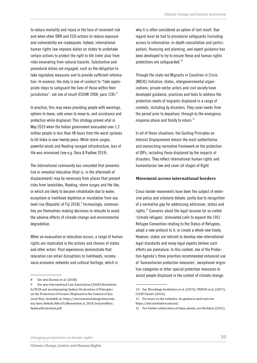to reduce mortality and injury in the face of imminent risk and when other DRR and CCA actions to reduce exposure and vulnerability are inadequate. Indeed, international human rights law imposes duties on states to undertake certain actions to protect the right to life (inter alia) from risks emanating from natural hazards. Substantive and procedural duties are engaged, such as the obligation to take regulatory measures and to provide sufficient information. In essence, the duty is one of conduct to "take appropriate steps to safeguard the lives of those within their jurisdiction", not one of result (ECtHR 2008: para 128).<sup>8</sup>

In practice, this may mean providing people with warnings, options to leave, safe areas to move to, and assistance and protection while displaced. This strategy proved vital in May 2019 when the Indian government evacuated over 1.2 million people in less than 48 hours from the worst cyclones to hit India in over twenty years. While storm surges, powerful winds and flooding ravaged infrastructure, loss of life was minimized (see e.g. Dora & Padhee 2019).

The international community has conceded that preventative or remedial relocation (that is, in the aftermath of displacement) may be necessary from places that present risks from landslides, flooding, storm surges and the like, or which are likely to become inhabitable due to water, ecosystem or livelihood depletion or inundation from sea level rise (Republic of Fiji 2018).<sup>9</sup> Increasingly, communities are themselves making decisions to relocate to avoid the adverse effects of climate change and environmental degradation.

When an evacuation or relocation occurs, a range of human rights are implicated in the actions and choices of states and other actors. Past experiences demonstrate that relocation can entail disruptions to livelihoods, income, socio-economic networks and cultural heritage, which is

why it is often considered an option of last resort. Due regard must be had to procedural safeguards (including access to information, in-depth consultation and participation), financing and planning, and expert guidance has been developed to try to ensure these and human rights protections are safeguarded.10

Through the state-led Migrants in Countries in Crisis (MICIC) Initiative, states, intergovernmental organizations, private sector actors and civil society have developed guidance, practices and tools to address the protection needs of migrants displaced in a range of contexts, including by disasters. They cover needs from the period prior to departure, through to the emergency response phase and finally to return.<sup>11</sup>

In all of these situations, the Guiding Principles on Internal Displacement remain the most authoritative and overarching normative framework on the protection of IDPs, including those displaced by the impacts of disasters. They reflect international human rights and humanitarian law and cover all stages of flight.

#### **Movement across international borders**

Cross-border movements have been the subject of extensive policy and scholarly debate, partly due to recognition of a normative gap for addressing admission, status and rights.12 Concerns about the legal lacunae for so-called 'climate refugees' stimulated calls to expand the 1951 Refugee Convention relating to the Status of Refugees, adopt a new protocol to it, or create a whole new treaty. However, states are reticent to develop new international legal standards and many legal experts believe such efforts are premature. In this context, one of the Protection Agenda's three priorities recommended enhanced use of 'humanitarian protection measures', exceptional migration categories or other special protection measures to assist people displaced in the context of climate change.

<sup>8</sup> See also Burson et al. (2018).

<sup>9</sup> See also International Law Association (2018) Resolution 6/2018 and accompanying Sydney Declaration of Principles on the Protection of Persons Displaced in the Context of Sea Level Rise. Available at: [https://environmentalmigration.iom.](https://environmentalmigration.iom.int/sites/default/files/ILAResolution_6_2018_SeaLevelRise_SydneyDeclaration.pdf) [int/sites/default/files/ILAResolution\\_6\\_2018\\_SeaLevelRise\\_](https://environmentalmigration.iom.int/sites/default/files/ILAResolution_6_2018_SeaLevelRise_SydneyDeclaration.pdf) [SydneyDeclaration.pdf.](https://environmentalmigration.iom.int/sites/default/files/ILAResolution_6_2018_SeaLevelRise_SydneyDeclaration.pdf)

<sup>10</sup> See Brookings Institution et al. (2015); UNHCR et al. (2017); CCCM Cluster (2014).

<sup>11</sup> For more on the initiative, its guidance and tools see [https://micicinitiative.iom.int/.](https://micicinitiative.iom.int/)

<sup>12</sup> For further elaboration of these points, see McAdam (2012).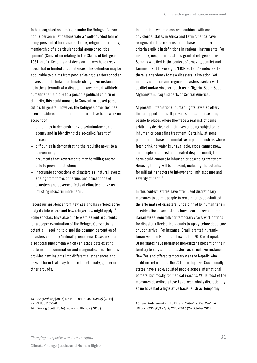To be recognized as a refugee under the Refugee Convention, a person must demonstrate a "well-founded fear of being persecuted for reasons of race, religion, nationality, membership of a particular social group or political opinion" (Convention relating to the Status of Refugees 1951: art 1). Scholars and decision-makers have recognized that in limited circumstances, this definition may be applicable to claims from people fleeing disasters or other adverse effects linked to climate change. For instance, if, in the aftermath of a disaster, a government withheld humanitarian aid due to a person's political opinion or ethnicity, this could amount to Convention-based persecution. In general, however, the Refugee Convention has been considered an inappropriate normative framework on account of:

- difficulties in demonstrating discriminatory human agency and in identifying the so-called 'agent of persecution';
- difficulties in demonstrating the requisite nexus to a Convention ground;
- arguments that governments may be willing and/or able to provide protection;
- inaccurate conceptions of disasters as 'natural' events arising from forces of nature, and conceptions of disasters and adverse effects of climate change as inflicting indiscriminate harm.

Recent jurisprudence from New Zealand has offered some insights into where and how refugee law might apply.<sup>13</sup> Some scholars have also put forward salient arguments for a deeper examination of the Refugee Convention's potential,<sup>14</sup> seeking to dispel the common perception of disasters as purely 'natural' phenomena. Disasters are also social phenomena which can exacerbate existing patterns of discrimination and marginalization. This lens provides new insights into differential experiences and risks of harm that may be based on ethnicity, gender or other grounds.

In situations where disasters combined with conflict or violence, states in Africa and Latin America have recognized refugee status on the basis of broader criteria explicit in definitions in regional instruments. For instance, neighbouring states granted refugee status to Somalis who fled in the context of drought, conflict and famine in 2011 (see e.g. UNHCR 2018). As noted earlier, there is a tendency to view disasters in isolation. Yet, in many countries and regions, disasters overlap with conflict and/or violence, such as in Nigeria, South Sudan, Afghanistan, Iraq and parts of Central America.

At present, international human rights law also offers limited opportunities. It prevents states from sending people to places where they face a real risk of being arbitrarily deprived of their lives or being subjected to inhuman or degrading treatment. Certainly, at some point, on the basis of cumulative impacts (such as where fresh drinking water is unavailable, crops cannot grow, and people are at risk of repeated displacement), the harm could amount to inhuman or degrading treatment. However, timing will be relevant, including the potential for mitigating factors to intervene to limit exposure and severity of harm.<sup>15</sup>

In this context, states have often used discretionary measures to permit people to remain, or to be admitted, in the aftermath of disasters. Underpinned by humanitarian considerations, some states have issued special humanitarian visas, generally for temporary stays, with options for disaster-affected individuals to apply before departure or upon arrival. For instance, Brazil granted humanitarian visas to Haitians following the 2010 earthquake. Other states have permitted non-citizens present on their territory to stay after a disaster has struck. For instance, New Zealand offered temporary visas to Nepalis who could not return after the 2015 earthquake. Occasionally, states have also evacuated people across international borders, but mostly for medical reasons. While most of the measures described above have been wholly discretionary, some have had a legislative basis (such as Temporary

<sup>13</sup> *AF (Kiribati)* [2013] NZIPT 800413; *AC (Tuvalu)* [2014] NZIPT 800517-520.

<sup>14</sup> See e.g. Scott (2016); note also UNHCR (2018).

<sup>15</sup> See Anderson et al. (2019) and *Teitiota v New Zealand*, UN doc: CCPR/C/127/D/2728/2016 (24 October 2019).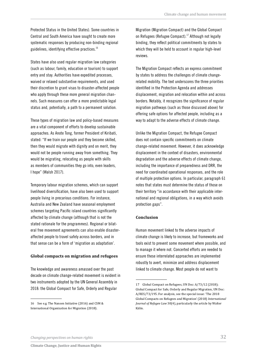Protected Status in the United States). Some countries in Central and South America have sought to create more systematic responses by producing non-binding regional guidelines, identifying effective practices. $16$ 

States have also used regular migration law categories (such as labour, family, education or tourism) to support entry and stay. Authorities have expedited processes, waived or relaxed substantive requirements, and used their discretion to grant visas to disaster-affected people who apply through these more general migration channels. Such measures can offer a more predictable legal status and, potentially, a path to a permanent solution.

These types of migration law and policy-based measures are a vital component of efforts to develop sustainable approaches. As Anote Tong, former President of Kiribati, stated: "If we train our people and they become skilled, then they would migrate with dignity and on merit, they would not be people running away from something. They would be migrating, relocating as people with skills as members of communities they go into, even leaders, I hope" (Walsh 2017).

Temporary labour migration schemes, which can support livelihood diversification, have also been used to support people living in precarious conditions. For instance, Australia and New Zealand have seasonal employment schemes targeting Pacific island countries significantly affected by climate change (although that is not the stated rationale for the programmes). Regional or bilateral free movement agreements can also enable disasteraffected people to travel safely across borders, and in that sense can be a form of 'migration as adaptation'.

#### **Global compacts on migration and refugees**

The knowledge and awareness amassed over the past decade on climate change-related movement is evident in two instruments adopted by the UN General Assembly in 2018: the Global Compact for Safe, Orderly and Regular

Migration (Migration Compact) and the Global Compact on Refugees (Refugee Compact).<sup>17</sup> Although not legally binding, they reflect political commitments by states to which they will be held to account in regular high-level reviews.

The Migration Compact reflects an express commitment by states to address the challenges of climate changerelated mobility. The text underscores the three priorities identified in the Protection Agenda and addresses displacement, migration and relocation within and across borders. Notably, it recognizes the significance of regular migration pathways (such as those discussed above) for offering safe options for affected people, including as a way to adapt to the adverse effects of climate change.

Unlike the Migration Compact, the Refugee Compact does not contain specific commitments on climate change-related movement. However, it does acknowledge displacement in the context of disasters, environmental degradation and the adverse effects of climate change, including the importance of preparedness and DRR, the need for coordinated operational responses, and the role of multiple protection options. In particular, paragraph 61 notes that states must determine the status of those on their territory "in accordance with their applicable international and regional obligations, in a way which avoids protection gaps".

#### **Conclusion**

Human movement linked to the adverse impacts of climate change is likely to increase, but frameworks and tools exist to prevent some movement where possible, and to manage it where not. Concerted efforts are needed to ensure these interrelated approaches are implemented robustly to avert, minimize and address displacement linked to climate change. Most people do not want to

<sup>16</sup> See e.g. The Nansen Initiative (2016) and CSM & International Organization for Migration (2018).

<sup>17</sup> Global Compact on Refugees, UN Doc: A/73/12 (2018); Global Compact for Safe, Orderly and Regular Migration, UN Doc: A/RES/73/195. For analysis, see the special issue: 'The 2018 Global Compacts on Refugees and Migration' (2018) *International Journal of Refugee Law* 30(4), particularly the article by Walter Kälin.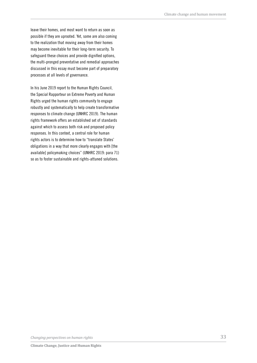leave their homes, and most want to return as soon as possible if they are uprooted. Yet, some are also coming to the realization that moving away from their homes may become inevitable for their long-term security. To safeguard these choices and provide dignified options, the multi-pronged preventative and remedial approaches discussed in this essay must become part of preparatory processes at all levels of governance.

In his June 2019 report to the Human Rights Council, the Special Rapporteur on Extreme Poverty and Human Rights urged the human rights community to engage robustly and systematically to help create transformative responses to climate change (UNHRC 2019). The human rights framework offers an established set of standards against which to assess both risk and proposed policy responses. In this context, a central role for human rights actors is to determine how to "translate States' obligations in a way that more clearly engages with [the available] policymaking choices" (UNHRC 2019: para 71) so as to foster sustainable and rights-attuned solutions.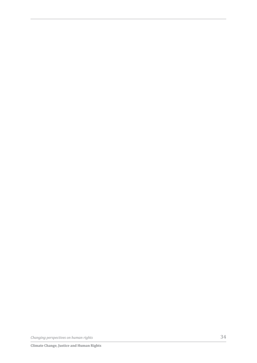*Changing perspectives on human rights*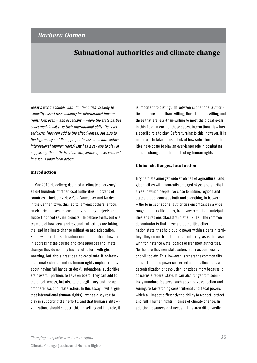#### *Barbara Oomen*

## **Subnational authorities and climate change**

*Today's world abounds with 'frontier cities' seeking to explicitly assert responsibility for international human rights law, even – and especially – where the state parties concerned do not take their international obligations as seriously. They can add to the effectiveness, but also to the legitimacy and the appropriateness of climate action. International (human rights) law has a key role to play in supporting their efforts. There are, however, risks involved in a focus upon local action.* 

#### **Introduction**

In May 2019 Heidelberg declared a 'climate emergency', as did hundreds of other local authorities in dozens of countries – including New York, Vancouver and Naples. In the German town, this led to, amongst others, a focus on electrical buses, reconsidering building projects and supporting food saving projects. Heidelberg forms but one example of how local and regional authorities are taking the lead in climate change mitigation and adaptation. Small wonder that such subnational authorities show up in addressing the causes and consequences of climate change: they do not only have a lot to lose with global warming, but also a great deal to contribute. If addressing climate change and its human rights implications is about having 'all hands on deck', subnational authorities are powerful partners to have on board. They can add to the effectiveness, but also to the legitimacy and the appropriateness of climate action. In this essay, I will argue that international (human rights) law has a key role to play in supporting their efforts, and that human rights organizations should support this. In setting out this role, it

is important to distinguish between subnational authorities that are more-than-willing, those that are willing and those that are less-than-willing to meet the global goals in this field. In each of these cases, international law has a specific role to play. Before turning to this, however, it is important to take a closer look at how subnational authorities have come to play an ever-larger role in combating climate change and thus protecting human rights.

#### **Global challenges, local action**

Tiny hamlets amongst wide stretches of agricultural land, global cities with monorails amongst skyscrapers, tribal areas in which people live close to nature, regions and states that encompass both and everything in between – the term subnational authorities encompasses a wide range of actors like cities, local governments, municipalities and regions (Bäckstrand et al. 2017). The common denominator is that these are authorities other than the nation state, that hold public power within a certain territory. They do not hold functional authority, as is the case with for instance water boards or transport authorities. Neither are they non-state actors, such as businesses or civil society. This, however, is where the commonality ends. The public power concerned can be allocated via decentralization or devolution, or exist simply because it concerns a federal state. It can also range from seemingly mundane features, such as garbage collection and zoning, to far-fetching constitutional and fiscal powers which all impact differently the ability to respect, protect and fulfill human rights in times of climate change. In addition, resources and needs in this area differ vastly.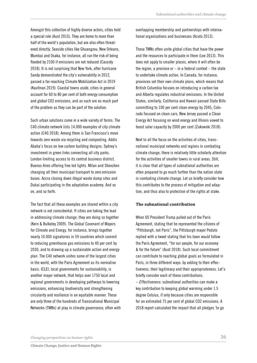Amongst this collection of highly diverse actors, cities hold a special role (Aust 2015). They are home to more than half of the world's population, but are also often threatened directly. Seaside cities like Ghuangzou, New Orleans, Mumbai and Osaka, for instance, all run the risk of being flooded by 2100 if emissions are not reduced (Cassidy 2018). It is not surprising that New York, after hurricane Sandy demonstrated the city's vulnerability in 2012, passed a far-reaching Climate Mobilization Act in 2019 (Kaufman 2019). Coastal towns aside, cities in general account for 60 to 80 per cent of both energy consumption and global CO2 emissions, and as such are as much part of the problem as they can be part of the solution.

Such urban solutions come in a wide variety of forms. The C40 climate network lists 14.000 examples of city climate action (C40 2018). Among them is San Francisco's move towards zero waste via recycling and composting. Addis Ababa's focus on low carbon building designs. Sydney's investment in green links connecting all city parks. London limiting access to its central business district. Buenos Aires offering free led lights. Milan and Shenzhen changing all their municipal transport to zero emission buses. Accra closing down illegal waste dump sites and Dubai participating in the adaptation academy. And so on, and so forth.

The fact that all these examples are shared within a city network is not coincidental. If cities are taking the lead in addressing climate change, they are doing so together (Kern & Bulkeley 2009). The Global Covenant of Mayors for Climate and Energy, for instance, brings together nearly 10.000 signatories in 59 countries which commit to reducing greenhouse gas emissions to 40 per cent by 2030, and to drawing up a sustainable action and energy plan. The C40 network unites some of the largest cities in the world, with the Paris Agreement as its normative basis. ICLEI, local governments for sustainability, is another mayor network, that helps over 1750 local and regional governments in developing pathways to lowering emissions, enhancing biodiversity and strengthening circularity and resilience in an equitable manner. These are only three of the hundreds of Transnational Municipal Networks (TMNs) at play in climate governance, often with overlapping membership and partnerships with international organizations and businesses (Acuto 2013).

These TMNs often unite global cities that have the power and the resources to participate in them (Lee 2013). This does not apply to smaller places, where it will often be the region, a province or  $-$  in a federal context  $-$  the state to undertake climate action. In Canada, for instance, provinces set their own climate plans, which means that British Columbia focuses on introducing a carbon tax and Alberta regulates industrial emissions. In the United States, similarly, California and Hawaii passed State Bills committing to 100 per cent clean energy by 2045, Colorado focused on clean cars, New Jersey passed a Clean Energy Act focusing on wind energy and Illinois vowed to boost solar capacity by 2000 per cent (Zukowski 2018).

Next to all the focus on the activities of cities, transnational municipal networks and regions in combating climate change, there is relatively little scholarly attention for the activities of smaller towns in rural areas. Still, it is clear that all types of subnational authorities are often prepared to go much further than the nation state in combating climate change. Let us briefly consider how this contributes to the process of mitigation and adaption, and thus also to protection of the rights at stake.

## **The subnational contribution**

When US President Trump pulled out of the Paris Agreement, stating that he represented the citizens of "Pittsburgh, not Paris", the Pittsburgh mayor Peduto replied with a tweet stating that his town would follow the Paris Agreement, "for our people, for our economy & for the future" (Aust 2018). Such local commitment can contribute to reaching global goals as formulated in Paris, in three different ways: by adding to their effectiveness, their legitimacy and their appropriateness. Let's briefly consider each of these contributions. *– Effectiveness:* subnational authorities can make a key contribution to keeping global warming under 1.5 degree Celsius, if only because cities are responsible

for an estimated 75 per cent of global CO2 emissions. A 2018 report calculated the impact that all pledges 'to go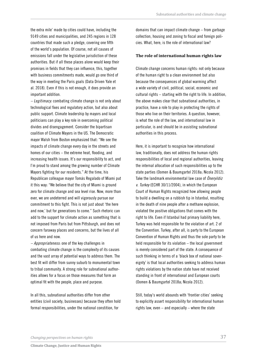the extra mile' made by cities could have, including the 9149 cities and municipalities, and 245 regions in 128 countries that made such a pledge, covering one fifth of the world's population. Of course, not all causes of emissions fall under the legislative jurisdiction of these authorities. But if all these places alone would keep their promises in fields that they can influence, this, together with business commitments made, would go one third of the way in meeting the Paris goals (Data Driven Yale et al. 2018). Even if this is not enough, it does provide an important addition.

*– Legitimacy:* combating climate change is not only about technological fixes and regulatory action, but also about public support. Climate leadership by mayors and local politicians can play a key role in overcoming political divides and disengagement. Consider the bipartisan coalition of Climate Mayors in the US. The Democratic mayor Walsh from Boston emphasized that: "We see the impacts of climate change every day in the streets and homes of our cities – the extreme heat, flooding, and increasing health issues. It's our responsibility to act, and I'm proud to stand among the growing number of Climate Mayors fighting for our residents." At the time, his Republican colleague mayor Tomás Regalado of Miami put it this way: "We believe that the city of Miami is ground zero for climate change and sea level rise. Now, more than ever, we are undeterred and will vigorously pursue our commitment to this fight. This is not just about 'the here and now,' but for generations to come." Such rhetoric can add to the support for climate action as something that is not imposed from Paris but from Pittsburgh, and does not concern faraway places and concerns, but the lives of all of us here and now.

*– Appropriateness*: one of the key challenges in combating climate change is the complexity of its causes and the vast array of potential ways to address them. The best fit will differ from sunny suburb to monumental town to tribal community. A strong role for subnational authorities allows for a focus on those measures that form an optimal fit with the people, place and purpose.

In all this, subnational authorities differ from other entities (civil society, businesses) because they often hold formal responsibilities, under the national constition, for

domains that can impact climate change – from garbage collection, housing and zoning to fiscal and foreign policies. What, here, is the role of international law?

#### **The role of international human rights law**

Climate change concerns human rights: not only because of the human right to a clean environment but also because the consequences of global warming affect a wide variety of civil, political, social, economic and cultural rights – starting with the right to life. In addition, the above makes clear that subnational authorities, in practice, have a role to play in protecting the rights of those who live on their territories. A question, however, is what the role of the law, and international law in particular, is and should be in assisting subnational authorities in this process.

Here, it is important to recognize how international law, traditionally, does not address the human rights responsibilities of local and regional authorities, leaving the internal allocation of such responsibilities up to the state parties (Oomen & Baumgartel 2018a; Nicola 2012). Take the landmark environmental law case of *Öneryildiz v. Turkey* (ECHR 30/11/2004), in which the European Court of Human Rights recognized how allowing people to build a dwelling on a rubbish tip in Istanbul, resulting in the death of nine people after a methane explosion, violated the positive obligations that comes with the right to life. Even if Istanbul had primary liability here, Turkey was held responsible for the violation of art. 2 of the Convention. Turkey, after all, is party to the European Convention of Human Rights and thus the sole party to be held responsible for its violation – the local government is merely considered part of the state. A consequence of such thinking in terms of a 'black box of national sovereignty' is that local authorities seeking to address human rights violations by the nation state have not received standing in front of international and European courts (Oomen & Baumgartel 2018a; Nicola 2012).

Still, today's world abounds with 'frontier cities' seeking to explicitly assert responsibility for international human rights law, even  $-$  and especially  $-$  where the state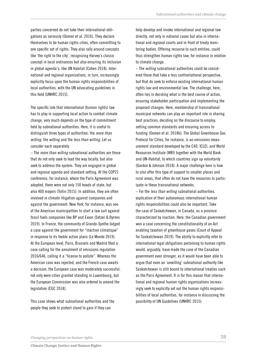parties concerned do not take their international obligations as seriously (Oomen et al. 2016). They declare themselves to be human rights cities, often committing to one specific set of rights. They also rally around concepts like 'the right to the city', recognizing Harvey's classic concept in local ordinances but also ensuring its inclusion in global agenda's, like UN Habitat (Cohen 2018). International and regional organizations, in turn, increasingly explicitly focus upon the human rights responsibilities of local authorities, with the UN advocating guidelines in this field (UNHRC 2015).

The specific role that international (human rights) law has to play in supporting local action to combat climate change, very much depends on the type of commitment held by subnational authorities. Here, it is useful to distinguish three types of authorities: the *more than willing*, the *willing* and the *less than willing*. Let us consider each separately.

– The *more than willing* subnational authorities are those that do not only seek to lead the way locally, but also seek to address the system. They are engaged in global and regional agenda and standard setting. At the COP21 conference, for instance, where the Paris Agreement was adopted, there were not only 150 heads of state, but also 400 mayors (Tollin 2015). In addition, they are often involved in climate litigation against companies and against the government. New York, for instance, was one of the American municipalities to start a law suit against fossil fuels companies like BP and Exxon (Setzer & Byrnes 2019). In France, the community of Grande-Synthe lodged a case against the government for "inaction climatique" in response to its feeble action plans (Le Monde 2019). At the European level, Paris, Brussels and Madrid filed a case calling for the annulment of emissions regulation 2016/646, calling it a "license to pollute". Whereas the American case was rejected, and the French case awaits a decision, the European case was moderately successful: not only were cities granted standing in Luxembourg, but the European Commission was also ordered to amend the legislation (EGC 2018).

This case shows what subnational authorities and the people they seek to protect stand to gain if they can

help develop and invoke international and regional law directly, not only in national cases but also in international and regional courts and in front of treaty monitoring bodies. Offering recourse to such entities, could thus strengthen human rights law, for instance in relation to climate change.

– The *willing* subnational authorities could be considered those that take a less confrontational perspective, but that do seek to enforce existing international human rights law and environmental law. The challenge, here, often lies in deciding what is the best course of action, ensuring stakeholder participation and implementing the proposed changes. Here, membership of transnational municipal networks can play an important role in sharing best practices, deciding on the discourse to employ, setting common standards and ensuring access to funding (Oomen et al. 2018b). The Global Greenhouse Gas Protocol for Cities, for instance, is an emissions measurement standard developed by the C40, ICLEI, and World Resources Institute (WRI) together with the World Bank and UN-Habitat, to which countries sign up voluntarily (Gordon & Johnson 2018). A major challenge here is how to also offer this type of support to smaller places and rural areas, that often do not have the resources to participate in these transnational networks.

– For the *less than willing* subnational authorities, explication of their autonomous international human rights responsibilities could also be important. Take the case of Saskatchewan, in Canada, as a province characterized by inaction. Here, the Canadian government won a case concerning the constitutionality of an Act enabling taxation of greenhouse gases (Court of Appeal for Saskatchewan 2019). The ability to explicitly refer to international legal obligations pertaining to human rights would, arguably, have made the case of the Canadian government even stronger, as it would have been able to argue that even an 'unwilling' subnational authority like Saskatchewan is still bound to international treaties such as the Paris Agreement. It is for this reason that international and regional human rights organizations increasingly seek to explicitly set out the human rights responsibilities of local authorities, for instance in discussing the possibility of UN Guidelines (UNHRC 2015).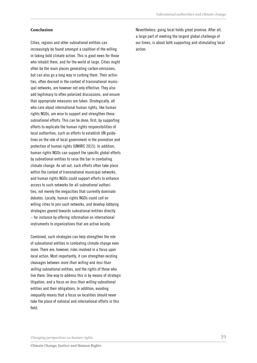#### **Conclusion**

Cities, regions and other subnational entities can increasingly be found amongst a coalition of the willing in taking bold climate action. This is good news for those who inhabit them, and for the world at large. Cities might often be the main places generating carbon emissions, but can also go a long way in curbing them. Their activities, often devised in the context of transnational municipal networks, are however not only effective. They also add legitimacy to often polarized discussions, and ensure that appropriate measures are taken. Strategically, all who care about international human rights, like human rights NGOs, are wise to support and strengthen these subnational efforts. This can be done, first, by supporting efforts to explicate the human rights responsibilities of local authorities, such as efforts to establish UN guidelines on the role of local government in the promotion and protection of human rights (UNHRC 2015). In addition, human rights NGOs can support the specific global efforts by subnational entities to raise the bar in combating climate change. As set out, such efforts often take place within the context of transnational municipal networks, and human rights NGOs could support efforts to enhance access to such networks for all subnational authorities, not merely the megacities that currently dominate debates. Locally, human rights NGOs could call on willing cities to join such networks, and develop lobbying strategies geared towards subnational entities directly – for instance by offering information on international instruments to organizations that are active locally.

Combined, such strategies can help strengthen the role of subnational entities in combating climate change even more. There are, however, risks involved in a focus upon local action. Most importantly, it can strengthen existing cleavages between *more than willing* and *less than willing* subnational entities, and the rights of those who live there. One way to address this is by means of strategic litigation, and a focus on *less than willing* subnational entities and their obligations. In addition, avoiding inequality means that a focus on localities should never take the place of national and international efforts in this field.

Nevertheless, going local holds great promise. After all, a large part of meeting the largest global challenge of our times, is about both supporting and stimulating local action.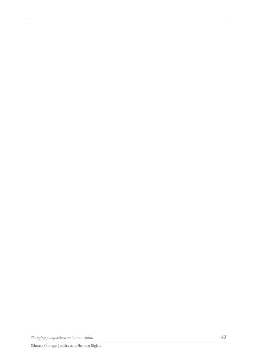*Changing perspectives on human rights*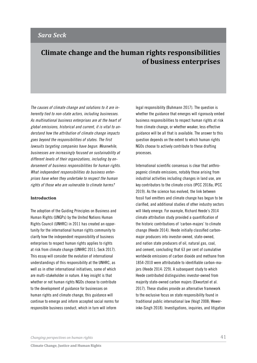## *Sara Seck*

# **Climate change and the human rights responsibilities of business enterprises**

*The causes of climate change and solutions to it are inherently tied to non-state actors, including businesses. As multinational business enterprises are at the heart of global emissions, historical and current, it is vital to understand how the attribution of climate change impacts goes beyond the responsibilities of states. The first lawsuits targeting companies have begun. Meanwhile, businesses are increasingly focused on sustainability at different levels of their organizations, including by endorsement of business responsibilities for human rights. What independent responsibilities do business enterprises have when they undertake to respect the human rights of those who are vulnerable to climate harms?*

## **Introduction**

The adoption of the Guiding Principles on Business and Human Rights (UNGPs) by the United Nations Human Rights Council (UNHRC) in 2011 has created an opportunity for the international human rights community to clarify how the independent responsibility of business enterprises to respect human rights applies to rights at risk from climate change (UNHRC 2011; Seck 2017). This essay will consider the evolution of international understandings of this responsibility at the UNHRC, as well as in other international initiatives, some of which are multi-stakeholder in nature. A key insight is that whether or not human rights NGOs choose to contribute to the development of guidance for businesses on human rights and climate change, this guidance will continue to emerge and inform accepted social norms for responsible business conduct, which in turn will inform

legal responsibility (Buhmann 2017). The question is whether the guidance that emerges will rigorously embed business responsibilities to respect human rights at risk from climate change, or whether weaker, less effective guidance will be all that is available. The answer to this question depends on the extent to which human rights NGOs choose to actively contribute to these drafting processes.

International scientific consensus is clear that anthropogenic climate emissions, notably those arising from industrial activities including changes in land use, are key contributors to the climate crisis (IPCC 2018a; IPCC 2019). As the science has evolved, the link between fossil fuel emitters and climate change has begun to be clarified, and additional studies of other industry sectors will likely emerge. For example, Richard Heede's 2014 climate attribution study provided a quantification of the historic contributions of 'carbon-majors' to climate change (Heede 2014). Heede initially classified carbonmajor producers into investor-owned, state-owned, and nation state producers of oil, natural gas, coal, and cement, concluding that 63 per cent of cumulative worldwide emissions of carbon dioxide and methane from 1854-2010 were attributable to identifiable carbon-majors (Heede 2014: 229). A subsequent study to which Heede contributed distinguishes investor-owned from majority state-owned carbon majors (Ekwurtzel et al. 2017). These studies provide an alternative framework to the exclusive focus on state responsibility found in traditional public international law (Voigt 2008; Wewerinke-Singh 2018). Investigations, inquiries, and litigation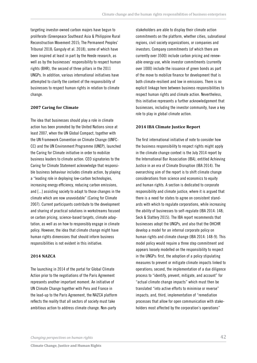targeting investor-owned carbon majors have begun to proliferate (Greenpeace Southeast Asia & Philippine Rural Reconstruction Movement 2015; The Permanent Peoples' Tribunal 2018; Ganguly et al. 2018), some of which have been inspired at least in part by the Heede research, as well as by the businesses' responsibility to respect human rights (BHR), the second of three pillars in the 2011 UNGPs. In addition, various international initiatives have attempted to clarify the content of the responsibility of businesses to respect human rights in relation to climate change.

## **2007 Caring for Climate**

The idea that businesses should play a role in climate action has been promoted by the United Nations since at least 2007, when the UN Global Compact, together with the UN Framework Convention on Climate Change (UNFC-CC) and the UN Environment Programme (UNEP), launched the Caring for Climate initiative in order to mobilize business leaders to climate action. CEO signatories to the Caring for Climate Statement acknowledge that responsible business behaviour includes climate action, by playing a "leading role in deploying low-carbon technologies, increasing energy efficiency, reducing carbon emissions, and [...] assisting society to adapt to those changes in the climate which are now unavoidable" (Caring for Climate 2007). Current participants contribute to the development and sharing of practical solutions in workstreams focused on carbon pricing, science-based targets, climate adaptation, as well as on how to responsibly engage in climate policy. However, the idea that climate change might have human rights dimensions that should inform business responsibilities is not evident in this initiative.

## **2014 NAZCA**

The launching in 2014 of the portal for Global Climate Action prior to the negotiations of the Paris Agreement represents another important moment. An initiative of UN Climate Change together with Peru and France in the lead-up to the Paris Agreement, the NAZCA platform reflects the reality that all sectors of society must take ambitious action to address climate change. Non-party

stakeholders are able to display their climate action commitments on the platform, whether cities, subnational regions, civil society organizations, or companies and investors. Company commitments (of which there are currently over 3500) include carbon pricing and renewable energy use, while investor commitments (currently over 1000) include the issuance of green bonds as part of the move to mobilize finance for development that is both climate-resilient and low in emissions. There is no explicit linkage here between business responsibilities to respect human rights and climate action. Nevertheless, this initiative represents a further acknowledgement that businesses, including the investor community, have a key role to play in global climate action.

## **2014 IBA Climate Justice Report**

The first international initiative of note to consider how the business responsibility to respect rights might apply in the climate change context is the July 2014 report by the International Bar Association (IBA), entitled Achieving Justice in an era of Climate Disruption (IBA 2014). The overarching aim of the report is to shift climate change considerations from science and economics to equity and human rights. A section is dedicated to corporate responsibility and climate justice, where it is argued that there is a need for states to agree on consistent standards with which to regulate corporations, while increasing the ability of businesses to self-regulate (IBA 2014: 148; Seck & Slattery 2015). The IBA report recommends that businesses adopt the UNGPs, and also that the OHCHR develop a model for an internal corporate policy on human rights and climate change (IBA 2014: 148-9). This model policy would require a three step commitment and appears loosely modelled on the responsibility to respect in the UNGPs: first, the adoption of a policy stipulating measures to prevent or mitigate climate impacts linked to operations; second, the implementation of a due diligence process to "identify, prevent, mitigate, and account" for "actual climate change impacts" which must then be translated "into active efforts to minimise or reverse" impacts; and, third, implementation of "remediation processes that allow for open communication with stakeholders most affected by the corporation's operations"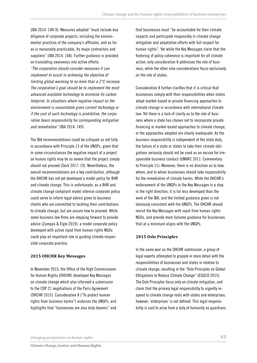(IBA 2014: 148-9). Measures adopted "must include due diligence of corporate projects, including the environmental practices of the company's affiliates, and as far as is reasonably practicable, its major contractors and suppliers" (IBA 2014: 148). Further guidance is provided on translating awareness into active efforts:

*"The corporation should consider measures it can implement to assist in achieving the objective of limiting global warming to no more than a 2°C increase. The corporation's goal should be to implement the most advanced available technology to minimise its carbon footprint. In situations where negative impact on the environment is unavoidable given current technology or if the cost of such technology is prohibitive, the corporation bears responsibility for corresponding mitigation and remediation"* (IBA 2014: 149).

The IBA recommendations could be critiqued as not fully in accordance with Principle 13 of the UNGPs, given that in some circumstances the negative impact of a project on human rights may be so severe that the project simply should not proceed (Seck 2017: 19). Nevertheless, the overall recommendations are a key contribution, although the OHCHR has not yet developed a model policy for BHR and climate change. This is unfortunate, as a BHR and climate change compliant model internal corporate policy could serve to inform legal advice given to business clients who are committed to tackling their contributions to climate change, but are unsure how to proceed. While some business law firms are stepping forward to provide advice (Zampas & Elgie 2019), a model corporate policy developed with active input from human rights NGOs could play an important role in guiding climate responsible corporate practice.

## **2015 OHCHR Key Messages**

In November 2015, the Office of the High Commissioner for Human Rights (OHCHR) developed Key Messages on climate change which also informed a submission to the COP 21 negotiations of the Paris Agreement (OHCHR 2015). Consideration 8 ("To protect human rights from business harms") endorses the UNGPs, and highlights that "businesses are also duty-bearers" and

that businesses must "be accountable for their climate impacts and participate responsibly in climate change mitigation and adaptation efforts with full respect for human rights". Yet while the Key Messages claim that the fostering of policy coherence is important for all climate action, only consideration 8 addresses the role of business, while the other nine considerations focus exclusively on the role of states.

Consideration 8 further clarifies that it is critical that businesses comply with their responsibilities when states adopt market-based or private financing approaches to climate change in accordance with international climate law. Yet there is a lack of clarity as to the role of business where a state has chosen not to incorporate private financing or market-based approaches to climate change, or the approaches adopted are clearly inadequate. As the business responsibility is independent of the state duty, the failure of a state or states to take their climate obligations seriously should not be used as an excuse for irresponsible business conduct (UNHRC 2011: Commentary to Principle 11). Moreover, there is no direction as to how, where, and to whom businesses should take responsibility for the remediation of climate harms. While the OHCHR's endorsement of the UNGPs in the Key Messages is a step in the right direction, it is far less developed than the work of the IBA, and the limited guidance given is not obviously consistent with the UNGPs. The OHCHR should revisit the Key Messages with input from human rights NGOs, and provide more fulsome guidance for businesses that at a minimum aligns with the UNGPs.

## **2015 Oslo Principles**

In the same year as the OHCHR submission, a group of legal experts attempted to grapple in more detail with the responsibilities of businesses and states in relation to climate change, resulting in the "Oslo Principles on Global Obligations to Reduce Climate Change" (EGGCO 2015). The Oslo Principles focus only on climate mitigation, and claim that the primary legal responsibility to urgently respond to climate change rests with states and enterprises; however, 'enterprises' is not defined. This legal responsibility is said to arise from a duty of humanity as guardians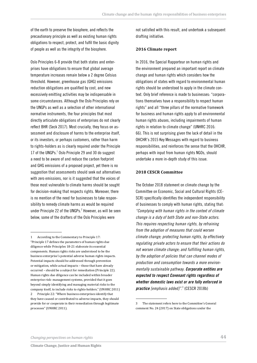of the earth to preserve the biosphere, and reflects the precautionary principle as well as existing human rights obligations to respect, protect, and fulfil the basic dignity of people as well as the integrity of the biosphere.

Oslo Principles 6-8 provide that both states and enterprises have obligations to ensure that global average temperature increases remain below a 2 degree Celsius threshold. However, greenhouse gas (GHG) emissions reduction obligations are qualified by cost, and new excessively emitting activities may be indispensable in some circumstances. Although the Oslo Principles rely on the UNGPs as well as a selection of other international normative instruments, the four principles that most directly articulate obligations of enterprises do not clearly reflect BHR (Seck 2017). Most crucially, they focus on assessment and disclosure of harms to the enterprise itself, or its investors, or perhaps customers, rather than harm to rights-holders as is clearly required under the Principle 17 of the UNGPs.<sup>1</sup> Oslo Principle 29 and 30 do suggest a need to be aware of and reduce the carbon footprint and GHG emissions of a proposed project, yet there is no suggestion that assessments should seek out alternatives with zero emissions, nor is it suggested that the voices of those most vulnerable to climate harms should be sought for decision-making that respects rights. Moreover, there is no mention of the need for businesses to take responsibility to remedy climate harms as would be required under Principle 22 of the UNGPs.<sup>2</sup> However, as will be seen below, some of the drafters of the Oslo Principles were

not satisfied with this result, and undertook a subsequent drafting initiative.

#### **2016 Climate report**

In 2016, the Special Rapporteur on human rights and the environment prepared an important report on climate change and human rights which considers how the obligations of states with regard to environmental human rights should be understood to apply in the climate context. Only brief reference is made to businesses: "corporations themselves have a responsibility to respect human rights" and all "three pillars of the normative framework for business and human rights apply to all environmental human rights abuses, including impairments of human rights in relation to climate change" (UNHRC 2016: 66). This is not surprising given the lack of detail in the OHCHR's 2015 Key Messages with regard to business responsibilities, and reinforces the sense that the OHCHR, perhaps with input from human rights NGOs, should undertake a more in-depth study of this issue.

#### **2018 CESCR Committee**

The October 2018 statement on climate change by the Committee on Economic, Social and Cultural Rights (CE-SCR) specifically identifies the independent responsibility of businesses to comply with human rights, stating that: *"Complying with human rights in the context of climate change is a duty of both State and non-State actors. This requires respecting human rights, by refraining from the adoption of measures that could worsen climate change; protecting human rights, by effectively regulating private actors to ensure that their actions do not worsen climate change; and fulfilling human rights, by the adoption of policies that can channel modes of production and consumption towards a more environmentally sustainable pathway.* Corporate entities are *expected to respect Covenant rights regardless of whether domestic laws exist or are fully enforced in practice [emphasis added]".*<sup>3</sup> (CESCR 2018b)

<sup>1</sup> According to the Commentary to Principle 17: "Principle 17 defines the parameters of human rights due diligence while Principles 18-21 elaborate its essential components. Human rights risks are understood to be the business enterprise's potential adverse human rights impacts. Potential impacts should be addressed through prevention or mitigation, while actual impacts – those that have already occurred – should be a subject for remediation (Principle 22). Human rights due diligence can be included within broader enterprise risk- management systems, provided that it goes beyond simply identifying and managing material risks to the company itself, to include risks to rights-holders." (UNHRC 2011) 2 Principle 22: "Where business enterprises identify that they have caused or contributed to adverse impacts, they should provide for or cooperate in their remediation through legitimate processes" (UNHRC 2011).

<sup>3</sup> The statement refers here to the Committee's General comment No. 24 (2017) on State obligations under the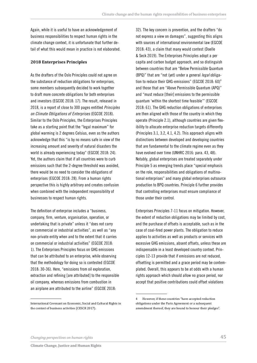Again, while it is useful to have an acknowledgement of business responsibilities to respect human rights in the climate change context, it is unfortunate that further detail of what this would mean in practice is not elaborated.

## **2018 Enterprises Principles**

As the drafters of the Oslo Principles could not agree on the substance of reduction obligations for enterprises, some members subsequently decided to work together to draft more concrete obligations for both enterprises and investors (EGCOE 2018: 17). The result, released in 2018, is a report of close to 300 pages entitled *Principles on Climate Obligations of Enterprises* (EGCOE 2018). Similar to the Oslo Principles, the Enterprises Principles take as a starting point that the "legal maximum" for global warming is 2 degrees Celsius, even as the authors acknowledge that this "is by no means safe in view of the increasing amount and severity of natural disasters the world is already experiencing today" (EGCOE 2018: 24). Yet, the authors claim that if all countries were to curb emissions such that the 2-degree threshold was avoided, there would be no need to consider the obligations of enterprises (EGCOE 2018: 28). From a human rights perspective this is highly arbitrary and creates confusion when combined with the independent responsibility of businesses to respect human rights.

The definition of enterprise includes a "business, company, firm, venture, organisation, operation, or undertaking that is private" unless it "does not carry on commercial or industrial activities", as well as "any non-private entity when and to the extent that it carries on commercial or industrial activities" (EGCOE 2018: 1). The Enterprises Principles focus on GHG emissions that can be attributed to an enterprise, while observing that the methodology for doing so is contested (EGCOE 2018: 30-36). Here, "emissions from oil exploration, extraction and refining [are attributed] to the responsible oil company, whereas emissions from combustion in an airplane are attributed to the airline" (EGCOE 2018:

32). The key concern is prevention, and the drafters "do not express a view on damages", suggesting this aligns with sources of international environmental law (EGCOE 2018: 43), a claim that many would contest (Doelle & Seck 2019). The Enterprises Principles adopt a per capita and carbon budget approach, and so distinguish between countries that are "Below Permissible Quantum (BPQ)" that are "not (yet) under a general *legal* obligation to reduce their GHG-emissions" (EGCOE 2018: 60)<sup>4</sup> and those that are "Above Permissible Quantum (APQ)" and "must reduce [their] emissions to the permissible quantum 'within the shortest time feasible'" (EGCOE 2018: 61). The GHG reduction obligations of enterprises are then aligned with those of the country in which they operate (Principle 2.1), although countries are given flexibility to allocate enterprise reduction targets differently (Principles 3.1, 3.2, 4.1, 4.2). This approach aligns with distinctions between developed and developing countries that are fundamental to the climate regime even as they have evolved over time (UNHRC 2016: para. 43, 48). Notably, global enterprises are treated separately under Principle 5 as emerging trends place "special emphasis on the role, responsibilities and obligations of multinational enterprises" and many global enterprises outsource production to BPQ countries. Principle 6 further provides that controlling enterprises must ensure compliance of those under their control.

Enterprises Principles 7-11 focus on mitigation. However, the extent of reduction obligations may be limited by cost, and the purchase of offsets is acceptable, such as in the case of coal-fired power plants. The obligation to reduce applies to activities as well as products or services with excessive GHG emissions, absent offsets, unless these are indispensable in a least developed country context. Principles 12-13 provide that if emissions are not reduced, offsetting is permitted and a grace period may be contemplated. Overall, this appears to be at odds with a human rights approach which should allow no grace period, nor accept that positive contributions could offset violations

International Covenant on Economic, Social and Cultural Rights in the context of business activities (CESCR 2017).

However, if these countries "have accepted reduction obligations under the Paris Agreement or a subsequent amendment thereof, they are bound to honour their pledges".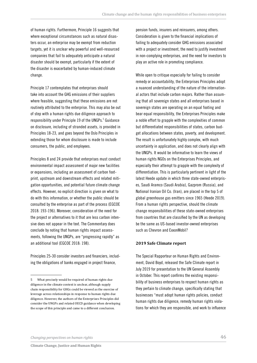of human rights. Furthermore, Principle 16 suggests that where exceptional circumstances such as natural disasters occur, an enterprise may be exempt from reduction targets, yet it is unclear why powerful and well-resourced companies that fail to adequately anticipate a natural disaster should be exempt, particularly if the extent of the disaster is exacerbated by human-induced climate change.

Principle 17 contemplates that enterprises should take into account the GHG emissions of their suppliers where feasible, suggesting that these emissions are not routinely attributed to the enterprise. This may also be out of step with a human rights due diligence approach to responsibility under Principle 19 of the UNGPs.<sup>5</sup> Guidance on disclosure, including of stranded assets, is provided in Principles 18-23, and goes beyond the Oslo Principles in extending those for whom disclosure is made to include consumers, the public, and employees.

Principles 8 and 24 provide that enterprises must conduct environmental impact assessment of major new facilities or expansions, including an assessment of carbon footprint, upstream and downstream effects and related mitigation opportunities, and potential future climate change effects. However, no explicit direction is given on what to do with this information, or whether the public should be consulted by the enterprise as part of the process (EGCOE 2018: 193-196). Moreover, consideration of the need for the project or alternatives to it that are less carbon intensive does not appear in the text. The Commentary does conclude by noting that human rights impact assessments, following the UNGPs, are "progressing rapidly" as an additional tool (EGCOE 2018: 198).

Principles 25-30 consider investors and financiers, including the obligations of banks engaged in project finance,

pension funds, insurers and reinsurers, among others. Consideration is given to the financial implications of failing to adequately consider GHG emissions associated with a project or investment, the need to justify investment in non-complying enterprises, and the need for investors to play an active role in promoting compliance.

While open to critique especially for failing to consider remedy or accountability, the Enterprises Principles adopt a nuanced understanding of the nature of the international actors that include carbon majors. Rather than assuming that all sovereign states and all enterprises based in sovereign states are operating on an equal footing and bear equal responsibility, the Enterprises Principles make a noble effort to grapple with the complexities of common but differentiated responsibilities of states, carbon budget allocations between states, poverty, and development. The result is unfortunately highly complex, with much uncertainty in application, and does not clearly align with the UNGPs. It would be informative to learn the views of human rights NGOs on the Enterprises Principles, and especially their attempt to grapple with the complexity of differentiation. This is particularly pertinent in light of the latest Heede update in which three state-owned enterprises, Saudi Aramco (Saudi Arabia), Gazprom (Russia), and National Iranian Oil Co. (Iran), are placed in the top 5 of global greenhouse gas emitters since 1965 (Heede 2019). From a human rights perspective, should the climate change responsibilities of these state-owned enterprises from countries that are classified by the UN as developing be the same as US-based investor-owned enterprises such as Chevron and ExxonMobil?

## **2019 Safe Climate report**

The Special Rapporteur on Human Rights and Environment, David Boyd, released the Safe Climate report in July 2019 for presentation to the UN General Assembly in October. This report confirms the existing responsibility of business enterprises to respect human rights as they pertain to climate change, specifically stating that businesses "must adopt human rights policies, conduct human rights due diligence, remedy human rights violations for which they are responsible, and work to influence

<sup>5</sup> What precisely would be required of human rights due diligence in the climate context is unclear, although supply chain responsibility for GHGs could be viewed as the exercise of leverage across relationships in response to human rights due diligence. However, the authors of the Enterprises Principles did consider the UNGPs and related OECD guidance when developing the scope of this principle and came to a different conclusion.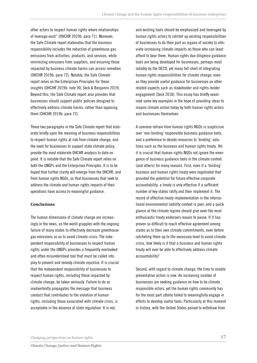other actors to respect human rights where relationships of leverage exist" (OHCHR 2019b: para 71). Moreover, the Safe Climate report elaborates that the business responsibility includes the reduction of greenhouse gas emissions from activities, products, and services, while minimizing emissions from suppliers, and ensuring those impacted by business climate harms can access remedies (OHCHR 2019b: para 72). Notably, the Safe Climate report relies on the Enterprises Principles for these insights (OHCHR 2019b: note 90; Seck & Benjamin 2019). Beyond this, the Safe Climate report also provides that businesses should support public policies designed to effectively address climate harms, rather than opposing them (OHCHR 2019b: para 72).

These two paragraphs in the Safe Climate report that elaborate briefly upon the meaning of business responsibilities to respect human rights at risk from climate change, and the need for businesses to support state climate policy, provide the most elaborate OHCHR analysis to date on point. It is notable that the Safe Climate report relies on both the UNGPs and the Enterprises Principles. It is to be hoped that further clarity will emerge from the OHCHR, and from human rights NGOs, so that businesses that seek to address the climate and human rights impacts of their operations have access to meaningful guidance.

## **Conclusions**

The human dimensions of climate change are increasingly in the news, as the world grapples with the ongoing failure of many states to effectively decrease greenhouse gas emissions so as to avoid climate crisis. The independent responsibility of businesses to respect human rights under the UNGPs provides a frequently overlooked and often misunderstood tool that must be called into play to prevent and remedy climate injustice. It is crucial that the independent responsibility of businesses to respect human rights, including those impacted by climate change, be taken seriously. Failure to do so inadvertently propagates the message that business conduct that contributes to the violation of human rights, including those associated with climate crisis, is acceptable in the absence of state regulation. It is not,

and existing tools should be emphasized and leveraged by human rights actors to ratchet up existing responsibilities of businesses to do their part as organs of society to alleviate increasing climate impacts on those who can least afford to bear them. Human rights due diligence guidance tools are being developed for businesses, perhaps most notably by the OECD, yet many fall short of integrating human rights responsibilities for climate change, even as they provide useful guidance for businesses on other related aspects such as stakeholder and rights-holder engagement (Seck 2018). This essay has briefly examined some key examples in the hope of providing ideas to inspire climate action today by both human rights actors and businesses themselves.

A common refrain from human rights NGOs is scepticism over 'non-binding' responsible business guidance tools, and a preference to devote resources to 'binding' solutions such as the business and human rights treaty. Yet it is crucial that human rights NGOs not ignore the emergence of business guidance tools in the climate context (and others) for many reasons. First, even if a 'binding' business and human rights treaty were negotiated that provided the potential for future effective corporate accountability, a treaty is only effective if a sufficient number of key states ratify and then implement it. The record of effective treaty implementation in the international environmental liability context is poor, and a quick glance at the climate regime should give even the most enthusiastic treaty endorsers reason to pause. If it has proven so difficult to reach effective agreement among states as to their own climate commitments, even before ratcheting them up to the necessary level to avoid climate crisis, how likely is it that a business and human rights treaty will ever be able to effectively address climate accountability?

Second, with regard to climate change, the time to enable preventative action is now. An increasing number of businesses are seeking guidance on how to be climate responsible actors, yet the human rights community has for the most part utterly failed to meaningfully engage in efforts to develop useful tools. Particularly at this moment in history, with the United States poised to withdraw from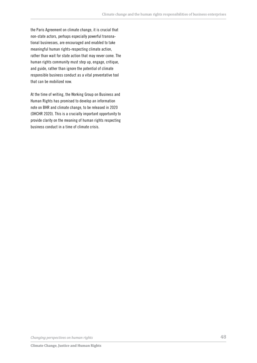the Paris Agreement on climate change, it is crucial that non-state actors, perhaps especially powerful transnational businesses, are encouraged and enabled to take meaningful human rights-respecting climate action, rather than wait for state action that may never come. The human rights community must step up, engage, critique, and guide, rather than ignore the potential of climate responsible business conduct as a vital preventative tool that can be mobilized now.

At the time of writing, the Working Group on Business and Human Rights has promised to develop an information note on BHR and climate change, to be released in 2020 (OHCHR 2020). This is a crucially important opportunity to provide clarity on the meaning of human rights respecting business conduct in a time of climate crisis.

*Changing perspectives on human rights*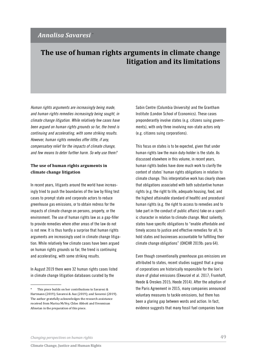## *Annalisa Savaresi* \*

## **The use of human rights arguments in climate change litigation and its limitations**

*Human rights arguments are increasingly being made, and human rights remedies increasingly being sought, in climate change litigation. While relatively few cases have been argued on human rights grounds so far, the trend is continuing and accelerating, with some striking results. However, human rights remedies offer little, if any, compensatory relief for the impacts of climate change, and few means to deter further harm. So why use them?*

## **The use of human rights arguments in climate change litigation**

In recent years, litigants around the world have increasingly tried to push the boundaries of the law by filing test cases to prompt state and corporate actors to reduce greenhouse gas emissions, or to obtain redress for the impacts of climate change on persons, property, or the environment. The use of human rights law as a gap-filler to provide remedies where other areas of the law do not is not new. It is thus hardly a surprise that human rights arguments are increasingly used in climate change litigation. While relatively few climate cases have been argued on human rights grounds so far, the trend is continuing and accelerating, with some striking results.

In August 2019 there were 32 human rights cases listed in climate change litigation databases curated by the

Sabin Centre (Columbia University) and the Grantham Institute (London School of Economics). These cases preponderantly involve states (e.g. citizens suing governments), with only three involving non-state actors only (e.g. citizens suing corporations).

This focus on states is to be expected, given that under human rights law the main duty-holder is the state. As discussed elsewhere in this volume, in recent years, human rights bodies have done much work to clarify the content of states' human rights obligations in relation to climate change. This interpretative work has clearly shown that obligations associated with both substantive human rights (e.g. the right to life, adequate housing, food, and the highest attainable standard of health) and procedural human rights (e.g. the right to access to remedies and to take part in the conduct of public affairs) take on a specific character in relation to climate change. Most saliently, states have specific obligations to "enable affordable and timely access to justice and effective remedies for all, to hold states and businesses accountable for fulfilling their climate change obligations" (OHCHR 2019b: para 64).

Even though conventionally greenhouse gas emissions are attributed to states, recent studies suggest that a group of corporations are historically responsible for the lion's share of global emissions (Ekwurzel et al. 2017; Frumhoff, Heede & Oreskes 2015; Heede 2014). After the adoption of the Paris Agreement in 2015, many companies announced voluntary measures to tackle emissions, but there has been a glaring gap between words and action. In fact, evidence suggests that many fossil fuel companies have

This piece builds on her contributions to Savaresi & Hartmann (2019); Savaresi & Auz (2019); and Savaresi (2019). The author gratefully acknowledges the research assistance received from Marisa McVey, Chloe Abbott and Urenmisan Afinotan in the preparation of this piece.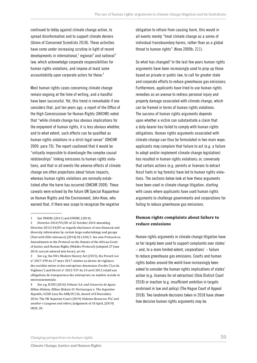continued to lobby against climate change action, to spread disinformation and to support climate deniers (Union of Concerned Scientists 2018). These activities have come under increasing scrutiny in light of recent developments in international,<sup>1</sup> regional<sup>2</sup> and national<sup>3</sup> law, which acknowledge corporate responsibilities for human rights violations, and impose at least some accountability upon corporate actors for these.<sup>4</sup>

Most human rights cases concerning climate change remain ongoing at the time of writing, and a handful have been successful. Yet, this trend is remarkable if one considers that, just ten years ago, a report of the Office of the High Commissioner for Human Rights (OHCHR) noted that "while climate change has obvious implications for the enjoyment of human rights, it is less obvious whether, and to what extent, such effects can be qualified as human rights violations in a strict legal sense" (OHCHR 2009: para 70). The report cautioned that it would be "virtually impossible to disentangle the complex causal relationships" linking emissions to human rights violations, and that in all events the adverse effects of climate change are often projections about future impacts, whereas human rights violations are normally established after the harm has occurred (OHCHR 2009). These caveats were echoed by the future UN Special Rapporteur on Human Rights and the Environment, John Knox, who warned that, if there was scope to recognize the negative

obligation to refrain from causing harm, this would in all events merely "treat climate change as a series of individual transboundary harms, rather than as a global threat to human rights" (Knox 2009b: 211).

So what has changed? In the last few years human rights arguments have been increasingly used to prop up those based on private or public law, to call for greater state and corporate efforts to reduce greenhouse gas emissions. Furthermore, applicants have tried to use human rights remedies as an avenue to redress personal injury and property damage associated with climate change, which can be framed in terms of human rights violations. The success of human rights arguments depends upon whether a victim can substantiate a claim that a duty-bearer has failed to comply with human rights obligations. Human rights arguments associated with climate change can thus be formulated in two main ways: applicants may complain that failure to act (e.g. a failure to adopt and/or implement climate change legislation) has resulted in human rights violations; or, conversely that certain actions (e.g. permits or licenses to extract fossil fuels or log forests) have led to human rights violations. The sections below look at how these arguments have been used in climate change litigation, starting with cases where applicants have used human rights arguments to challenge governments and corporations for failing to reduce greenhouse gas emissions.

## **Human rights complaints about failure to reduce emissions**

Human rights arguments in climate change litigation have so far largely been used to support complaints over states' – and, to a more limited extent, corporations' – failure to reduce greenhouse gas emissions. Courts and human rights bodies around the world have increasingly been asked to consider the human rights implications of states' action (e.g. licenses for oil extraction) (Oslo District Court 2018) or inaction (e.g. insufficient ambition in targets enshrined in law and policy) (The Hague Court of Appeal 2018). Two landmark decisions taken in 2018 have shown how decisive human rights arguments may be.

<sup>1</sup> See UNHRC (2011) and UNHRC (2014).

<sup>2</sup> Directive 2014/95/EU of 22 October 2014 amending Directive 2013/34/EU as regards disclosure of non-financial and diversity information by certain large undertakings and groups (Text with EEA relevance) [2014] OJ L330/1. See also Protocol on Amendments to the Protocol on the Statute of the African Court of Justice and Human Rights (Malabo Protocol) (adopted 27 June 2014, not yet entered into force), art 46.

<sup>3</sup> See e.g. the UK's Modern Slavery Act (2015), the French Loi n° 2017-399 du 27 mars 2017 relative au devoir de vigilance des sociétés mères et des entreprises donneuses d'ordre ('Loi du Vigilance') and Décret n° 2012-557 du 24 avril 2012 relatif aux obligations de transparence des entreprises en matière sociale et environnementale.

<sup>4</sup> See e.g. ICSID (2016) *Urbaser S.A. and Consorcio de Aguas Bilbao Bizkaia, Bilbao Biskaia Ur Partzuergoa v. The Argentine Republic*, ICSID Case No ARB/07/26, Award of 8 December, 2016; The UK Supreme Court (2019) *Vedanta Resources PLC and another v Lungowe and others*, Judgement of 10 April, [2019] UKSC 20.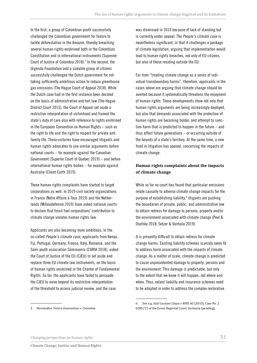In the first, a group of Colombian youth successfully challenged the Colombian government for failure to tackle deforestation in the Amazon, thereby breaching several human rights enshrined both in the Colombian Constitution and in international instruments (Supreme Court of Justice of Colombia 2018).<sup>5</sup> In the second, the Urgenda Foundation and a sizeable group of citizens successfully challenged the Dutch government for not taking sufficiently ambitious action to reduce greenhouse gas emissions (The Hague Court of Appeal 2018). While the Dutch case had in the first instance been decided on the basis of administrative and tort law (The Hague District Court 2015), the Court of Appeal set aside a restrictive interpretation of victimhood and framed the state's duty of care also with reference to rights enshrined in the European Convention on Human Rights – such as the right to life and the right to respect for private and family life. These victories have encouraged litigants and human rights advocates to use similar arguments before national courts – for example against the Canadian Government (Superior Court of Quebec 2019) – and before international human rights bodies – for example against Australia (Client Earth 2019).

These human rights complaints have started to target corporations as well. In 2019 civil society organizations in France (Notre Affaire à Tous 2019) and the Netherlands (Milieudefensie 2019) have asked national courts to declare that fossil fuel corporations' contribution to climate change violates human rights law.

Applicants are also becoming more ambitious. In the so-called *People's climate case*, applicants from Kenya, Fiji, Portugal, Germany, France, Italy, Romania, and the Sami youth association Sáminuorra (CURIA 2018), asked the Court of Justice of the EU (CJEU) to set aside and replace three EU climate law instruments, on the basis of human rights enshrined in the Charter of Fundamental Rights. So far, the applicants have failed to persuade the CJEU to move beyond its restrictive interpretation of the threshold to access judicial review, and the case

was dismissed in 2019 because of lack of standing but is currently under appeal. The *People's climate case* is nevertheless significant, in that it challenges a package of climate legislation, arguing that implementation would lead to human rights breaches, not only of EU citizens, but also of those residing outside the EU.

Far from "treating climate change as a series of individual transboundary harms", therefore, applicants in the cases above are arguing that climate change should be averted because it systematically threatens the enjoyment of human rights. These developments show not only that human rights arguments are being increasingly deployed, but also that demands associated with the protection of human rights are becoming bolder, and attempt to sanction harm that is predicted to happen in the future – and thus affect future generations – or occurring outside of the bounds of a state's territory. At the same time, a new front in litigation has opened, concerning the impacts of climate change.

## **Human rights complaints about the impacts of climate change**

While so far no court has found that particular emissions relate causally to adverse climate change impacts for the purpose of establishing liability, $6$  litigants are pushing the boundaries of private, public, and administrative law to obtain redress for damage to persons, property and/or the environment associated with climate change (Peel & Osofsky 2018; Setzer & Vanhala 2019).

It is presently difficult to obtain redress for climate change harms. Existing liability schemes scarcely seem fit to address harm associated with the impacts of climate change. As a matter of scale, climate change is predicted to cause unprecedented damage to property, persons and the environment. This damage is predictable, but only to the extent that we know it will happen, not where and when. Thus, extant liability and insurance schemes need to be adapted in order to address the complex restorative

<sup>5</sup> Hereinafter *Future Generations v. Colombia.* 

<sup>6</sup> See e.g. *Saúl Luciano Lliuya v RWE AG* (2015), Case No. 2 0285/15 of the Essen Regional Court, Germany (pending).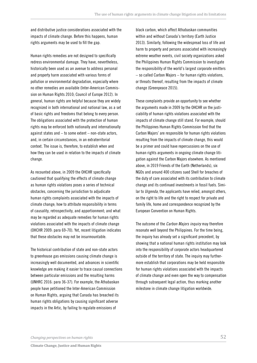and distributive justice considerations associated with the impacts of climate change. Before this happens, human rights arguments may be used to fill the gap.

Human rights remedies are not designed to specifically redress environmental damage. They have, nevertheless, historically been used as an avenue to address personal and property harm associated with various forms of pollution or environmental degradation, especially where no other remedies are available (Inter-American Commission on Human Rights 2010; Council of Europe 2012). In general, human rights are helpful because they are widely recognized in both international and national law, as a set of basic rights and freedoms that belong to every person. The obligations associated with the protection of human rights may be enforced both nationally and internationally against states and  $-$  to some extent  $-$  non-state actors, and, in certain circumstances, in an extraterritorial context. The issue is, therefore, to establish when and how they can be used in relation to the impacts of climate change.

As recounted above, in 2009 the OHCHR specifically cautioned that qualifying the effects of climate change as human rights violations poses a series of technical obstacles, concerning the jurisdiction to adjudicate human rights complaints associated with the impacts of climate change; how to attribute responsibility in terms of causality, retrospectivity, and apportionment; and what may be regarded as adequate remedies for human rights violations associated with the impacts of climate change (OHCHR 2009: para 69-70). Yet, recent litigation indicates that these obstacles may not be insurmountable.

The historical contribution of state and non-state actors to greenhouse gas emissions causing climate change is increasingly well documented, and advances in scientific knowledge are making it easier to trace causal connections between particular emissions and the resulting harms (UNHRC 2016: para 36-37). For example, the Athabaskan people have petitioned the Inter-American Commission on Human Rights, arguing that Canada has breached its human rights obligations by causing significant adverse impacts in the Artic, by failing to regulate emissions of

black carbon, which affect Athabaskan communities within and without Canada's territory (Earth Justice 2013). Similarly, following the widespread loss of life and harm to property and persons associated with increasingly extreme weather events, civil society organizations asked the Philippines Human Rights Commission to investigate the responsibility of the world's largest corporate emitters – so called Carbon Majors – for human rights violations, or threats thereof, resulting from the impacts of climate change (Greenpeace 2015).

These complaints provide an opportunity to see whether the arguments made in 2009 by the OHCHR on the justiciability of human rights violations associated with the impacts of climate change still stand. For example, should the Philippines Human Rights Commission find that the Carbon Majors' are responsible for human rights violations resulting from the impacts of climate change, this would be a primer and could have repercussions on the use of human rights arguments in ongoing climate change litigation against the Carbon Majors elsewhere. As mentioned above, in 2019 Friends of the Earth (Netherlands), six NGOs and around 400 citizens sued Shell for breaches of the duty of care associated with its contribution to climate change and its continued investments in fossil fuels. Similar to *Urgenda*, the applicants have relied, amongst others, on the right to life and the right to respect for private and family life, home and correspondence recognized by the European Convention on Human Rights.

The outcome of the *Carbon Majors inquiry* may therefore resonate well beyond the Philippines. For the time being, the inquiry has already set a significant precedent, by showing that a national human rights institution may look into the responsibility of corporate actors headquartered outside of the territory of state. The inquiry may furthermore establish that corporations may be held responsible for human rights violations associated with the impacts of climate change and even open the way to compensation through subsequent legal action, thus marking another milestone in climate change litigation worldwide.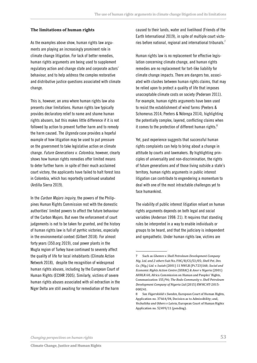## **The limitations of human rights**

As the examples above show, human rights law arguments are playing an increasingly prominent role in climate change litigation. For lack of better remedies, human rights arguments are being used to supplement regulatory action and change state and corporate actors' behaviour, and to help address the complex restorative and distributive justice questions associated with climate change.

This is, however, an area where human rights law also presents clear limitations. Human rights law typically provides declaratory relief to name and shame human rights abusers, but this makes little difference if it is not followed by action to prevent further harm and to remedy the harm caused. The *Urgenda* case provides a hopeful example of how litigation may be used to put pressure on the government to take legislative action on climate change. *Future Generations v. Colombia*, however, clearly shows how human rights remedies offer limited means to deter further harm: in spite of their much acclaimed court victory, the applicants have failed to halt forest loss in Colombia, which has reportedly continued unabated (Ardilla Sierra 2019).

In the *Carbon Majors inquiry*, the powers of the Philippines Human Rights Commission rest with the domestic authorities' limited powers to affect the future behaviour of the Carbon Majors. But even the enforcement of court judgements is not to be taken for granted, and the history of human rights law is full of pyrrhic victories, especially in the environmental context (Gilbert 2018). For almost forty years (350.org 2019), coal power plants in the Mugla region of Turkey have continued to severely affect the quality of life for local inhabitants (Climate Action Network 2018), despite the recognition of widespread human rights abuses, including by the European Court of Human Rights (ECtHR 2005). Similarly, victims of severe human rights abuses associated with oil extraction in the Niger Delta are still awaiting for remediation of the harm

caused to their lands, water and livelihood (Friends of the Earth International 2019), in spite of multiple court victories before national, regional and international tribunals.<sup>7</sup>

Human rights law is no replacement for effective legislation concerning climate change, and human rights remedies are no replacement for tort-like liability for climate change impacts. There are dangers too, associated with clashes between human rights claims, that may be relied upon to protect a quality of life that imposes unacceptable climate costs on society (Pedersen 2011). For example, human rights arguments have been used to resist the establishment of wind farms (Peeters & Schomerus 2014; Peeters & Nóbrega 2014), highlighting the potentially complex, layered, conflicting claims when it comes to the protection of different human rights. $8$ 

Yet, past experience suggests that successful human rights complaints can help to bring about a change in attitude by courts and lawmakers. By highlighting principles of universality and non-discrimination, the rights of future generations and of those living outside a state's territory, human rights arguments in public interest litigation can contribute to engendering a momentum to deal with one of the most intractable challenges yet to face humankind.

The viability of public interest litigation reliant on human rights arguments depends on both legal and social variables (Anderson 1998: 21). It requires that standing rules be interpreted in a way to enable individuals or groups to be heard, and that the judiciary is independent and sympathetic. Under human rights law, victims are

<sup>7</sup> Such as *Gbemre v. Shell Petroleum Development Company Nig. Ltd. and 2 others* Suit No. FHC/B/CS/53/05; *Shell Pet. Dev. Co. (Nig.) Ltd. v. Isaiah* (2001) 11 NWLR (Pt.723)168; *Social and Economic Rights Action Centre (SERAC) & Anor v Nigeria* (2001) AHRLR 60, Africa Commission on Human and Peoples' Rights, Communication 155/96; *The Bodo Community v. Shell Petroleum Development Company of Nigeria Ltd* (2015) EWHC HT-2015- 000241.

<sup>8</sup> See *Fägerskiöld v Sweden*, European Court of Human Rights, Application no. 37664/04, Decision as to Admissibility; and, *Vecbaštika and Others v Latvia*, European Court of Human Rights Application no. 52499/11 (pending).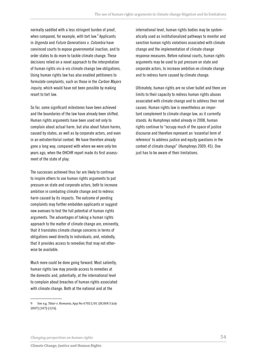normally saddled with a less stringent burden of proof, when compared, for example, with tort law.<sup>9</sup> Applicants in *Urgenda* and *Future Generations v. Colombia* have convinced courts to expose governmental inaction, and to order states to do more to tackle climate change. These decisions relied on a novel approach to the interpretation of human rights vis-à-vis climate change law obligations. Using human rights law has also enabled petitioners to formulate complaints, such as those in the *Carbon Majors inquiry*, which would have not been possible by making resort to tort law.

So far, some significant milestones have been achieved and the boundaries of the law have already been shifted. Human rights arguments have been used not only to complain about actual harm, but also about future harms, caused by states, as well as by corporate actors, and even in an extraterritorial context. We have therefore already gone a long way, compared with where we were only ten years ago, when the OHCHR report made its first assessment of the state of play.

The successes achieved thus far are likely to continue to inspire others to use human rights arguments to put pressure on state and corporate actors, both to increase ambition in combating climate change and to redress harm caused by its impacts. The outcome of pending complaints may further embolden applicants or suggest new avenues to test the full potential of human rights arguments. The advantages of taking a human rights approach to the matter of climate change are, eminently, that it translates climate change concerns in terms of obligations owed directly to individuals; and, relatedly, that it provides access to remedies that may not otherwise be available.

Much more could be done going forward. Most saliently, human rights law may provide access to remedies at the domestic and, potentially, at the international level to complain about breaches of human rights associated with climate change. Both at the national and at the

international level, human rights bodies may be systematically used as institutionalized pathways to monitor and sanction human rights violations associated with climate change and the implementation of climate change response measures. Before national courts, human rights arguments may be used to put pressure on state and corporate actors, to increase ambition on climate change and to redress harm caused by climate change.

Ultimately, human rights are no silver bullet and there are limits to their capacity to redress human rights abuses associated with climate change and to address their root causes. Human rights law is nevertheless an important complement to climate change law, as it currently stands. As Humphreys noted already in 2008, human rights continue to "occupy much of the space of justice discourse and therefore represent an 'essential term of reference' to address justice and equity questions in the context of climate change" (Humphreys 2009: 45). One just has to be aware of their limitations.

<sup>9</sup> See e.g. *Tătar v. Romania*, App No 67021/01 (ECtHR 5 July 2007) [107]-[124].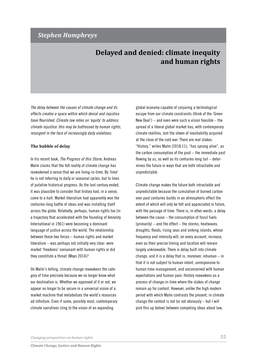## *Stephen Humphreys*

# **Delayed and denied: climate inequity and human rights**

*The delay between the causes of climate change and its effects creates a space within which denial and injustice*  have flourished. Climate law relies on 'equity' to address *climate injustice: this may be buttressed by human rights, resurgent in the face of increasingly daily violations.* 

## **The bubble of delay**

In his recent book, *The Progress of this Storm*, Andreas Malm claims that the felt reality of climate change has reawakened a sense that we are living-in-time. By 'time' he is not referring to daily or seasonal cycles, but to lines of putative historical progress. As the last century ended, it was plausible to consider that history had, in a sense, come to a halt. Market liberalism had apparently won the centuries-long battle of ideas and was installing itself across the globe. Relatedly, perhaps, human rights too (in a trajectory that accelerated with the founding of Amnesty International in 1961) were becoming a dominant language of justice across the world. The relationship between these two forces – human rights and market liberalism – was perhaps not initially very clear: were market 'freedoms' consonant with human rights or did they constitute a threat (Moyn 2014)?

On Malm's telling, climate change reawakens the category of time precisely because we no longer know what our destination is. Whether we approved of it or not, we appear no longer to be secure in a universal vision of a market machine that metabolizes the world's resources ad infinitum. Even if some, possibly most, contemporary climate narratives cling to the vision of an expanding

global economy capable of conjuring a technological escape from our climate constraints (think of the 'Green New Deal') – and even were such a vision feasible – the spread of a liberal global market has, with contemporary climate realities, lost the sheen of inevitability acquired at the close of the cold war. There are real stakes. "History," writes Malm (2018:11), "has sprung alive", as the carbon consumption of the past – the immediate past flowing by us, as well as its centuries-long tail – determines the future in ways that are both intractable and unpredictable.

Climate change makes the future both intractable and unpredictable because the cumulation of burned carbon over past centuries builds in an atmospheric effect the extent of which will only be felt and appreciated in future, with the passage of time. There is, in other words, a delay between the cause – the consumption of fossil fuels  $(primarily)$  – and the effect – the storms, heatwaves, droughts, floods, rising seas and sinking islands, whose frequency and intensity will, on every account, increase, even as their precise timing and location will remain largely unknowable. There is delay built into climate change, and it is a delay that is, moreover, inhuman  $-$  in that it is not subject to human intent, unresponsive to human time-management, and unconcerned with human expectations and human pain. History reawakens as a process of change-in-time where the stakes of change remain up for contest. However, unlike the high modern period with which Malm contrasts the present, in climate change the contest is not (or not obviously – but I will pick this up below) between competing ideas about law,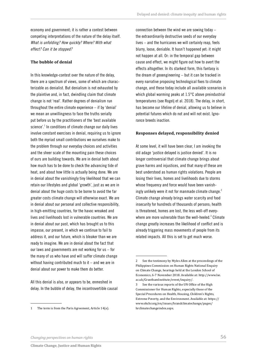economy and government; it is rather a contest between competing interpretations of the nature of the delay itself. *What is unfolding? How quickly? Where? With what effect? Can it be stopped?* 

## **The bubble of denial**

In this knowledge-contest over the nature of the delay, there are a spectrum of views, some of which are characterizable as denialist. But denialism is not exhausted by the plaintive and, in fact, dwindling claim that climate change is not 'real'. Rather degrees of denialism run throughout the entire climate experience – if by 'denial' we mean an unwillingness to face the truths serially put before us by the practitioners of the 'best available science'.<sup>1</sup> In conditions of climate change our daily lives involve constant exercises in denial, requiring us to ignore both the myriad small contributions we ourselves make to the problem through our everyday choices and activities and the sheer scale of the mounting pain these choices of ours are building towards. We are in denial both about how much has to be done to check the advancing tide of heat, and about how little is actually being done. We are in denial about the vanishingly tiny likelihood that we can retain our lifestyles and global 'growth', just as we are in denial about the huge costs to be borne to avoid the far greater costs climate change will otherwise exact. We are in denial about our personal and collective responsibility, in high-emitting countries, for the havoc wreaked and lives and livelihoods lost in vulnerable countries. We are in denial about our past, which has brought us to this impasse, our present, in which we continue to fail to address it, and our future, which is bleaker than we are ready to imagine. We are in denial about the fact that our laws and governments are not working for  $us - for$ the many of us who have and will suffer climate change without having contributed much to  $it -$  and we are in denial about our power to make them do better.

All this denial is also, or appears to be, enmeshed in delay. In the bubble of delay, the incontrovertible causal connection between the wind we are sowing today  $$ the extraordinarily destructive seeds of our everyday lives – and the hurricanes we will certainly reap, feels blurry, loose, deniable. It hasn't happened yet: it might not happen at all. Or: in the temporal gap between cause and effect, we might figure out how to avert the effects altogether. In its starkest form, this fantasy is the dream of geoengineering – but it can be tracked in every narrative proposing technological fixes to climate change, and these today include all available scenarios in which global warming peaks at 1.5°C above preindustrial temperatures (see Rogelj et al. 2018). The delay, in short, has become our lifeline of denial, allowing us to believe in potential futures which do not and will not exist. Ignorance breeds inaction.

### **Responses delayed, responsibility denied**

At some level, it will have been clear, I am invoking the old adage 'justice delayed is justice denied'. It is no longer controversial that climate change brings about grave harms and injustices, and that many of these are best understood as human rights violations. People are losing their lives, homes and livelihoods due to storms whose frequency and force would have been vanishingly unlikely were it not for manmade climate change. $2$ Climate change already brings water scarcity and food insecurity for hundreds of thousands of persons; health is threatened, homes are lost, the less well-off everywhere are more vulnerable than the well-heeled.<sup>3</sup> Climate change greatly increases the likelihood of conflict and is already triggering mass movements of people from its related impacts. All this is set to get much worse.

<sup>1</sup> The term is from the Paris Agreement, Article 14(a).

See the testimony by Myles Allen at the proceedings of the Philippines Commission on Human Rights National Enquiry on Climate Change, hearings held at the London School of Economics, 6-7 November 2018. Available at: [http://www.lse.](http://www.lse.ac.uk/GranthamInstitute/event/inquiry/) [ac.uk/GranthamInstitute/event/inquiry/](http://www.lse.ac.uk/GranthamInstitute/event/inquiry/).

<sup>3</sup> See the various reports of the UN Office of the High Commissioner for Human Rights, especially those of the Special Procedures on Health, Housing, Children's Rights, Extreme Poverty, and the Environment. Available at: [https://](https://www.ohchr.org/en/issues/hrandclimatechange/pages/hrclimatechangeindex.aspx) [www.ohchr.org/en/issues/hrandclimatechange/pages/](https://www.ohchr.org/en/issues/hrandclimatechange/pages/hrclimatechangeindex.aspx) [hrclimatechangeindex.aspx.](https://www.ohchr.org/en/issues/hrandclimatechange/pages/hrclimatechangeindex.aspx)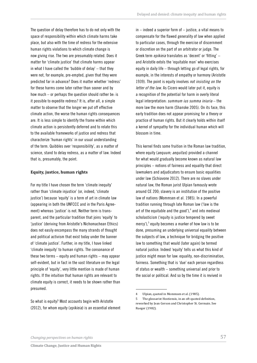The question of delay therefore has to do not only with the space of responsibility within which climate harms take place, but also with the time of redress for the extensive human rights violations to which climate change is now giving rise. The two are presumably related. Does it matter for 'climate justice' that climate harms appear in what I have called the 'bubble of delay' – that they were not, for example, pre-empted, given that they were predicted far in advance? Does it matter whether 'redress' for these harms come later rather than sooner and by how much – or perhaps the question should rather be: is it possible to expedite redress? It is, after all, a simple matter to observe that the longer we put off effective climate action, the worse the human rights consequences are. It is less simple to identify the frame within which climate action is persistently deferred and to relate this to the available frameworks of justice and redress that characterize 'human rights' in our usual understanding of the term. Quibbles over 'responsibility', as a matter of science, stand to delay redress, as a matter of law. Indeed that is, presumably, the point.

### **Equity, justice, human rights**

For my title I have chosen the term 'climate inequity' rather than 'climate injustice' (or, indeed, 'climate justice') because 'equity' is a term of art in climate law (appearing in both the UNFCCC and in the Paris Agreement) whereas 'justice' is not. Neither term is transparent, and the particular tradition that joins 'equity' to 'justice' (deriving from Aristotle's Nichomachean Ethics) does not easily encompass the many strands of thought and political activism that exist today under the banner of 'climate justice'. Further, in my title, I have linked 'climate inequity' to human rights. The consonance of these two terms – equity and human rights – may appear self-evident, but in fact in the vast literature on the legal principle of 'equity', very little mention is made of human rights. If the intuition that human rights are relevant to climate equity is correct, it needs to be shown rather than presumed.

So what is equity? Most accounts begin with Aristotle (2012), for whom equity (*epikieia*) is an essential element  $in$  – indeed a superior form of – justice, a vital means to compensate for the flawed generality of law when applied to particular cases, through the exercise of discernment or discretion on the part of an arbitrator or judge. The Greek term *epikieia* translates as 'decent' or 'fitting' – and Aristotle extols the 'equitable man' who exercises equity in daily life – through letting go of legal rights, for example, in the interests of empathy or harmony (Aristotle 1939). The point is equity involves *not insisting on the letter of the law*. As Cicero would later put it, equity is a recognition of the potential for harm in overly literal legal interpretation: *summum ius summa iniuria* – the more law the more harm (Shanske 2005). On its face, this early tradition does not appear promising for a theory or practice of human rights. But it clearly holds within itself a kernel of sympathy for the individual human which will blossom in time.

This kernel finds some fruition in the Roman law tradition, where equity (*aequum; aequitas*) provided a channel for what would gradually become known as natural law principles – notions of fairness and equality that direct lawmakers and adjudicators to ensure basic equalities under law (Schiavone 2012). There are no slaves under natural law, the Roman jurist Ulpian famously wrote around CE 200; slavery is an institution of the positive law of nations (Mommsen et al. 1985). In a powerful tradition running through late Roman law ('law is the art of the equitable and the good'), $4$  and into medieval scholasticism ('equity is justice tempered by sweet mercy'), $5$  equity becomes a marker of how law is to be done, presuming an underlying universal equality between the subjects of law, a technique for bridging the positive law to something that would (later again) be termed natural justice. Indeed 'equity' tells us what this kind of justice might mean for law: equality, non-discrimination, fairness. Something that is 'due' each person regardless of status or wealth – something universal and prior to the social or political. And so by the time it is revived in

<sup>4</sup> Ulpian, quoted in Mommsen et al. (1985).

<sup>5</sup> The glossarist Hostiensis, in an oft-quoted definition, reworked by Jean Gerson and Christopher St. Germain. See Rueger (1982).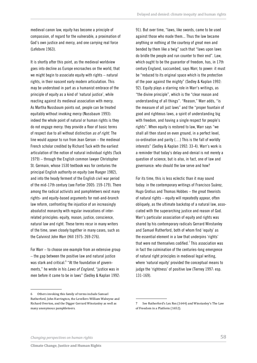medieval canon law, equity has become a principle of compassion, of regard for the vulnerable, a proximation of God's own justice and mercy, and one carrying real force (Lefebvre 1963).

It is shortly after this point, as the medieval worldview goes into decline as Europe encroaches on the world, that we might begin to associate equity with rights – natural rights, in their nascent early modern articulation. This may be understood in part as a humanist embrace of the principle of equity as a kind of 'natural justice', while reacting against its medieval association with mercy. As Martha Nussbaum points out, people can be treated equitably without invoking mercy (Nussbaum 1993): indeed the whole point of natural or human rights is they do not engage mercy: they provide a floor of basic terms of respect due to all without distinction *as of right*. The line would appear to run from Jean Gerson – the medieval French scholar credited by Richard Tuck with the earliest articulation of the notion of natural individual rights (Tuck 1979) – through the English common lawyer Christopher St. Germain, whose 1530 textbook was for centuries the principal English authority on equity (see Rueger 1982), and into the heady ferment of the English civil war period of the mid-17th century (see Fortier 2005: 159-179). There among the radical activists and pamphleteers exist many rights- and equity-based arguments for root-and-branch law reform, confronting the injustice of an increasingly absolutist monarchy with regular invocations of interrelated principles: equity, reason, justice, conscience, natural law and right. These terms recur in many writers of the time, sewn closely together in many cases, such as the Calvinist John Warr (Hill 1975: 269-276).

For Warr – to choose one example from an extensive group  $-$  the gap between the positive law and natural justice was stark and critical.<sup>6</sup> "At the foundation of governments," he wrote in his *Laws of England*, "justice was in men before it came to be in laws" (Sedley & Kaplan 1992:

91). But over time, "laws, like swords, came to be used against those who made them... Thus the law became anything or nothing at the courtesy of great men and bended by them like a twig" such that "laws upon laws do bridle the people and run counter to their end". Law, which ought to be the guarantor of freedom, has, in 17th century England, succumbed, says Warr, to power: it must be "reduced to its original space which is the protection of the poor against the mighty" (Sedley & Kaplan 1992: 92). Equity plays a starring role in Warr's writings, as "the divine principle", which is the "clear reason and understanding of all things". "Reason," Warr adds, "is the measure of all just laws" and the "proper fountain of good and righteous laws, a spirit of understanding big with freedom, and having a single respect for people's rights". When equity is restored to law, Warr says "we shall all then stand on even ground, in a perfect level, co-ordination and parity (…) This is the fall of worldly interests" (Sedley & Kaplan 1992: 33-4). Warr's work is a reminder that today's delay-and-denial is not merely a question of science, but is also, in fact, one of law and governance: who should the law serve and how?

For its time, this is less eclectic than it may sound today: in the contemporary writings of Francisco Suárez, Hugo Grotius and Thomas Hobbes – the great theorists of natural rights – equity will repeatedly appear, often obliquely, as the ultimate backstop of a natural law, associated with the superarching justice and reason of God. Warr's particular association of equity and rights was shared by his contemporary radicals Gerrard Winstanley and Samuel Rutherford, both of whom find 'equity' as the essential element in a law that underpins 'rights' that were not themselves codified.<sup>7</sup> This association was in fact the culmination of the centuries-long emergence of natural right principles in medieval legal writing, where 'natural equity' provided the conceptual means to judge the 'rightness' of positive law (Tierney 1997: esp. 131-169).

<sup>6</sup> Others invoking this family of terms include Samuel Rutherford, John Harrington, the Levellers William Walwyne and Richard Overton, and the Digger Gerrard Winstanley as well as many anonymous pamphleteers.

See Rutherford's Lex Rex (1644) and Winstanley's The Law of Freedom in a Platform (1652).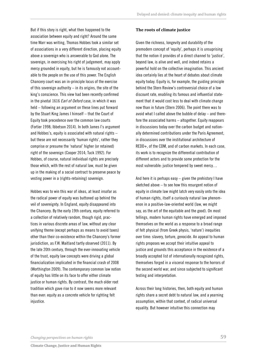But if this story is right, what then happened to the association between equity and right? Around the same time Warr was writing, Thomas Hobbes took a similar set of associations in a very different direction, placing equity above a sovereign who is answerable to God alone. The sovereign, in exercising his right of judgement, may apply mercy grounded in equity, but he is famously not accountable to the people on the use of this power. The English Chancery court was an in-principle locus of the exercise of this sovereign authority  $-$  in its origins, the site of the king's conscience. This view had been recently confirmed in the pivotal 1616 *Earl of Oxford* case, in which it was held – following an argument on these lines put forward by the Stuart King James I himself – that the Court of Equity took precedence over the common law courts (Fortier 1998; Ibbetson 2014). In both James I's argument and Hobbes's, equity is associated with natural rights – but these are not necessarily 'human rights', rather they comprise or presume the 'natural' higher (or retained) right of the sovereign (Cooper 2014; Tuck 1992). For Hobbes, of course, natural individual rights are precisely those which, with the rest of natural law, must be given up in the making of a social contract to preserve peace by vesting power in a (rights-retaining) sovereign.

Hobbes was to win this war of ideas, at least insofar as the radical power of equity was buttoned up behind the veil of sovereignty. In England, equity disappeared into the Chancery. By the early 19th century, equity referred to a collection of relatively random, though rigid, practices in various discrete areas of law, without any clear unifying theme (except perhaps as means to avoid taxes) other than their co-existence within the Chancery's former jurisdiction, as F.W. Maitland tartly observed (2011). By the late 20th century, through the ever-innovating vehicle of the trust, equity law concepts were driving a global financialization implicated in the financial crash of 2008 (Worthington 2009). The contemporary common law notion of equity has little on its face to offer either climate justice or human rights. By contrast, the much older root tradition which gave rise to it now seems more relevant than ever: equity as a concrete vehicle for righting felt injustice.

## **The roots of climate justice**

Given the richness, longevity and durability of the premodern concept of 'equity', perhaps it is unsuprising that the notion it provides of a direct channel to 'justice', beyond law, is alive and well, and indeed retains a powerful hold on the collective imagination. This ancient idea certainly lies at the heart of debates about climate equity today. Equity is, for example, the guiding principle behind the Stern Review's controversial choice of a low discount rate, enabling its famous and influential statement that it would cost less to deal with climate change now than in future (Stern 2006). The point there was to avoid what I called above the bubble of delay – and therefore the associated harms – altogether. Equity reappears in discussions today over the carbon budget and nationally determined contributions under the Paris Agreement, in discussions over the institutional architecture of REDD+, of the CDM, and of carbon markets. In each case, its work is to recognize the differential contribution of different actors and to provide some protection for the most vulnerable: justice tempered by sweet mercy…

And here it is perhaps easy  $-$  given the prehistory I have sketched above – to see how this resurgent notion of equity in climate law might latch very easily onto the idea of human rights, itself a curiously natural law phenomenon in a positive-law-oriented world (law, we might say, as the art of the equitable and the good). On most tellings, modern human rights have emerged and imposed themselves on the world as a response to a broad range of felt physical (from Greek physis, 'nature') inequities over time: slavery, torture, genocide. An appeal to human rights proposes we accept their intuitive appeal to justice and grounds this acceptance in the existence of a broadly accepted list of internationally recognized rights, themselves forged in a visceral response to the horrors of the second world war, and since subjected to significant testing and interpretation.

Across their long histories, then, both equity and human rights share a secret debt to natural law, and a yearning assumption, within that context, of radical universal equality. But however intuitive this connection may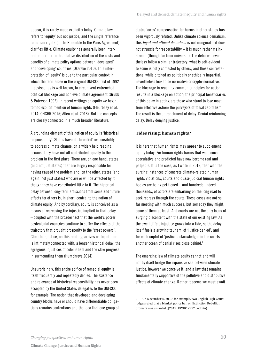appear, it is rarely made explicitly today. Climate law refers to 'equity' but not justice, and the single reference to human rights (in the Preamble to the Paris Agreement) clarifies little. Climate equity has generally been interpreted to refer to the relative distribution of the costs and benefits of climate policy options between 'developed' and 'developing' countries (Okereke 2010). This interpretation of 'equity' is due to the particular context in which the term arose in the original UNFCCC text of 1992 – devised, as is well known, to circumvent entrenched political blockage and achieve climate agreement (Grubb & Paterson 1992). In recent writings on equity we begin to find explicit mention of human rights (Fleurbaey et al. 2014; OHCHR 2015; Allen et al. 2018). But the concepts are closely connected in a much broader literature.

A grounding element of this notion of equity is 'historical responsibility'. States have 'differential' responsibility to address climate change, on a widely held reading, because they have not all contributed equally to the problem in the first place. There are, on one hand, states (and not just states) that are largely responsible for having caused the problem and, on the other, states (and, again, not just states) who are or will be affected by it though they have contributed little to it. The historical delay between long-term emissions from some and future effects for others is, in short, central to the notion of climate equity. And by corollary, equity is conceived as a means of redressing the injustice implicit in that delay – coupled with the broader fact that the world's poorer postcolonial countries continue to suffer the effects of the trajectory that brought prosperity to the 'great powers'. Climate injustice, on this reading, arrives on top of, and is intimately connected with, a longer historical delay, the egregious injustices of colonialism and the slow progress in surmounting them (Humphreys 2014).

Unsurprisingly, this entire edifice of remedial equity is itself frequently and repeatedly denied. The existence and relevance of historical responsibility has never been accepted by the United States delegates to the UNFCCC, for example. The notion that developed and developing country blocks have or should have differentiable obligations remains contentious and the idea that one group of states 'owes' compensation for harms in other states has been vigorously refuted. Unlike climate science denialism, this *legal and ethical denialism* is not marginal – it does not struggle for respectability – it is much rather mainstream (though far from universal). The debates nevertheless follow a similar trajectory: what is self-evident to some is hotly contested by others, and those contestations, while pitched as politically or ethically impartial, nevertheless look to be normative or crypto-normative. The blockage in reaching common principles for action results in a blockage on action; the principal beneficiaries of this delay in acting are those who stand to lose most from effective action: the purveyors of fossil capitalism. The result is the entrenchment of delay. Denial reinforcing delay. Delay denying justice.

#### **Tides rising: human rights?**

It is here that human rights may appear to supplement equity today. For human rights harms that were once speculative and predicted have now become real and palpable. It is the case, as I write in 2019, that with the surging instances of concrete climate-related human rights violations, courts and quasi-judicial human rights bodies are being petitioned – and hundreds, indeed thousands, of actors are embarking on the long road to seek redress through the courts. These cases are not so far meeting with much success, but someday they might, some of them at least. And courts are not the only locus of surging discontent with the state of our existing law. As the swell of felt injustice grows into a tide, so the delay itself fuels a growing tsunami of 'justice denied', and for each cupful of 'justice' acknowledged in the courts another ocean of denial rises close behind.<sup>8</sup>

The emerging law of climate equity cannot and will not by itself bridge the expansive sea between climate justice, however we conceive it, and a law that remains fundamentally supportive of the pollutive and distributive effects of climate change. Rather it seems we must await

<sup>8</sup> On November 6, 2019, for example, two English High Court judges ruled that a blanket police ban on Extinction Rebellion protests was unlawful ([2019] EWHC 2957 (Admin)).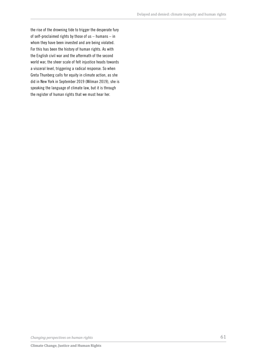the rise of the drowning tide to trigger the desperate fury of self-proclaimed rights by those of  $us -$  humans  $-$  in whom they have been invested and are being violated. For this has been the history of human rights. As with the English civil war and the aftermath of the second world war, the sheer scale of felt injustice heads towards a visceral level, triggering a radical response. So when Greta Thunberg calls for equity in climate action, as she did in New York in September 2019 (Milman 2019), she is speaking the language of climate law, but it is through the register of human rights that we must hear her.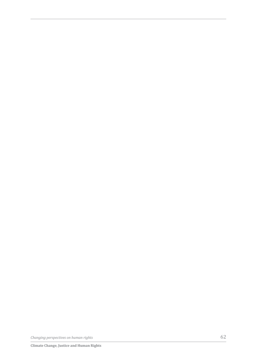*Changing perspectives on human rights*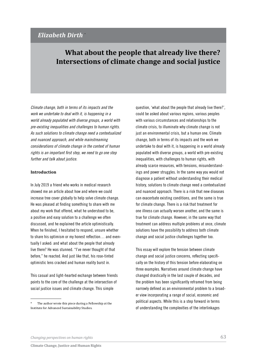## *Elizabeth Dirth* \*

## **What about the people that already live there? Intersections of climate change and social justice**

*Climate change, both in terms of its impacts and the work we undertake to deal with it, is happening in a world already populated with diverse groups, a world with pre-existing inequalities and challenges to human rights. As such solutions to climate change need a contextualized and nuanced approach, and while mainstreaming considerations of climate change in the context of human*  rights is an important first step, we need to go one step *further and talk about justice.* 

### **Introduction**

In July 2019 a friend who works in medical research showed me an article about how and where we could increase tree cover globally to help solve climate change. He was pleased at finding something to share with me about my work that offered, what he understood to be, a positive and easy solution to a challenge we often discussed, and he explained the article optimistically. When he finished, I hesitated to respond, unsure whether to share his optimism or my honest reflection… and eventually I asked: and what about the people that already live there? He was stunned. "I've never thought of that before," he reacted. And just like that, his rose-tinted optimistic lens cracked and human reality burst in.

This casual and light-hearted exchange between friends points to the core of the challenge at the intersection of social justice issues and climate change. This simple

question, 'what about the people that already live there?', could be asked about various regions, various peoples with various circumstances and relationships to the climate crisis, to illuminate why climate change is not just an environmental crisis, but a human one. Climate change, both in terms of its impacts and the work we undertake to deal with it, is happening in a world already populated with diverse groups, a world with pre-existing inequalities, with challenges to human rights, with already scarce resources, with tensions, misunderstandings and power struggles. In the same way you would not diagnose a patient without understanding their medical history, solutions to climate change need a contextualized and nuanced approach. There is a risk that new diseases can exacerbate existing conditions, and the same is true for climate change. There is a risk that treatment for one illness can actually worsen another, and the same is true for climate change. However, in the same way that treatment can address multiple problems at once, climate solutions have the possibility to address both climate change and social justice challenges together too.

This essay will explore the tension between climate change and social justice concerns, reflecting specifically on the history of this tension before elaborating on three examples. Narratives around climate change have changed drastically in the last couple of decades, and the problem has been significantly reframed from being narrowly defined as an environmental problem to a broader view incorporating a range of social, economic and political aspects. While this is a step forward in terms of understanding the complexities of the interlinkages

The author wrote this piece during a Fellowship at the Institute for Advanced Sustainability Studies.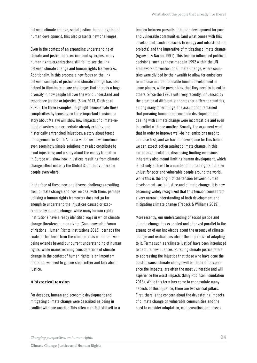between climate change, social justice, human rights and human development, this also presents new challenges.

Even in the context of an expanding understanding of climate and justice intersections and synergies, many human rights organizations still fail to see the link between climate change and human rights frameworks. Additionally, in this process a new focus on the link between concepts of justice and climate change has also helped to illuminate a core challenge: that there is a huge diversity in how people all over the world understand and experience justice or injustice (Sikor 2013; Dirth et al. 2020). The three examples I highlight demonstrate these complexities by focusing on three important tensions: a story about Malawi will show how impacts of climate-related disasters can exacerbate already existing and historically entrenched injustices; a story about forest management in South America will show how sometimes even seemingly simple solutions may also contribute to local injustices; and a story about the energy transition in Europe will show how injustices resulting from climate change affect not only the Global South but vulnerable people everywhere.

In the face of these new and diverse challenges resulting from climate change and how we deal with them, perhaps utilizing a human rights framework does not go far enough to understand the injustices caused or exacerbated by climate change. While many human rights institutions have already identified ways in which climate change threatens human rights (Commonwealth Forum of National Human Rights Institutions 2015), perhaps the scale of the threat from the climate crisis on human wellbeing extends beyond our current understanding of human rights. While mainstreaming considerations of climate change in the context of human rights is an important first step, we need to go one step further and talk about justice.

## **A historical tension**

For decades, human and economic development and mitigating climate change were described as being in conflict with one another. This often manifested itself in a tension between pursuits of human development for poor and vulnerable communities (and what comes with this development, such as access to energy and infrastructure projects) and the imperative of mitigating climate change (Agarwal & Narain 1991). This tension influenced political decisions, such as those made in 1992 within the UN Framework Convention on Climate Change, where countries were divided by their wealth to allow for emissions to increase in order to enable human development in some places, while prescribing that they need to be cut in others. Since the 1990s until very recently, influenced by the creation of different standards for different countries, among many other things, the assumption remained that pursuing human and economic development and dealing with climate change were incompatible and even in conflict with one another. Broadly, the argument went that in order to improve well-being, emissions need to increase first, and we have to have space for this before we can expect action against climate change. In this line of argumentation, discussing limiting emissions inherently also meant limiting human development, which is not only a threat to a number of human rights but also unjust for poor and vulnerable people around the world. While this is the origin of the tension between human development, social justice and climate change, it is now becoming widely recognized that this tension comes from a very narrow understanding of both development and mitigating climate change (Trebeck & Williams 2019).

More recently, our understanding of social justice and climate change has expanded and changed parallel to the expansion of our knowledge about the urgency of climate change and realizations about the imperative of adapting to it. Terms such as 'climate justice' have been introduced to capture new nuances. Pursuing climate justice refers to addressing the injustice that those who have done the least to cause climate change will be the first to experience the impacts, are often the most vulnerable and will experience the worst impacts (Mary Robinson Foundation 2013). While this term has come to encapsulate many aspects of this injustice, there are two central pillars. First, there is the concern about the devastating impacts of climate change on vulnerable communities and the need to consider adaptation, compensation, and losses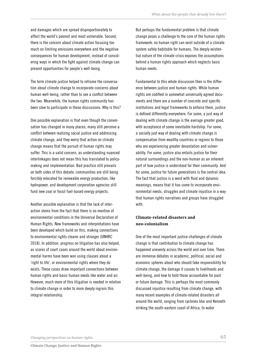and damages which are spread disproportionately to affect the world's poorest and most vulnerable. Second, there is the concern about climate action focusing too much on limiting emissions everywhere and the negative consequences for human development, instead of considering ways in which the fight against climate change can present opportunities for people's well-being.

The term climate justice helped to reframe the conversation about climate change to incorporate concerns about human well-being, rather than to see a conflict between the two. Meanwhile, the human rights community has been slow to participate in these discussions. Why is this?

One possible explanation is that even though the conversation has changed in many places, many still perceive a conflict between realizing social justice and addressing climate change, and they worry that action on climate change means that the pursuit of human rights may suffer. This is a valid concern, as understanding nuanced interlinkages does not mean this has translated to policymaking and implementation. Bad practice still prevails on both sides of this debate: communities are still being forcibly relocated for renewable energy production, like hydropower, and development corporation agencies still fund new coal or fossil fuel-based energy projects.

Another possible explanation is that the lack of interaction stems from the fact that there is no mention of environmental conditions in the Universal Declaration of Human Rights. New frameworks and interpretations have been developed which build on this, making connections to environmental rights clearer and stronger (UNHRC 2018). In addition, progress on litigation has also helped, as scores of court cases around the world about environmental harms have been won using clauses about a 'right to life', or environmental rights where they do exists. These cases draw important connections between human rights and basic human needs like water and air. However, much more of this litigation is needed in relation to climate change in order to more deeply ingrain this integral relationship.

But perhaps the fundamental problem is that climate change poses a challenge to the core of the human rights framework: no human right can exist outside of a climate system safely habitable for humans. The deeply existential nature of the climate crisis exposes the assumptions behind a human rights approach which neglects basic human needs.

Fundamental to this whole discussion then is the difference between justice and human rights. While human rights are codified in somewhat universally agreed documents and there are a number of concrete and specific institutions and legal frameworks to enforce them, justice is defined differently everywhere. For some, a just way of dealing with climate change is the average greater good, with acceptance of some inevitable hardship. For some, a socially just way of dealing with climate change is compensation from wealthy countries or regions to those who are experiencing greater devastation and vulnerability. For some, justice also entails justice for their natural surroundings and the non-human as an inherent part of how justice is understood for their community. And for some, justice for future generations is the central idea. The fact that justice is a word with fluid and dynamic meanings, means that it has come to incorporate environmental needs, struggles and climate injustice in a way that human rights narratives and groups have struggled with.

## **Climate-related disasters and neo-colonialism**

One of the most important justice challenges of climate change is that contribution to climate change has happened unevenly across the world and over time. There are immense debates in academic, political, social and economic spheres about who should take responsibility for climate change, the damage it causes to livelihoods and well-being, and how to hold those accountable for past or future damage. This is perhaps the most commonly discussed injustice resulting from climate change, with many recent examples of climate-related disasters all around the world, ranging from cyclones Idai and Kenneth striking the south-eastern coast of Africa, to water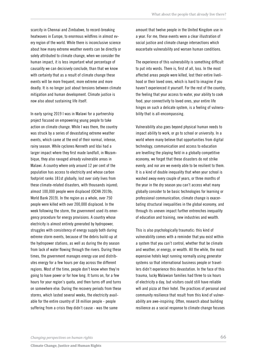scarcity in Chennai and Zimbabwe, to record-breaking heatwaves in Europe, to enormous wildfires in almost every region of the world. While there is inconclusive science about how many extreme weather events can be directly or solely attributed to climate change, when we consider the human impact, it is less important what percentage of causality we can decisively conclude, than that we know with certainty that as a result of climate change these events will be more frequent, more extreme and more deadly. It is no longer just about tensions between climate mitigation and human development. Climate justice is now also about sustaining life itself.

In early spring 2019 I was in Malawi for a partnership project focused on empowering young people to take action on climate change. While I was there, the country was struck by a series of devastating extreme weather events, which came at the end of their normal, intense, rainy season. While cyclones Kenneth and Idai had a larger impact where they first made landfall, in Mozambique, they also ravaged already vulnerable areas in Malawi. A country where only around 12 per cent of the population has access to electricity and whose carbon footprint ranks 181st globally, lost over sixty lives from these climate-related disasters, with thousands injured; almost 100,000 people were displaced (OCHA 2019b; World Bank 2019). In the region as a whole, over 750 people were killed with over 200,000 displaced. In the week following the storm, the government used its emergency procedure for energy provisions. A country whose electricity is almost entirely generated by hydropower, struggles with consistency of energy supply both during extreme storm events, because of the debris build-up at the hydropower stations, as well as during the dry season from lack of water flowing through the rivers. During these times, the government manages energy use and distributes energy for a few hours per day across the different regions. Most of the time, people don't know when they're going to have power or for how long. It turns on, for a few hours for your region's quota, and then turns off and turns on somewhere else. During the recovery periods from these storms, which lasted several weeks, the electricity available for the entire country of 18 million people - people suffering from a crisis they didn't cause - was the same

amount that twelve people in the United Kingdom use in a year. For me, these events were a clear illustration of social justice and climate change intersections which exacerbate vulnerability and worsen human conditions.

The experience of this vulnerability is something difficult to put into words. There is, first of all, loss. In the most affected areas people were killed, lost their entire livelihood or their loved ones, which is hard to imagine if you haven't experienced it yourself. For the rest of the country, the feeling that your access to water, your ability to cook food, your connectivity to loved ones, your entire life hinges on such a delicate system, is a feeling of vulnerability that is all-encompassing.

Vulnerability also goes beyond physical human needs to impact ability to work, or go to school or university. In a world where many believe that opportunities from digital technology, communication and access to education are levelling the playing field in a globally competitive economy, we forget that these disasters do not strike evenly, and nor are we evenly able to be resilient to them. It is a kind of double inequality that when your school is washed away every couple of years, or three months of the year in the dry season you can't access what many globally consider to be basic technologies for learning or professional communication, climate change is exacerbating structural inequalities in the global economy, and through its uneven impact further entrenches inequality of education and training, new industries and wealth.

This is also psychologically traumatic: this kind of vulnerability comes with a reminder that you exist within a system that you can't control, whether that be climate and weather, or energy, or wealth. All the while, the most expensive hotels kept running normally using generator systems so that international business people or travellers didn't experience this devastation. In the face of this trauma, lucky Malawian families had three to six hours of electricity a day, but visitors could still have reliable wifi and pizza at their hotel. The practices of personal and community resilience that result from this kind of vulnerability are awe-inspiring. Often, research about building resilience as a social response to climate change focuses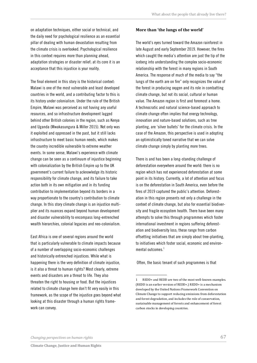on adaptation techniques, either social or technical, and the daily need for psychological resilience as an essential pillar of dealing with human devastation resulting from the climate crisis is overlooked. Psychological resilience in this context requires more than planning ahead, adaptation strategies or disaster relief; at its core it is an acceptance that this injustice is your reality.

The final element in this story is the historical context: Malawi is one of the most vulnerable and least developed countries in the world, and a contributing factor to this is its history under colonialism. Under the rule of the British Empire, Malawi was perceived as not having any useful resources, and so infrastructure development lagged behind other British colonies in the region, such as Kenya and Uganda (Mwakasungura & Miller 2015). Not only was it exploited and oppressed in the past, but it still lacks infrastructure to meet basic human needs, which makes the country incredible vulnerable to extreme weather events. In some sense, Malawi's experience with climate change can be seen as a continuum of injustice beginning with colonialization by the British Empire up to the UK government's current failure to acknowledge its historic responsibility for climate change, and its failure to take action both in its own mitigation and in its funding contribution to implementation beyond its borders in a way proportionate to the country's contribution to climate change. In this story climate change is an injustice multiplier and its nuances expand beyond human development and disaster vulnerability to encompass long-entrenched wealth hierarchies, colonial legacies and neo-colonialism.

East Africa is one of several regions around the world that is particularly vulnerable to climate impacts because of a number of overlapping socio-economic challenges and historically entrenched injustices. While what is happening there is the very definition of climate injustice, is it also a threat to human rights? Most clearly, extreme events and disasters are a threat to life. They also threaten the right to housing or food. But the injustices related to climate change here don't fit very easily in this framework, as the scope of the injustice goes beyond what looking at this disaster through a human rights framework can convey.

## **More than 'the lungs of the world'**

The world's eyes turned toward the Amazon rainforest in late August and early September 2019. However, the fires which caught the media's attention are just the tip of the iceberg into understanding the complex socio-economic relationship with the forest in many regions in South America. The response of much of the media to say "the lungs of the earth are on fire" only recognizes the value of the forest in producing oxygen and its role in combatting climate change, but not its social, cultural or human value. The Amazon region is first and foremost a home. A technocratic and natural science-based approach to climate change often implies that energy technology, innovation and nature-based solutions, such as tree planting, are 'silver bullets' for the climate crisis. In the case of the Amazon, this perspective is used in adopting an optimistically toned narrative that we can solve climate change simply by planting more trees.

There is and has been a long-standing challenge of deforestation everywhere around the world: there is no region which has not experienced deforestation at some point in its history. Currently, a lot of attention and focus is on the deforestation in South America, even before the fires of 2019 captured the public's attention. Deforestation in this region presents not only a challenge in the context of climate change, but also for essential biodiversity and fragile ecosystem health. There have been many attempts to solve this through programmes which foster international investment in regions suffering deforestation and biodiversity loss; these range from carbon offsetting initiatives that are simply about tree-planting, to initiatives which foster social, economic and environmental outcomes. $<sup>1</sup>$ </sup>

Often, the basic tenant of such programmes is that

<sup>1</sup> REDD+ and REDD are two of the most well-known examples. (REDD is an earlier version of REDD+.) REDD+ is a mechanism developed by the United Nations Framework Convention on Climate Change to support reducing emissions from deforestation and forest degradation, and includes the role of conservation, sustainable management of forests and enhancement of forest carbon stocks in developing countries.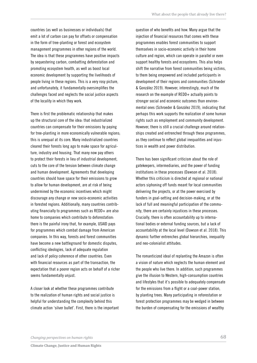countries (as well as businesses or individuals) that emit a lot of carbon can pay for offsets or compensation in the form of tree-planting or forest and ecosystem management programmes in other regions of the world. The idea is that these programmes have positive impacts by sequestering carbon, combatting deforestation and promoting ecosystem health, as well as boost local economic development by supporting the livelihoods of people living in these regions. This is a very rosy picture, and unfortunately, it fundamentally oversimplifies the challenges faced and neglects the social justice aspects of the locality in which they work.

There is first the problematic relationship that makes up the structural core of the idea: that industrialized countries can compensate for their emissions by paying for tree-planting in more economically vulnerable regions; this is unequal at its core. Many industrialized countries cleared their forests long ago to make space for agriculture, industry and housing. That many now pay others to protect their forests in lieu of industrial development, cuts to the core of the tension between climate change and human development. Agreements that developing countries should have space for their emissions to grow to allow for human development, are at risk of being undermined by the economic incentives which might discourage any change or new socio-economic activities in forested regions. Additionally, many countries contributing financially to programmes such as REDD+ are also home to companies which contribute to deforestation: there is the painful irony that, for example, USAID pays for programmes which combat damage from American companies. In this way, forests and forest communities have become a new battleground for domestic disputes, conflicting ideologies, lack of adequate regulation and lack of policy coherence of other countries. Even with financial resources as part of the transaction, the expectation that a poorer region acts on behalf of a richer seems fundamentally unjust.

A closer look at whether these programmes contribute to the realization of human rights and social justice is helpful for understanding the complexity behind this climate action 'silver bullet'. First, there is the important question of who benefits and how. Many argue that the injection of financial resources that comes with these programmes enables forest communities to support themselves in socio-economic activity in their home culture and region, which can operate in parallel or even support healthy forests and ecosystems. This also helps shift the narrative from forest communities being victims, to them being empowered and included participants in development of their regions and communities (Schroeder & González 2019). However, interestingly, much of the research on the example of REDD+ actually points to stronger social and economic outcomes than environmental ones (Schroeder & González 2019), indicating that perhaps this work supports the realization of some human rights such as employment and community development. However, there is still a crucial challenge around relationships created and entrenched through these programmes, as they continue to reflect global inequalities and injustices in wealth and power distribution.

There has been significant criticism about the role of gatekeepers, intermediaries, and the power of funding institutions in these processes (Dawson et al. 2018). Whether this criticism is directed at regional or national actors siphoning off funds meant for local communities delivering the projects, or at the power exercised by funders in goal-setting and decision-making, or at the lack of full and meaningful participation of the community, there are certainly injustices in these processes. Crucially, there is often accountability up to international bodies or external funding sources, but a lack of accountability at the local level (Dawson et al. 2018). This dynamic further entrenches global hierarchies, inequality and neo-colonialist attitudes.

The romanticized ideal of replanting the Amazon is often a vision of nature which neglects the human element and the people who live there. In addition, such programmes give the illusion to Western, high-consumption countries and lifestyles that it's possible to adequately compensate for the emissions from a flight or a coal-power station, by planting trees. Many participating in reforestation or forest protection programmes may be wedged in between the burden of compensating for the emissions of wealthy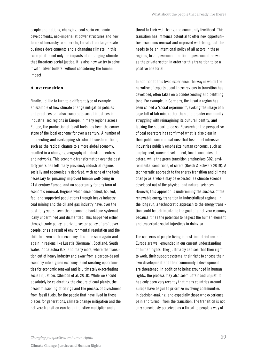people and nations, changing local socio-economic developments, neo-imperialist power structures and new forms of hierarchy to adhere to, threats from large-scale business developments and a changing climate. In this example it is not only the impacts of a changing climate that threatens social justice, it is also how we try to solve it with 'silver bullets' without considering the human impact.

## **A just transition**

Finally, I'd like to turn to a different type of example: an example of how climate change mitigation policies and practices can also exacerbate social injustices in industrialized regions in Europe. In many regions across Europe, the production of fossil fuels has been the cornerstone of the local economy for over a century. A number of intersecting and overlapping structural transformations, such as the radical change to a more global economy, resulted in a changing geography of industrial centres and networks. This economic transformation over the past forty years has left many previously industrial regions socially and economically deprived, with none of the tools necessary for pursuing improved human well-being in 21st century Europe, and no opportunity for any form of economic renewal. Regions which once homed, housed, fed, and supported populations through heavy industry, coal mining and the oil and gas industry have, over the past forty years, seen their economic backbone systematically undermined and dismantled. This happened either through trade policy, a private sector policy of profit over people, or as a result of environmental regulation and the shift to a zero carbon economy. It can be seen again and again in regions like Lusatia (Germany), Scotland, South Wales, Appalachia (US) and many more, where the transition out of heavy industry and away from a carbon-based economy into a green economy is not creating opportunities for economic renewal and is ultimately exacerbating social injustices (Sheldon et al. 2018). While we should absolutely be celebrating the closure of coal plants, the decommissioning of oil rigs and the process of divestment from fossil fuels, for the people that have lived in these places for generations, climate change mitigation and the net-zero transition can be an injustice multiplier and a

threat to their well-being and community livelihood. This transition has immense potential to offer new opportunities, economic renewal and improved well-being, but this needs to be an intentional policy of all actors in these regions, local government, national government as well as the private sector, in order for this transition to be a positive one for all.

In addition to this lived experience, the way in which the narrative of experts about these regions in transition has developed, often takes on a condescending and belittling tone. For example, in Germany, the Lusatia region has been coined a 'social experiment', evoking the image of a cage full of lab mice rather than of a broader community struggling with reimagining its cultural identity, and lacking the support to do so. Research on the perspective of coal operators has confirmed what is also clear in their public communications: that fossil fuel intensive industries publicly emphasize human concerns, such as employment, career development, local economies, et cetera, while the green transition emphasizes C02, environmental conditions, et cetera (Bosch & Schwarz 2019). A technocratic approach to the energy transition and climate change as a whole may be expected, as climate science developed out of the physical and natural sciences. However, this approach is undermining the success of the renewable energy transition in industrialized regions. In the long run, a technocratic approach to the energy transition could be detrimental to the goal of a net-zero economy because it has the potential to neglect the human element and exacerbate social injustices in doing so.

The concerns of people living in post-industrial areas in Europe are well-grounded in our current understanding of human rights. They justifiably can see that their right to work, their support systems, their right to choose their own development and their community's development are threatened. In addition to being grounded in human rights, the process may also seem unfair and unjust. It has only been very recently that many countries around Europe have begun to prioritize involving communities in decision-making, and especially those who experience pain and turmoil from the transition. The transition is not only consciously perceived as a threat to people's way of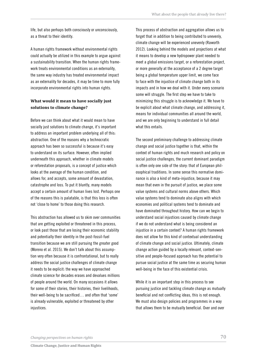life, but also perhaps both consciously or unconsciously, as a threat to their identity.

A human rights framework without environmental rights could actually be utilized in this example to argue against a sustainability transition. When the human rights framework treats environmental conditions as an externality, the same way industry has treated environmental impact as an externality for decades, it may be time to more fully incorporate environmental rights into human rights.

## **What would it mean to have socially just solutions to climate change?**

Before we can think about what it would mean to have socially just solutions to climate change, it's important to address an important problem underlying all of this: abstraction. One of the reasons why a technocratic approach has been so successful is because it's easy to understand on its surface. However, often implied underneath this approach, whether in climate models or reforestation proposals, is a concept of justice which looks at the average of the human condition, and allows for, and accepts, some amount of devastation, catastrophe and loss. To put it bluntly, many models accept a certain amount of human lives lost. Perhaps one of the reasons this is palatable, is that this loss is often not 'close to home' to those doing this research.

This abstraction has allowed us to skim over communities that are getting exploited or threatened in this process, or look past those that are losing their economic stability and potentially their identity in the post-fossil-fuel transition because we are still pursuing the greater good (Moreno et al. 2015). We don't talk about this assumption very often because it is confrontational, but to really address the social justice challenges of climate change it needs to be explicit: the way we have approached climate science for decades erases and devalues millions of people around the world. On many occasions it allows for some of their stories, their histories, their livelihoods, their well-being to be sacrificed… and often that 'some' is already vulnerable, exploited or threatened by other injustices.

This process of abstraction and aggregation allows us to forget that in addition to being contributed to unevenly, climate change will be experienced unevenly (Raworth 2012). Looking behind the models and projections at what it means to develop a new hydropower plant needed to meet a global emissions target, or a reforestation project, or more generally at the acceptance of a 2 degree target being a global temperature upper limit, we come face to face with the injustice of climate change both in its impacts and in how we deal with it. Under every scenario some will struggle. The first step we have to take to minimizing this struggle is to acknowledge it. We have to be explicit about what climate change, and addressing it, means for individual communities all around the world, and we are only beginning to understand in full detail what this entails.

The second preliminary challenge to addressing climate change and social justice together is that, within the context of human rights and much research and policy on social justice challenges, the current dominant paradigm is often only one side of the story: that of European philosophical traditions. In some sense this normative dominance is also a kind of meta-injustice, because it may mean that even in the pursuit of justice, we place some value systems and cultural norms above others. Which value systems tend to dominate also aligns with which economies and political systems tend to dominate and have dominated throughout history. How can we begin to understand social injustices caused by climate change if we do not understand what is being considered an injustice in a certain context? A human rights framework does not allow for this kind of contextual understanding of climate change and social justice. Ultimately, climate change action guided by a locally relevant, context-sensitive and people-focused approach has the potential to pursue social justice at the same time as securing human well-being in the face of this existential crisis.

While it is an important step in this process to see pursuing justice and tackling climate change as mutually beneficial and not conflicting ideas, this is not enough. We must also design policies and programmes in a way that allows them to be mutually beneficial. Over and over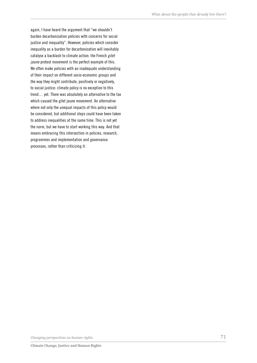again, I have heard the argument that "we shouldn't burden decarbonization policies with concerns for social justice and inequality". However, policies which consider inequality as a burden for decarbonization will inevitably catalyse a backlash to climate action: the French *gilet jaune* protest movement is the perfect example of this. We often make policies with an inadequate understanding of their impact on different socio-economic groups and the way they might contribute, positively or negatively, to social justice: climate policy is no exception to this trend… yet. There was absolutely an alternative to the tax which caused the gilet jaune movement. An alternative where not only the unequal impacts of this policy would be considered, but additional steps could have been taken to address inequalities at the same time. This is not yet the norm, but we have to start working this way. And that means embracing this intersection in policies, research, programmes and implementation and governance processes, rather than criticizing it.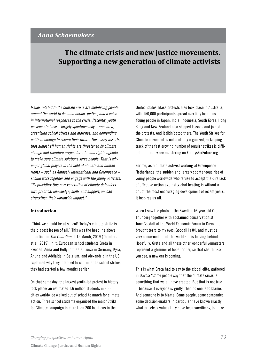# **The climate crisis and new justice movements. Supporting a new generation of climate activists**

*Issues related to the climate crisis are mobilizing people around the world to demand action, justice, and a voice in international responses to the crisis. Recently, youth movements have – largely spontaneously – appeared, organizing school strikes and marches, and demanding political change to secure their future. This essay asserts that almost all human rights are threatened by climate change and therefore argues for a human rights agenda to make sure climate solutions serve people. That is why*  major global players in the field of climate and human *rights – such as Amnesty International and Greenpeace – should work together and engage with the young activists. "By providing this new generation of climate defenders with practical knowledge, skills and support, we can strengthen their worldwide impact."*

### **Introduction**

"Think we should be at school? Today's climate strike is the biggest lesson of all." This was the headline above an article in *The Guardian* of 15 March, 2019 (Thunberg et al. 2019). In it, European school students Greta in Sweden, Anna and Holly in the UK, Luisa in Germany, Kyra, Anuna and Adélaïde in Belgium, and Alexandria in the US explained why they intended to continue the school strikes they had started a few months earlier.

On that same day, the largest youth-led protest in history took place: an estimated 1.6 million students in 300 cities worldwide walked out of school to march for climate action. Three school students organized the major Strike for Climate campaign in more than 200 locations in the

United States. Mass protests also took place in Australia, with 150,000 participants spread over fifty locations. Young people in Japan, India, Indonesia, South Korea, Hong Kong and New Zealand also skipped lessons and joined the protests. And it didn't stop there. The Youth Strikes for Climate movement is not centrally organized, so keeping track of the fast growing number of regular strikes is difficult, but many are registering on FridaysForFuture.org.

For me, as a climate activist working at Greenpeace Netherlands, the sudden and largely spontaneous rise of young people worldwide who refuse to accept the dire lack of effective action against global heating is without a doubt the most encouraging development of recent years. It inspires us all.

When I saw the photo of the Swedish 16-year-old Greta Thunberg together with acclaimed conservationist Jane Goodall at the World Economic Forum in Davos, it brought tears to my eyes. Goodall is 84, and must be very concerned about the world she is leaving behind. Hopefully, Greta and all these other wonderful youngsters represent a glimmer of hope for her, so that she thinks: you see, a new era is coming.

This is what Greta had to say to the global elite, gathered in Davos: "Some people say that the climate crisis is something that we all have created. But that is not true – because if everyone is guilty, then no one is to blame. And someone is to blame. Some people, some companies, some decision-makers in particular have known exactly what priceless values they have been sacrificing to make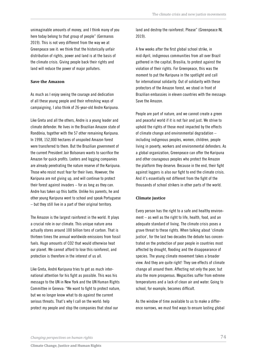unimaginable amounts of money, and I think many of you here today belong to that group of people" (Germanos 2019). This is not very different from the way we at Greenpeace see it: we think that the historically unfair distribution of rights, power and land is at the basis of the climate crisis. Giving people back their rights and land will reduce the power of major polluters.

#### **Save the Amazon**

As much as I enjoy seeing the courage and dedication of all these young people and their refreshing ways of campaigning, I also think of 26-year-old Andre Karipuna.

Like Greta and all the others, Andre is a young leader and climate defender. He lives in the Brazilian Amazon state of Rondônia, together with the 57 other remaining Karipuna. In 1998, 152,000 hectares of unspoiled Amazon forest were transferred to them. But the Brazilian government of the current President Jair Bolsonaro wants to sacrifice the Amazon for quick profits. Looters and logging companies are already penetrating the nature reserve of the Karipuna. Those who resist must fear for their lives. However, the Karipuna are not giving up, and will continue to protect their forest against invaders – for as long as they can. Andre has taken up this battle. Unlike his parents, he and other young Karipuna went to school and speak Portuguese – but they still live in a part of their original territory.

The Amazon is the largest rainforest in the world. It plays a crucial role in our climate. This unique nature area actually stores around 100 billion tons of carbon. That is thirteen times the annual worldwide emissions from fossil fuels. Huge amounts of CO2 that would otherwise heat our planet. We cannot afford to lose this rainforest, and protection is therefore in the interest of us all.

Like Greta, André Karipuna tries to get as much international attention for his fight as possible. This was his message to the UN in New York and the UN Human Rights Committee in Geneva: "We want to fight to protect nature, but we no longer know what to do against the current serious threats. That's why I call on the world: help protect my people and stop the companies that steal our

land and destroy the rainforest. Please" (Greenpeace NL 2019).

A few weeks after the first global school strike, in mid-April, indigenous communities from all over Brazil gathered in the capital, Brasilia, to protest against the violation of their rights. For Greenpeace, this was the moment to put the Karipuna in the spotlight and call for international solidarity. Out of solidarity with these protectors of the Amazon forest, we stood in front of Brazilian embassies in eleven countries with the message: Save the Amazon.

People are part of nature, and we cannot create a green and peaceful world if it is not fair and just. We strive to uphold the rights of those most impacted by the effects of climate change and environmental degradation – including indigenous peoples, women, children, people living in poverty, workers and environmental defenders. As a global organization, Greenpeace can offer the Karipuna and other courageous peoples who protect the Amazon the platform they deserve. Because in the end, their fight against loggers is also our fight to end the climate crisis. And it's essentially not different from the fight of the thousands of school strikers in other parts of the world.

### **Climate justice**

Every person has the right to a safe and healthy environment – as well as the right to life, health, food, and an adequate standard of living. The climate crisis poses a grave threat to these rights. When talking about 'climate justice', for the last two decades the debate has concentrated on the protection of poor people in countries most affected by drought, flooding and the disappearance of species. The young climate movement takes a broader view. And they are quite right! They see effects of climate change all around them. Affecting not only the poor, but also the more prosperous. Megacities suffer from extreme temperatures and a lack of clean air and water. Going to school, for example, becomes difficult.

As the window of time available to us to make a difference narrows, we must find ways to ensure lasting global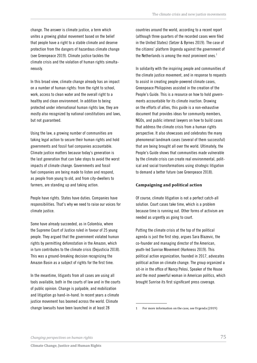change. The answer is climate justice, a term which unites a growing global movement based on the belief that people have a right to a stable climate and deserve protection from the dangers of hazardous climate change (see Greenpeace 2019). Climate justice tackles the climate crisis and the violation of human rights simultaneously.

In this broad view, climate change already has an impact on a number of human rights: from the right to school, work, access to clean water and the overall right to a healthy and clean environment. In addition to being protected under international human rights law, they are mostly also recognized by national constitutions and laws, but not guaranteed.

Using the law, a growing number of communities are taking legal action to secure their human rights and hold governments and fossil fuel companies accountable. Climate justice matters because today's generation is the last generation that can take steps to avoid the worst impacts of climate change. Governments and fossil fuel companies are being made to listen and respond, as people from young to old, and from city-dwellers to farmers, are standing up and taking action.

People have rights. States have duties. Companies have responsibilities. That's why we need to raise our voices for climate justice.

Some have already succeeded, as in Colombia, where the Supreme Court of Justice ruled in favour of 25 young people. They argued that the government violated human rights by permitting deforestation in the Amazon, which in turn contributes to the climate crisis (Dejusticia 2018). This was a ground-breaking decision recognizing the Amazon Basin as a subject of rights for the first time.

In the meantime, litigants from all cases are using all tools available, both in the courts of law and in the courts of public opinion. Change is palpable, and mobilization and litigation go hand-in-hand. In recent years a climate justice movement has boomed across the world. Climate change lawsuits have been launched in at least 28

countries around the world, according to a recent report (although three quarters of the recorded cases were filed in the United States) (Setzer & Byrnes 2019). The case of the citizens' platform Urgenda against the government of the Netherlands is among the most prominent ones. $<sup>1</sup>$ </sup>

In solidarity with the inspiring people and communities of the climate justice movement, and in response to requests to assist in creating people-powered climate cases, Greenpeace Philippines assisted in the creation of the People's Guide. This is a resource on how to hold governments accountable for its climate inaction. Drawing on the efforts of allies, this guide is a non-exhaustive document that provides ideas for community members, NGOs, and public interest lawyers on how to build cases that address the climate crisis from a human rights perspective. It also showcases and celebrates the many phenomenal landmark cases (several of them successful) that are being brought all over the world. Ultimately, the People's Guide shows that communities made vulnerable by the climate crisis can create real environmental, political and social transformations using strategic litigation to demand a better future (see Greenpeace 2018).

#### **Campaigning and political action**

Of course, climate litigation is not a perfect catch-all solution. Court cases take time, which is a problem because time is running out. Other forms of activism are needed as urgently as going to court.

Putting the climate crisis at the top of the political agenda is just the first step, argues Sara Blazevic, the co-founder and managing director of the American, youth-led Sunrise Movement (Harkness 2019). This political action organization, founded in 2017, advocates political action on climate change. The group organized a sit-in in the office of Nancy Pelosi, Speaker of the House and the most powerful woman in American politics, which brought Sunrise its first significant press coverage.

<sup>1</sup> For more information on the case, see Urgenda (2019)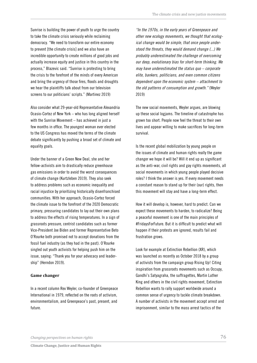Sunrise is building the power of youth to urge the country to take the climate crisis seriously while reclaiming democracy. "We need to transform our entire economy to prevent [the climate crisis] and we also have an incredible opportunity to create millions of good jobs and actually increase equity and justice in this country in the process," Blazevic said. "Sunrise is protesting to bring the crisis to the forefront of the minds of every American and bring the urgency of those fires, floods and droughts we hear the plaintiffs talk about from our television screens to our politicians' scripts." (Martinez 2019)

Also consider what 29-year-old Representative Alexandria Ocasio-Cortez of New York – who has long aligned herself with the Sunrise Movement – has achieved in just a few months in office. The youngest woman ever elected to the US Congress has moved the terms of the climate debate significantly by pushing a broad set of climate and equality goals.

Under the banner of a Green New Deal, she and her fellow-activists aim to drastically reduce greenhouse gas emissions in order to avoid the worst consequences of climate change (Kurtzleben 2019). They also seek to address problems such as economic inequality and racial injustice by prioritizing historically disenfranchised communities. With her approach, Ocasio-Cortez forced the climate issue to the forefront of the 2020 Democratic primary, pressuring candidates to lay out their own plans to address the effects of rising temperatures. In a sign of grassroots pressure, centrist candidates such as former Vice-President Joe Biden and former Representative Beto O'Rourke both promised not to accept donations from the fossil fuel industry (as they had in the past). O'Rourke singled out youth activists for helping push him on the issue, saying: "Thank you for your advocacy and leadership" (Herndon 2019).

#### **Game changer**

In a recent column Rex Weyler, co-founder of Greenpeace International in 1979, reflected on the roots of activism, environmentalism, and Greenpeace's past, present, and future.

*"In the 1970s, in the early years of Greenpeace and other new ecology movements, we thought that ecological change would be simple, that once people understood the threats, they would demand change (...) We probably underestimated the challenge of overcoming our deep, evolutionary bias for short-term thinking. We may have underestimated the status quo – corporate elite, bankers, politicians, and even common citizens dependent upon the economic system – attachment to the old patterns of consumption and growth."* (Weyler 2019)

The new social movements, Weyler argues, are blowing up these social logjams. The timeline of catastrophe has grown too short. People now feel the threat to their own lives and appear willing to make sacrifices for long-term survival.

Is the recent global mobilization by young people on the issues of climate and human rights really the game changer we hope it will be? Will it end up as significant as the anti-war, civil rights and gay rights movements, all social movements in which young people played decisive roles? I think the answer is yes. If every movement needs a constant reason to stand up for their (our) rights, then this movement will stay and have a long-term effect.

How it will develop is, however, hard to predict. Can we expect these movements to harden, to radicalize? Being a peaceful movement is one of the main principles of #FridaysForFuture. But it is difficult to predict what will happen if their protests are ignored, results fail and frustration grows.

Look for example at Extinction Rebellion (XR), which was launched as recently as October 2018 by a group of activists from the campaign group Rising Up! Citing inspiration from grassroots movements such as Occupy, Gandhi's Satyagraha, the suffragettes, Martin Luther King and others in the civil rights movement, Extinction Rebellion wants to rally support worldwide around a common sense of urgency to tackle climate breakdown. A number of activists in the movement accept arrest and imprisonment, similar to the mass arrest tactics of the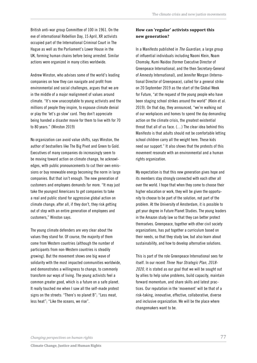British anti-war group Committee of 100 in 1961. On the eve of international Rebellion Day, 15 April, XR activists occupied part of the International Criminal Court in The Hague as well as the Parliament's Lower House in the UK, forming human chains before being arrested. Similar actions were organized in many cities worldwide.

Andrew Winston, who advises some of the world's leading companies on how they can navigate and profit from environmental and social challenges, argues that we are in the middle of a major realignment of values around climate. "It's now unacceptable to young activists and the millions of people they inspire, to espouse climate denial or play the 'let's go slow' card. They don't appreciate being handed a disaster movie for them to live with for 70 to 80 years." (Winston 2019)

No organization can avoid value shifts, says Winston, the author of bestsellers like The Big Pivot and Green to Gold. Executives of many companies do increasingly seem to be moving toward action on climate change, he acknowledges, with public pronouncements to cut their own emissions or buy renewable energy becoming the norm in large companies. But that isn't enough. The new generation of customers and employees demands far more. "It may just take the youngest Americans to get companies to take a real and public stand for aggressive global action on climate change; after all, if they don't, they risk getting out of step with an entire generation of employees and customers," Winston says.

The young climate defenders are very clear about the values they stand for. Of course, the majority of them come from Western countries (although the number of participants from non-Western countries is steadily growing). But the movement shows one big wave of solidarity with the most impacted communities worldwide, and demonstrates a willingness to change, to commonly transform our ways of living. The young activists feel a common greater good, which is a future on a safe planet. It really touched me when I saw all the self-made protest signs on the streets: "There's no planet B"; "Less meat, less heat"; "Like the oceans, we rise".

### **How can 'regular' activists support this new generation?**

In a Manifesto published in *The Guardian*, a large group of influential individuals including Naomi Klein, Noam Chomsky, Kumi Naidoo (former Executive Director of Greenpeace International, and the then Secretary-General of Amnesty International), and Jennifer Morgan (International Director of Greenpeace), called for a general strike on 20 September 2019 as the start of the Global Week for Future, "at the request of the young people who have been staging school strikes around the world" (Klein et al. 2019). On that day, they announced, "we're walking out of our workplaces and homes to spend the day demanding action on the climate crisis, the greatest existential threat that all of us face. (…) The clear idea behind this Manifesto is that adults should not be comfortable letting school children carry all the weight here. These kids need our support." It also shows that the protests of this movement resonate with an environmental and a human rights organization.

My expectation is that this new generation gives hope and its members stay strongly connected with each other all over the world. I hope that when they come to choose their higher education or work, they will be given the opportunity to choose to be part of the solution, not part of the problem. At the University of Amsterdam, it is possible to get your degree in Future Planet Studies. The young leaders in the Amazon study law so that they can better protect themselves. Greenpeace, together with other civil society organizations, has put together a curriculum based on their needs, so that they study law, but also learn about sustainability, and how to develop alternative solutions.

This is part of the role Greenpeace International sees for itself. In our recent *Three Year Strategic Plan, 2018- 2020*, it is stated as our goal that we will be sought out by allies to help solve problems, build capacity, maintain forward momentum, and share skills and latest practices. Our reputation in the 'movement' will be that of a risk-taking, innovative, effective, collaborative, diverse and inclusive organization. We will be the place where changemakers want to be.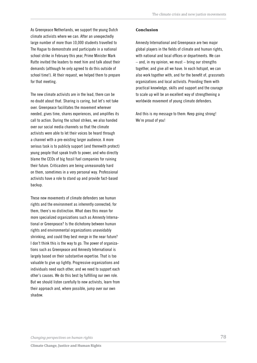As Greenpeace Netherlands, we support the young Dutch climate activists where we can. After an unexpectedly large number of more than 10,000 students travelled to The Hague to demonstrate and participate in a national school strike in February this year, Prime Minister Mark Rutte invited the leaders to meet him and talk about their demands (although he only agreed to do this outside of school time!). At their request, we helped them to prepare for that meeting.

The new climate activists are in the lead, there can be no doubt about that. Sharing is caring, but let's not take over. Greenpeace facilitates the movement wherever needed, gives time, shares experiences, and amplifies its call to action. During the school strikes, we also handed over our social media channels so that the climate activists were able to let their voices be heard through a channel with a pre-existing larger audience. A more serious task is to publicly support (and therewith protect) young people that speak truth to power, and who directly blame the CEOs of big fossil fuel companies for ruining their future. Criticasters are being unreasonably hard on them, sometimes in a very personal way. Professional activists have a role to stand up and provide fact-based backup.

These new movements of climate defenders see human rights and the environment as inherently connected; for them, there's no distinction. What does this mean for more specialized organizations such as Amnesty International or Greenpeace? Is the dichotomy between human rights and environmental organizations unavoidably shrinking, and could they best merge in the near future? I don't think this is the way to go. The power of organizations such as Greenpeace and Amnesty International is largely based on their substantive expertise. That is too valuable to give up lightly. Progressive organizations and individuals need each other, and we need to support each other's causes. We do this best by fulfilling our own role. But we should listen carefully to new activists, learn from their approach and, where possible, jump over our own shadow.

#### **Conclusion**

Amnesty International and Greenpeace are two major global players in the fields of climate and human rights, with national and local offices or departments. We can  $-$  and, in my opinion, we must  $-$  bring our strengths together, and give all we have. In each hotspot, we can also work together with, and for the benefit of, grassroots organizations and local activists. Providing them with practical knowledge, skills and support and the courage to scale up will be an excellent way of strengthening a worldwide movement of young climate defenders.

And this is my message to them: Keep going strong! We're proud of you!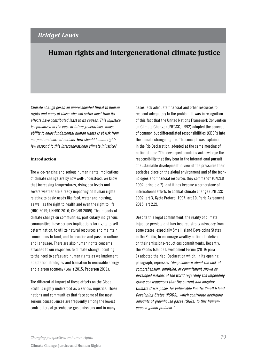### *Bridget Lewis*

## **Human rights and intergenerational climate justice**

*Climate change poses an unprecedented threat to human rights and many of those who will suffer most from its effects have contributed least to its causes. This injustice is epitomized in the case of future generations, whose ability to enjoy fundamental human rights is at risk from our past and current actions. How should human rights law respond to this intergenerational climate injustice?*

#### **Introduction**

The wide-ranging and serious human rights implications of climate change are by now well-understood. We know that increasing temperatures, rising sea levels and severe weather are already impacting on human rights relating to basic needs like food, water and housing, as well as the right to health and even the right to life (HRC 2019; UNHRC 2016; OHCHR 2009). The impacts of climate change on communities, particularly indigenous communities, have serious implications for rights to selfdetermination, to utilize natural resources and maintain connections to land, and to practice and pass on culture and language. There are also human rights concerns attached to our responses to climate change, pointing to the need to safeguard human rights as we implement adaptation strategies and transition to renewable energy and a green economy (Lewis 2015; Pedersen 2011).

The differential impact of these effects on the Global South is rightly understood as a serious injustice. Those nations and communities that face some of the most serious consequences are frequently among the lowest contributors of greenhouse gas emissions and in many

cases lack adequate financial and other resources to respond adequately to the problem. It was in recognition of this fact that the United Nations Framework Convention on Climate Change (UNFCCC, 1992) adopted the concept of common but differentiated responsibilities (CBDR) into the climate change regime. The concept was explained in the Rio Declaration, adopted at the same meeting of nation states: "The developed countries acknowledge the responsibility that they bear in the international pursuit of sustainable development in view of the pressures their societies place on the global environment and of the technologies and financial resources they command" (UNCED 1992: principle 7), and it has become a cornerstone of international efforts to combat climate change (UNFCCC 1992: art 3; Kyoto Protocol 1997: art 10; Paris Agreement 2015: art 2.2).

Despite this legal commitment, the reality of climate injustice persists and has inspired strong advocacy from some states, especially Small Island Developing States in the Pacific, to encourage wealthy nations to deliver on their emissions-reductions commitments. Recently, the Pacific Islands Development Forum (2019: para 1) adopted the Nadi Declaration which, in its opening paragraph, expresses *"deep concern about the lack of comprehension, ambition, or commitment shown by developed nations of the world regarding the impending grave consequences that the current and ongoing Climate Crisis poses for vulnerable Pacific Small Island Developing States (PSIDS), which contribute negligible amounts of greenhouse gases (GHGs) to this humancaused global problem."*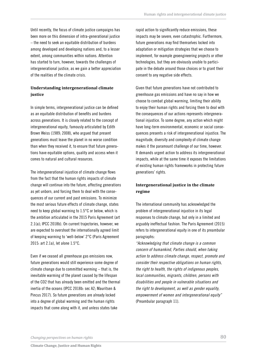Until recently, the focus of climate justice campaigns has been more on this dimension of intra-generational justice – the need to seek an equitable distribution of burdens among developed and developing nations and, to a lesser extent, among communities within nations. Attention has started to turn, however, towards the challenges of intergenerational justice, as we gain a better appreciation of the realities of the climate crisis.

### **Understanding intergenerational climate justice**

In simple terms, intergenerational justice can be defined as an equitable distribution of benefits and burdens across generations. It is closely related to the concept of intergenerational equity, famously articulated by Edith Brown Weiss (1989; 2008), who argued that present generations must leave the planet in no worse condition than when they received it, to ensure that future generations have equitable options, quality and access when it comes to natural and cultural resources.

The intergenerational injustice of climate change flows from the fact that the human rights impacts of climate change will continue into the future, affecting generations as yet unborn, and forcing them to deal with the consequences of our current and past emissions. To minimize the most serious future effects of climate change, states need to keep global warming to 1.5°C or below, which is the ambition articulated in the 2015 Paris Agreement (art 2.1(a); IPCC 2018b). On current trajectories, however, we are expected to overshoot the internationally agreed limit of keeping warming to 'well-below' 2°C (Paris Agreement 2015: art 2.1a), let alone 1.5°C.

Even if we ceased all greenhouse gas emissions now, future generations would still experience some degree of climate change due to committed warming – that is, the inevitable warming of the planet caused by the lifespan of the CO2 that has already been emitted and the thermal inertia of the oceans (IPCC 2018b: sec A2; Mauritsen & Pincus 2017). So future generations are already locked into a degree of global warming and the human rights impacts that come along with it, and unless states take

rapid action to significantly reduce emissions, these impacts may be severe, even catastrophic. Furthermore, future generations may find themselves locked into adaptation or mitigation strategies that we choose to implement, for example geoengineering projects or other technologies, but they are obviously unable to participate in the debate around those choices or to grant their consent to any negative side effects.

Given that future generations have not contributed to greenhouse gas emissions and have no say in how we choose to combat global warming, limiting their ability to enjoy their human rights and forcing them to deal with the consequences of our actions represents intergenerational injustice. To some degree, any action which might have long-term environmental, economic or social consequences presents a risk of intergenerational injustice. The magnitude, diversity and complexity of climate change makes it the paramount challenge of our time, however. It demands urgent action to address its intergenerational impacts, while at the same time it exposes the limitations of existing human rights frameworks in protecting future generations' rights.

### **Intergenerational justice in the climate regime**

The international community has acknowledged the problem of intergenerational injustice in its legal responses to climate change, but only in a limited and arguably ineffectual fashion. The Paris Agreement (2015) refers to intergenerational equity in one of its preambular paragraphs:

*"Acknowledging that climate change is a common concern of humankind, Parties should, when taking action to address climate change, respect, promote and consider their respective obligations on human rights, the right to health, the rights of indigenous peoples, local communities, migrants, children, persons with disabilities and people in vulnerable situations and the right to development, as well as gender equality, empowerment of women and intergenerational equity"* (Preambular paragraph 11).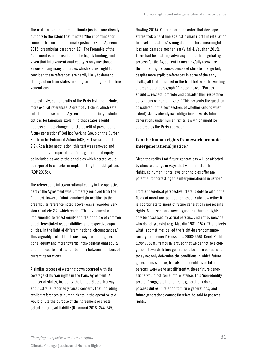The next paragraph refers to climate justice more directly, but only to the extent that it notes "the importance for some of the concept of 'climate justice'" (Paris Agreement 2015: preambular paragraph 12). The Preamble of the Agreement is not considered to be legally binding, and given that intergenerational equity is only mentioned as one among many principles which states ought to consider, these references are hardly likely to demand strong action from states to safeguard the rights of future generations.

Interestingly, earlier drafts of the Paris text had included more explicit references. A draft of article 2, which sets out the purposes of the Agreement, had initially included options for language explaining that states should address climate change "for the benefit of present and future generations" (Ad hoc Working Group on the Durban Platform for Enhanced Action (ADP) 2015a: sec C, art 2.2). At a later negotiation, this text was removed and an alternative proposed that 'intergenerational equity' be included as one of the principles which states would be required to consider in implementing their obligations (ADP 2015b).

The reference to intergenerational equity in the operative part of the Agreement was ultimately removed from the final text, however. What remained (in addition to the preambular reference noted above) was a reworded version of article 2.2, which reads: "This agreement will be implemented to reflect equity and the principle of common but differentiated responsibilities and respective capabilities, in the light of different national circumstances." This arguably shifted the focus away from intergenerational equity and more towards intra-generational equity and the need to strike a fair balance between members of current generations.

A similar process of watering down occurred with the coverage of human rights in the Paris Agreement. A number of states, including the United States, Norway and Australia, reportedly raised concerns that including explicit references to human rights in the operative text would dilute the purpose of the Agreement or create potential for legal liability (Rajamani 2018: 244-245;

Rowling 2015). Other reports indicated that developed states took a hard line against human rights in retaliation to developing states' strong demands for a meaningful loss and damage mechanism (Vidal & Vaughan 2015). There had been strong advocacy during the negotiating process for the Agreement to meaningfully recognize the human rights consequences of climate change but, despite more explicit references in some of the early drafts, all that remained in the final text was the wording of preambular paragraph 11 noted above: "Parties should ... respect, promote and consider their respective obligations on human rights." This presents the question, considered in the next section, of whether (and to what extent) states already owe obligations towards future generations under human rights law which might be captured by the Paris approach.

### **Can the human rights framework promote intergenerational justice?**

Given the reality that future generations will be affected by climate change in ways that will limit their human rights, do human rights laws or principles offer any potential for correcting this intergenerational injustice?

From a theoretical perspective, there is debate within the fields of moral and political philosophy about whether it is appropriate to speak of future generations possessing rights. Some scholars have argued that human rights can only be possessed by actual persons, and not by persons who do not yet exist (e.g. Macklin 1981: 152). This reflects what is sometimes called the 'right-bearer contemporaneity requirement' (Gosseries 2008: 456). Derek Parfit (1984: 351ff.) famously argued that we cannot owe obligations towards future generations because our actions today not only determine the conditions in which future generations will live, but also the identities of future persons: were we to act differently, those future generations would not come into existence. This 'non-identity problem' suggests that current generations do not possess duties in relation to future generations, and future generations cannot therefore be said to possess rights.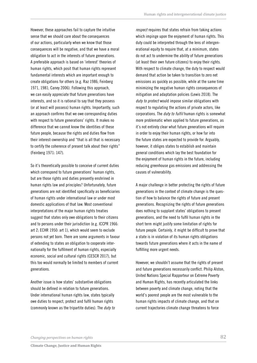However, these approaches fail to capture the intuitive sense that we should care about the consequences of our actions, particularly when we know that those consequences will be negative, and that we have a moral obligation to act in the interests of future generations. A preferable approach is based on 'interest' theories of human rights, which posit that human rights represent fundamental interests which are important enough to create obligations for others (e.g. Raz 1986; Feinberg 1971, 1981; Caney 2006). Following this approach, we can easily appreciate that future generations have interests, and so it is rational to say that they possess (or at least will possess) human rights. Importantly, such an approach confirms that we owe corresponding duties with respect to future generations' rights. It makes no difference that we cannot know the identities of these future people, because the rights and duties flow from their interest-ownership and "that is all that is necessary to certify the coherence of present talk about their rights" (Feinberg 1971: 147).

So it's theoretically possible to conceive of current duties which correspond to future generations' human rights, but are those rights and duties presently enshrined in human rights law and principles? Unfortunately, future generations are not identified specifically as beneficiaries of human rights under international law or under most domestic applications of that law. Most conventional interpretations of the major human rights treaties suggest that states only owe obligations to their citizens and to persons under their jurisdiction (e.g. ICCPR 1966: art 2; ECHR 1950: art 1), which would seem to exclude persons not yet born. There are some arguments in favour of extending to states an obligation to cooperate internationally for the fulfilment of human rights, especially economic, social and cultural rights (CESCR 2017), but this too would normally be limited to members of current generations.

Another issue is how states' substantive obligations should be defined in relation to future generations. Under international human rights law, states typically owe duties to respect, protect and fulfil human rights (commonly known as the tripartite duties). The *duty to* 

*respect* requires that states refrain from taking actions which impinge upon the enjoyment of human rights. This duty could be interpreted through the lens of intergenerational equity to require that, at a minimum, states do not act to undermine the ability of future generations (at least their own future citizens) to enjoy their rights. With respect to climate change, the duty to respect would demand that action be taken to transition to zero net emissions as quickly as possible, while at the same time minimizing the negative human rights consequences of mitigation and adaptation policies (Lewis 2018). The *duty to protect* would impose similar obligations with respect to regulating the actions of private actors, like corporations. The *duty to fulfil* human rights is somewhat more problematic when applied to future generations, as it's not entirely clear what future generations will require in order to enjoy their human rights, or how far into the future states are expected to provide for. Arguably, however, it obliges states to establish and maintain general conditions which lay the best foundation for the enjoyment of human rights in the future, including reducing greenhouse gas emissions and addressing the causes of vulnerability.

A major challenge in better protecting the rights of future generations in the context of climate change is the question of how to balance the rights of future and present generations. Recognizing the rights of future generations does nothing to supplant states' obligations to present generations, and the need to fulfil human rights in the short term might justify some limitation of rights for future people. Certainly, it might be difficult to prove that a state is in violation of its human rights obligations towards future generations where it acts in the name of fulfilling more urgent needs.

However, we shouldn't assume that the rights of present and future generations necessarily conflict. Philip Alston, United Nations Special Rapporteur on Extreme Poverty and Human Rights, has recently articulated the links between poverty and climate change, noting that the world's poorest people are the most vulnerable to the human rights impacts of climate change, and that on current trajectories climate change threatens to force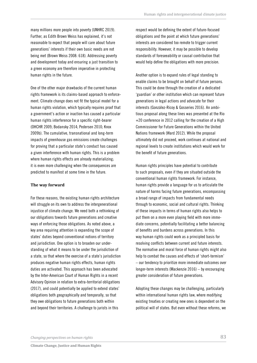many millions more people into poverty (UNHRC 2019). Further, as Edith Brown Weiss has explained, it's not reasonable to expect that people will care about future generations' interests if their own basic needs are not being met (Brown Weiss 2008: 618). Addressing poverty and development today and ensuring a just transition to a green economy are therefore imperative in protecting human rights in the future.

One of the other major drawbacks of the current human rights framework is its claims-based approach to enforcement. Climate change does not fit the typical model for a human rights violation, which typically requires proof that a government's action or inaction has caused a particular human rights interference for a specific right-bearer (OHCHR 2009; Bodansky 2014; Pedersen 2010; Knox 2009b). The cumulative, transnational and long-term impacts of greenhouse gas emissions create challenges for proving that a particular state's conduct has caused a given interference with human rights. This is a problem where human rights effects are already materializing; it is even more challenging when the consequences are predicted to manifest at some time in the future.

### **The way forward**

For these reasons, the existing human rights architecture will struggle on its own to address the intergenerational injustice of climate change. We need both a rethinking of our obligations towards future generations and creative ways of enforcing those obligations. As noted above, a key area requiring attention is expanding the scope of states' duties beyond conventional notions of territory and jurisdiction. One option is to broaden our understanding of what it means to be under the jurisdiction of a state, so that where the exercise of a state's jurisdiction produces negative human rights effects, human rights duties are activated. This approach has been advocated by the Inter-American Court of Human Rights in a recent Advisory Opinion in relation to extra-territorial obligations (2017), and could potentially be applied to extend states' obligations both geographically and temporally, so that they owe obligations to future generations both within and beyond their territories. A challenge to jurists in this

respect would be defining the extent of future-focused obligations and the point at which future generations' interests are considered too remote to trigger current responsibility. However, it may be possible to develop standards of foreseeability or causal contribution that would help define the obligations with more precision.

Another option is to expand rules of legal standing to enable claims to be brought on behalf of future persons. This could be done through the creation of a dedicated 'guardian' or other institution which can represent future generations in legal actions and advocate for their interests (González-Ricoy & Gosseries 2016). An ambitious proposal along these lines was presented at the Rio +20 conference in 2012 calling for the creation of a High Commissioner for Future Generations within the United Nations framework (Ward 2012). While the proposal ultimately did not proceed, work continues at national and regional levels to create institutions which would work for the benefit of future generations.

Human rights principles have potential to contribute to such proposals, even if they are situated outside the conventional human rights framework. For instance, human rights provide a language for us to articulate the nature of harms facing future generations, encompassing a broad range of impacts from fundamental needs through to economic, social and cultural rights. Thinking of these impacts in terms of human rights also helps to put them on a more even playing field with more immediate concerns, potentially facilitating a better balancing of benefits and burdens across generations. In this way human rights could work as a principled basis for resolving conflicts between current and future interests. The normative and moral force of human rights might also help to combat the causes and effects of 'short-termism' – our tendency to prioritize more immediate outcomes over longer-term interests (Mackenzie 2016) – by encouraging greater consideration of future generations.

Adopting these changes may be challenging, particularly within international human rights law, where modifying existing treaties or creating new ones is dependent on the political will of states. But even without these reforms, we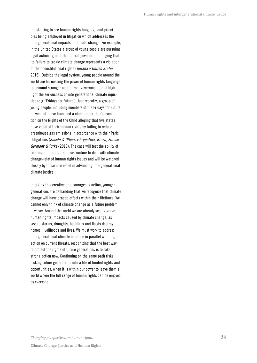are starting to see human rights language and principles being employed in litigation which addresses the intergenerational impacts of climate change. For example, in the United States a group of young people are pursuing legal action against the federal government alleging that its failure to tackle climate change represents a violation of their constitutional rights (*Juliana v United States* 2016). Outside the legal system, young people around the world are harnessing the power of human rights language to demand stronger action from governments and highlight the seriousness of intergenerational climate injustice (e.g. 'Fridays for Future'). Just recently, a group of young people, including members of the Fridays for Future movement, have launched a claim under the Convention on the Rights of the Child alleging that five states have violated their human rights by failing to reduce greenhouse gas emissions in accordance with their Paris obligations (*Sacchi & Others v Argentina, Brazil, France, Germany & Turkey* 2019). The case will test the ability of existing human rights infrastructure to deal with climate change-related human rights issues and will be watched closely by those interested in advancing intergenerational climate justice.

In taking this creative and courageous action, younger generations are demanding that we recognize that climate change will have drastic effects within their lifetimes. We cannot only think of climate change as a future problem, however. Around the world we are already seeing grave human rights impacts caused by climate change, as severe storms, droughts, bushfires and floods destroy homes, livelihoods and lives. We must work to address intergenerational climate injustice in parallel with urgent action on current threats, recognizing that the best way to protect the rights of future generations is to take strong action now. Continuing on the same path risks locking future generations into a life of limited rights and opportunities, when it is within our power to leave them a world where the full range of human rights can be enjoyed by everyone.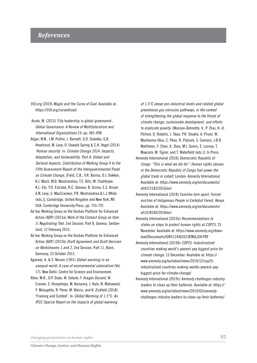### *References*

- 350.org (2019) *Mugla and the Curse of Coal*. Available at: https://350.org/curseofcoal/.
- Acuto, M. (2013) 'City leadership in global governance', *Global Governance: A Review of Multilateralism and International Organizations* 19, pp. 481-498.
- Adger, W.N., J.M. Pulhin, J. Barnett, G.D. Dabelko, G.K. Hovelsrud, M. Levy, Ú. Oswald Spring & C.H. Vogel (2014) *'Human security' in: Climate Change 2014: Impacts, Adaptation, and Vulnerability. Part A: Global and Sectoral Aspects. Contribution of Working Group II to the Fifth Assessment Report of the Intergovernmental Panel on Climate Change*, [Field, C.B., V.R. Barros, D.J. Dokken, K.J. Mach, M.D. Mastrandrea, T.E. Bilir, M. Chatterjee, K.L. Ebi, Y.O. Estrada, R.C. Genova, B. Girma, E.S. Kissel, A.N. Levy, S. MacCracken, P.R. Mastrandrea & L.L.White (eds.)], Cambridge, United Kingdom and New York, NY, USA: Cambridge University Press, pp. 755-791.
- Ad hoc Working Group on the Durban Platform for Enhanced Action (ADP) (2015a) *Work of the Contact Group on Item 3: Negotiating Text*, 2nd Session, Part 8, Geneva, Switzerland, 12 February 2015.
- Ad hoc Working Group on the Durban Platform for Enhanced Action (ADP) (2015b) *Draft Agreement and Draft Decision on Workstreams 1 and 2,* 2nd Session, Part 11, Bonn, Germany, 23 October 2015.
- Agarwal, A. & S. Narain (1991) *Global warming in an unequal world: A case of environmental colonialism* (Vol. 17), New Delhi: Centre for Science and Environment.
- Allen, M.R., O.P. Dube, W. Solecki, F. Aragón-Durand, W. Cramer, S. Humphreys, M. Kainuma, J. Kala, N. Mahowald, Y. Mulugetta, R. Perez, M. Wairiu, and K. Zickfeld (2018) 'Framing and Context', In: *Global Warming of 1.5°C. An IPCC Special Report on the impacts of global warming*

*of 1.5°C above pre-industrial levels and related global greenhouse gas emission pathways, in the context of strengthening the global response to the threat of climate change, sustainable development, and efforts to eradicate poverty.* [Masson-Delmotte, V., P. Zhai, H.-O. Pörtner, D. Roberts, J. Skea, P.R. Shukla, A. Pirani, W. Moufouma-Okia, C. Péan, R. Pidcock, S. Connors, J.B.R. Matthews, Y. Chen, X. Zhou, M.I. Gomis, E. Lonnoy, T. Maycock, M. Tignor, and T. Waterfield (eds.)]. In Press.

- Amnesty International (2016) *Democratic Republic of Congo: "This is what we die for": Human rights abuses in the Democratic Republic of Congo fuel power the global trade in cobalt*, London: Amnesty International. Available at: [https://www.amnesty.org/en/documents/](https://www.amnesty.org/en/documents/afr62/3183/2016/en/) [afr62/3183/2016/en/](https://www.amnesty.org/en/documents/afr62/3183/2016/en/)
- Amnesty International (2018) *Families torn apart: Forced eviction of Indigenous People in Embobut Forest, Kenya.*  Available at: [https://www.amnesty.org/en/documents/](https://www.amnesty.org/en/documents/afr32/8340/2018/en/) [afr32/8340/2018/en/](https://www.amnesty.org/en/documents/afr32/8340/2018/en/)
- Amnesty International (2019a) *Recommendations to states on steps to protect human rights at COP25*, 25 November. Available at: [https://www.amnesty.org/down](https://www.amnesty.org/download/Documents/IOR5114462019ENGLISH.PDF)[load/Documents/IOR5114462019ENGLISH.PDF](https://www.amnesty.org/download/Documents/IOR5114462019ENGLISH.PDF)
- Amnesty International (2019b) *COP25: Industrialized countries making world's poorest pay biggest price for climate change,* 13 December. Available at: [https://](https://%20www.amnesty.org/en/latest/news/2019/12/cop25-%20industrialized-countries-making-worlds-poorest-pay-%20biggest-price-for-climate-change/) [www.amnesty.org/en/latest/news/2019/12/cop25](https://%20www.amnesty.org/en/latest/news/2019/12/cop25-%20industrialized-countries-making-worlds-poorest-pay-%20biggest-price-for-climate-change/) [industrialized-countries-making-worlds-poorest-pay](https://%20www.amnesty.org/en/latest/news/2019/12/cop25-%20industrialized-countries-making-worlds-poorest-pay-%20biggest-price-for-climate-change/)[biggest-price-for-climate-change/](https://%20www.amnesty.org/en/latest/news/2019/12/cop25-%20industrialized-countries-making-worlds-poorest-pay-%20biggest-price-for-climate-change/)
- Amnesty International (2019c) *Amnesty challenges industry leaders to clean up their batteries.* Available at: [https://](https://www.amnesty.org/en/latest/news/2019/03/amnesty-%20challenges-industry-leaders-to-clean-up-their-batteries/) [www.amnesty.org/en/latest/news/2019/03/amnesty](https://www.amnesty.org/en/latest/news/2019/03/amnesty-%20challenges-industry-leaders-to-clean-up-their-batteries/)[challenges-industry-leaders-to-clean-up-their-batteries/](https://www.amnesty.org/en/latest/news/2019/03/amnesty-%20challenges-industry-leaders-to-clean-up-their-batteries/)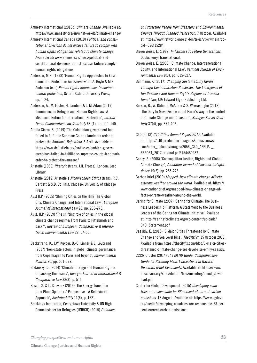- Amnesty International (2019d) *Climate Change*. Available at: <https://www.amnesty.org/en/what-we-do/climate-change/>
- Amnesty International Canada (2019) *Political and constitutional divisions do not excuse failure to comply with human rights obligations related to climate change.*  Available at: [www.amnesty.ca/news/political-and](www.amnesty.ca/news/political-and-%20constitutional-divisions-do-not-excuse-failure-comply-%20human-rights-obligations)[constitutional-divisions-do-not-excuse-failure-comply](www.amnesty.ca/news/political-and-%20constitutional-divisions-do-not-excuse-failure-comply-%20human-rights-obligations)[human-rights-obligations](www.amnesty.ca/news/political-and-%20constitutional-divisions-do-not-excuse-failure-comply-%20human-rights-obligations)
- Anderson, M.R. (1998) 'Human Rights Approaches to Environmental Protection: An Overview' in: A. Boyle & M.R. Anderson (eds) *Human rights approaches to environmental protection*, Oxford: Oxford University Press, pp. 1-24.
- Anderson, A., M. Foster, H. Lambert & J. McAdam (2019) 'Imminence in Refugee and Human Rights Law: A Misplaced Notion for International Protection', *International Comparative Law Quarterly* 68 (1), pp. 111-140.
- Ardilla Sierra, S. (2019) 'The Colombian government has failed to fulfil the Supreme Court's landmark order to protect the Amazon', *Dejusticia*, 5 April. Available at: [https://www.dejusticia.org/en/the-colombian-govern](https://www.dejusticia.org/en/the-colombian-government-has-failed-to-fulfill-the-supreme-courts-landmark-order-to-protect-the-amazon/)[ment-has-failed-to-fulfill-the-supreme-courts-landmark](https://www.dejusticia.org/en/the-colombian-government-has-failed-to-fulfill-the-supreme-courts-landmark-order-to-protect-the-amazon/)[order-to-protect-the-amazon/](https://www.dejusticia.org/en/the-colombian-government-has-failed-to-fulfill-the-supreme-courts-landmark-order-to-protect-the-amazon/)
- Aristotle (1939) *Rhetoric* (trans. J.H. Freese), London: Loeb Library.
- Aristotle (2012) Aristotle's *Nicomachean Ethics* (trans. R.C. Bartlett & S.D. Collins), Chicago: University of Chicago Press.
- Aust H.P. (2015) 'Shining Cities on the Hill? The Global City, Climate Change, and International Law', *European Journal of International Law* 26, pp. 255-278.
- Aust, H.P. (2019) 'The shifting role of cities in the global climate change regime: From Paris to Pittsburgh and back?', *Review of European, Comparative & International Environmental Law* 28: 57-66.
- Backstrand, K., J.W. Kuyper, B.-O. Linnér & E. Lövbrand (2017) 'Non-state actors in global climate governance: from Copenhagen to Paris and beyond', *Environmental Politics* 26, pp. 561-579.
- Bodansky, D. (2014) 'Climate Change and Human Rights: Unpacking the Issues', *Georgia Journal of International & Comparative Law* 38(3), p. 511.
- Bosch, S. & L. Schwarz (2019) 'The Energy Transition from Plant Operators' Perspective - A Behaviorist Approach', *Sustainability* 11(6), p. 1621.
- Brookings Institution, Georgetown University & UN High Commissioner for Refugees (UNHCR) (2015) *Guidance*

*on Protecting People from Disasters and Environmental Change Through Planned Relocation*, 7 October. Available at: [https://www.refworld.org/cgi-bin/texis/vtx/rwmain?do](https://www.refworld.org/cgi-bin/texis/vtx/rwmain%3Fdocid%3D596f15284)[cid=596f15284](https://www.refworld.org/cgi-bin/texis/vtx/rwmain%3Fdocid%3D596f15284)

- Brown Weiss, E. (1989) *In Fairness to Future Generations,*  Dobbs Ferry: Transnational.
- Brown Weiss, E. (2008) 'Climate Change, Intergenerational Equity, and International Law', *Vermont Journal of Environmental Law* 9(3), pp. 615-627.
- Buhmann, K. (2017) *Changing Sustainability Norms Through Communication Processes: The Emergence of the Business and Human Rights Regime as Transnational Law*, UK: Edward Elgar Publishing Ltd.
- Burson, B., W. Kälin, J. McAdam & S. Weerasinghe (2018) 'The Duty to Move People out of Harm's Way in the context of Climate Change and Disasters', *Refugee Survey Quarterly* 37(4), pp. 379-407.
- C40 (2018) *C40 Cities Annual Report 2017*. Available at: [https://c40-production-images.s3.amazonaws.](https://c40-production-images.s3.amazonaws.com/other_uploads/images/2056_C40_ANNUAL_REPORT_2017.original.pdf%3F1544802871) [com/other\\_uploads/images/2056\\_C40\\_ANNUAL\\_](https://c40-production-images.s3.amazonaws.com/other_uploads/images/2056_C40_ANNUAL_REPORT_2017.original.pdf%3F1544802871) [REPORT\\_2017.original.pdf?1544802871](https://c40-production-images.s3.amazonaws.com/other_uploads/images/2056_C40_ANNUAL_REPORT_2017.original.pdf%3F1544802871)
- Caney, S. (2006) 'Cosmopolitan Justice, Rights and Global Climate Change', *Canadian Journal of Law and Jurisprudence* 19(2), pp. 255-278.
- Carbon brief (2019) *Mapped: How climate change affects extreme weather around the world*. Available at: [https://](https://www.carbonbrief.org/mapped-how-climate-change-affects-extreme-weather-around-the-world) [www.carbonbrief.org/mapped-how-climate-change-af](https://www.carbonbrief.org/mapped-how-climate-change-affects-extreme-weather-around-the-world)[fects-extreme-weather-around-the-world](https://www.carbonbrief.org/mapped-how-climate-change-affects-extreme-weather-around-the-world).
- Caring for Climate (2007) 'Caring for Climate: The Business Leadership Platform: A Statement by the Business Leaders of the Caring for Climate Initiative'. Availabe at: [http://caringforclimate.org/wp-content/uploads/](http://caringforclimate.org/wp-content/uploads/C4C_Statement.pdf) [C4C\\_Statement.pdf](http://caringforclimate.org/wp-content/uploads/C4C_Statement.pdf)
- Cassidy, E. (2018) '5 Major Cities Threatened by Climate Change and Sea Level Rise', *TheCityFix*, 15 October 2018. Available from: https://thecityfix.com/blog/5-major-citiesthreatened-climate-change-sea-level-rise-emily-cassidy.
- CCCM Cluster (2014) *The MEND Guide: Comprehensive Guide for Planning Mass Evacuations in Natural Disasters (Pilot Document)*. Available at: [https://www.](https://www.uncclearn.org/sites/default/files/inventory/mend_download.pdf) [uncclearn.org/sites/default/files/inventory/mend\\_down](https://www.uncclearn.org/sites/default/files/inventory/mend_download.pdf)[load.pdf](https://www.uncclearn.org/sites/default/files/inventory/mend_download.pdf)
- Center for Global Development (2015) *Developing countries are responsible for 63 percent of current carbon emissions*, 18 August. Available at: [https://www.cgdev.](https://www.cgdev.org/media/developing-countries-are-responsible-63-percent-current-carbon-emissions) [org/media/developing-countries-are-responsible-63-per](https://www.cgdev.org/media/developing-countries-are-responsible-63-percent-current-carbon-emissions)[cent-current-carbon-emissions](https://www.cgdev.org/media/developing-countries-are-responsible-63-percent-current-carbon-emissions)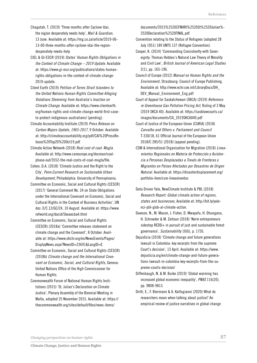- Chagutah, T. (2019) 'Three months after Cyclone Idai, the region desperately needs help', *Mail & Guardian*, 13 June. Available at: [https://mg.co.za/article/2019-06-](https://mg.co.za/article/2019-06-13-00-three-months-after-cyclone-idai-the-region-%20desperately-needs-help) [13-00-three-months-after-cyclone-idai-the-region](https://mg.co.za/article/2019-06-13-00-three-months-after-cyclone-idai-the-region-%20desperately-needs-help)[desperately-needs-help](https://mg.co.za/article/2019-06-13-00-three-months-after-cyclone-idai-the-region-%20desperately-needs-help)
- CIEL & GI-ESCR (2019) *States' Human Rights Obligations in the Context of Climate Change – 2019 Update*. Available at: [https://www.gi-escr.org/publications/states-human](https://www.gi-escr.org/publications/states-human-rights-obligations-in-the-context-of-climate-change-2019-update)[rights-obligations-in-the-context-of-climate-change-](https://www.gi-escr.org/publications/states-human-rights-obligations-in-the-context-of-climate-change-2019-update)[2019-update](https://www.gi-escr.org/publications/states-human-rights-obligations-in-the-context-of-climate-change-2019-update).
- Client Earth (2019) *Petition of Torres Strait Islanders to the United Nations Human Rights Committee Alleging Violations Stemming from Australia's Inaction on Climate Change*. Available at: [https://www.clientearth.](https://www.clientearth.org/human-rights-and-climate-change-world-first-case-to-protect-indigenous-australians) [org/human-rights-and-climate-change-world-first-case](https://www.clientearth.org/human-rights-and-climate-change-world-first-case-to-protect-indigenous-australians)[to-protect-indigenous-australians/](https://www.clientearth.org/human-rights-and-climate-change-world-first-case-to-protect-indigenous-australians) (pending).
- Climate Accountability Institute (2019) *Press Release on Carbon Majors Update, 1965-2017*, 9 October. Available at: [http://climateaccountability.org/pdf/CAI%20PressRe](http://climateaccountability.org/pdf/CAI%2520PressRelease%2520Top20%2520Oct19.pdf)[lease%20Top20%20Oct19.pdf](http://climateaccountability.org/pdf/CAI%2520PressRelease%2520Top20%2520Oct19.pdf)
- Climate Action Network (2018) *Real cost of coal: Mugla*. Available at: [http://www.caneurope.org/docman/coal](http://www.caneurope.org/docman/coal-phase-out/3552-the-real-costs-of-coal-mugla/file)[phase-out/3552-the-real-costs-of-coal-mugla/file](http://www.caneurope.org/docman/coal-phase-out/3552-the-real-costs-of-coal-mugla/file).
- Cohen, D.A. (2018) 'Climate Justice and the Right to the City', *Penn:Current Research on Sustainable Urban Development*, Philadelphia: University of Pennsylvania.
- Committee on Economic, Social and Cultural Rights (CESCR) (2017) 'General Comment No. 24 on State Obligations under the International Covenant on Economic, Social and Cultural Rights in the Context of Business Activities', UN doc: E/C.12/GC/24, 10 August. Available at: [https://www.](https://www.refworld.org/docid/5beaecba4.html) [refworld.org/docid/5beaecba4.html](https://www.refworld.org/docid/5beaecba4.html)
- Committee on Economic, Social and Cultural Rights (CESCR) (2018a) 'Committee releases statement on climate change and the Covenant', 8 October. Available at: [https://www.ohchr.org/en/NewsEvents/Pages/](https://www.ohchr.org/en/NewsEvents/Pages/DisplayNews.aspx%3FNewsID%3D23691%26LangID%3DE) [DisplayNews.aspx?NewsID=23691&LangID=E](https://www.ohchr.org/en/NewsEvents/Pages/DisplayNews.aspx%3FNewsID%3D23691%26LangID%3DE)
- Committee on Economic, Social and Cultural Rights (CESCR) (2018b) *Climate change and the International Covenant on Economic, Social, and Cultural Rights*, Geneva: United Nations Office of the High Commissioner for Human Rights.
- Commonwealth Forum of National Human Rights Institutions (2015) 'St. Julian's Declaration on Climate Justice', Plenary Assembly of the Biennial Meeting in Malta, adopted 25 November 2015. Available at: [https://](https://thecommonwealth.org/sites/default/files/news-items/documents/2015%252520CFNHRI%252520St%252520Julian%252520Declaration%252520FINAL.pdf) [thecommonwealth.org/sites/default/files/news-items/](https://thecommonwealth.org/sites/default/files/news-items/documents/2015%252520CFNHRI%252520St%252520Julian%252520Declaration%252520FINAL.pdf)

[documents/2015%2520CFNHRI%2520St%2520Julian%-](https://thecommonwealth.org/sites/default/files/news-items/documents/2015%252520CFNHRI%252520St%252520Julian%252520Declaration%252520FINAL.pdf) [2520Declaration%2520FINAL.pdf](https://thecommonwealth.org/sites/default/files/news-items/documents/2015%252520CFNHRI%252520St%252520Julian%252520Declaration%252520FINAL.pdf)

- Convention relating to the Status of Refugees (adopted 28 July 1951) 189 UNTS 137 (Refugee Convention).
- Cooper, K. (2014) 'Commanding Consistently with Sovereignty: Thomas Hobbes's Natural Law Theory of Morality and Civil Law', *British Journal of American Legal Studies* 2(1), pp. 165-196.
- Council of Europe (2012) *Manual on Human Rights and the Environment*, Strasbourg: Council of Europe Publishing. Available at: [http://www.echr.coe.int/LibraryDocs/DH\\_](http://www.echr.coe.int/LibraryDocs/DH_DEV_Manual_Environment_Eng.pdf) DEV Manual Environment Eng.pdf
- Court of Appeal for Saskatchewan (SKCA) (2019) *Reference re Greenhouse Gas Pollution Pricing Act*, Ruling of 3 May (2019 SKCA 40). Available at: [https://sasklawcourts.ca/](https://sasklawcourts.ca/images/documents/CA_2019SKCA040.pdf) [images/documents/CA\\_2019SKCA040.pdf](https://sasklawcourts.ca/images/documents/CA_2019SKCA040.pdf)
- Court of Justice of the European Union (CURIA) (2018) *Carvalho and Others v. Parliament and Council* T-330/18, 61 Official Journal of the European Union 2018/C 285/51 (2018) (appeal pending).
- CSM & International Organization for Migration (2018) *Lineamientos Regionales en Materia de Protección y Asistencia a Personas Desplazadas a Través de Fronteras y Migrantes en Países Afectados por Desastres de Origen Natural.* Available at: https://disasterdisplacement.org/ portfolio-item/csm-lineamientos
- Data Driven Yale, NewClimate Institute & PBL (2018) *Research Report: Global climate action of regions, states and businesses*, Available at: [http://bit.ly/yale](http://bit.ly/yale-nci-pbl-glob-al-climate-action)[nci-pbl-glob-al-climate-action](http://bit.ly/yale-nci-pbl-glob-al-climate-action).
- Dawson, N., M. Mason, J. Fisher, D. Mwayafu, H. Dhungana, H. Schroeder & M. Zeitoun (2018) 'Norm entrepreneurs sidestep REDD+ in pursuit of just and sustainable forest governance', *Sustainability* 10(6), p. 1726.
- Dejusticia (2018) 'Climate change and future generations lawsuit in Colombia: key excerpts from the supreme Court's decision', 13 April. Available at: [https://www.](https://www.dejusticia.org/en/climate-change-and-future-generations-lawsuit-in-colombia-key-excerpts-from-the-supreme-courts-decision/) [dejusticia.org/en/climate-change-and-future-genera](https://www.dejusticia.org/en/climate-change-and-future-generations-lawsuit-in-colombia-key-excerpts-from-the-supreme-courts-decision/)[tions-lawsuit-in-colombia-key-excerpts-from-the-su](https://www.dejusticia.org/en/climate-change-and-future-generations-lawsuit-in-colombia-key-excerpts-from-the-supreme-courts-decision/)[preme-courts-decision/](https://www.dejusticia.org/en/climate-change-and-future-generations-lawsuit-in-colombia-key-excerpts-from-the-supreme-courts-decision/)
- Diffenbaugh, N. & M. Burke (2019) 'Global warming has increased global economic inequality', *PNAS* 116(20), pp. 9808-9813.
- Dirth, E., F. Biermann & A. Kalfagianni (2020) What do researchers mean when talking about justice? An empirical review of justice narratives in global change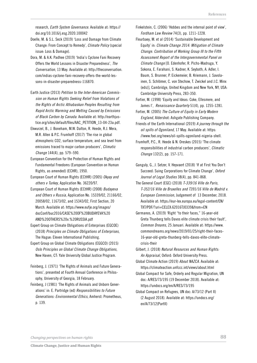research, *Earth System Governance*. Available at: [https://](https://doi.org/10.1016/j.esg.2020.100042) [doi.org/10.1016/j.esg.2020.100042](https://doi.org/10.1016/j.esg.2020.100042)

- Doelle, M. & S.L. Seck (2019) 'Loss and Damage from Climate Change: From Concept to Remedy', *Climate Policy* (special issue: Loss & Damage).
- Dora, M. & A.K. Padhee (2019) 'India's Cyclone Fani Recovery Offers the World Lessons in Disaster Preparedness', *The Conversation*, 13 May. Available at: [http://theconversation.](http://theconversation.com/indias-cyclone-fani-recovery-offers-the-world-lessons-in-disaster-preparedness-116870) [com/indias-cyclone-fani-recovery-offers-the-world-les](http://theconversation.com/indias-cyclone-fani-recovery-offers-the-world-lessons-in-disaster-preparedness-116870)[sons-in-disaster-preparedness-116870.](http://theconversation.com/indias-cyclone-fani-recovery-offers-the-world-lessons-in-disaster-preparedness-116870)
- Earth Justice (2013) *Petition to the Inter-American Commission on Human Rights Seeking Relief from Violations of the Rights of Arctic Athabaskan Peoples Resulting from Rapid Arctic Warming and Melting Caused by Emissions of Black Carbon by Canada*. Available at: [http://earthjus](http://earthjustice.org/sites/default/files/AAC_PETITION_13-04-23a.pdf)[tice.org/sites/default/files/AAC\\_PETITION\\_13-04-23a.pdf](http://earthjustice.org/sites/default/files/AAC_PETITION_13-04-23a.pdf).
- Ekwurzel, B., J. Boneham, M.W. Dalton, R. Heede, R.J. Mera, M.R. Allen & P.C. Frumhoff (2017) 'The rise in global atmospheric CO2, surface temperature, and sea level from emissions traced to major carbon producers', *Climatic Change* 144(4), pp. 579–590.
- European Convention for the Protection of Human Rights and Fundamental Freedoms (European Convention on Human Rights, as amended) (ECHR), 1950.
- European Court of Human Rights (ECtHR) (2005) *Okyay and others v Turkey*, Application No. 36220/97.
- European Court of Human Rights (ECtHR) (2008) *Budayeva and Others v Russia*, Application No. 15339/02, 21166/02, 20058/02, 11673/02, and 15343/02, First Section, 20 March. Available at: [https://www.eufje.org/images/](https://www.eufje.org/images/docConf/buc2016/CASE%2520OF%2520BUDAYEVA%2520AND%2520OTHERS%2520v.%2520RUSSIA.pdf) [docConf/buc2016/CASE%20OF%20BUDAYEVA%20](https://www.eufje.org/images/docConf/buc2016/CASE%2520OF%2520BUDAYEVA%2520AND%2520OTHERS%2520v.%2520RUSSIA.pdf) [AND%20OTHERS%20v.%20RUSSIA.pdf](https://www.eufje.org/images/docConf/buc2016/CASE%2520OF%2520BUDAYEVA%2520AND%2520OTHERS%2520v.%2520RUSSIA.pdf)
- Expert Group on Climate Obligations of Enterprises (EGCOE) (2018) *Principles on Climate Obligations of Enterprises*, The Hague: Eleven International Publishing.
- Expert Group on Global Climate Obligations (EGGCO) (2015) *Oslo Principles on Global Climate Change Obligations*, New Haven, CT: Yale University Global Justice Program.
- Feinberg, J. (1971) 'The Rights of Animals and Future Generations', presented at Fourth Annual Conference in Philosophy, University of Georgia, 18 February.
- Feinberg, J (1981) 'The Rights of Animals and Unborn Generations' in: E. Partridge (ed) *Responsibilities to Future Generations: Environmental Ethics*, Amherst: Prometheus, p. 139.
- Finkelstein, C. (2006) 'Hobbes and the internal point of view', *Fordham Law Review* 74(3), pp. 1211-1228.
- Fleurbaey, M. et al (2014) 'Sustainable Development and Equity' in: *Climate Change 2014: Mitigation of Climate Change. Contribution of Working Group III to the Fifth Assessment Report of the Intergovernmental Panel on Climate Change* [O. Edenhofer, R. Pichs-Madruga, Y. Sokona, E. Farahani, S. Kadner, K. Seyboth, A. Adler, I. Baum, S. Brunner, P. Eickemeier, B. Kriemann, J. Savolainen, S. Schlömer, C. von Stechow, T. Zwickel and J.C. Minx (eds)], Cambridge, United Kingdom and New York, NY, USA: Cambridge University Press, 283-350.
- Fortier, M. (1998) 'Equity and Ideas: Coke, Ellesmere, and James I', *Renaissance Quarterly* 51(4), pp. 1255-1281.
- Fortier, M. (2005) *The Culture of Equity in Early Modern England*, Aldershot: Ashgate Publishing Company.
- Friends of the Earth International (2019) *A journey through the oil spills of Ogoniland*, 17 May. Available at: [https:](https:%20//www.foei.org/news/oil-spills-ogoniland-nigeria-shell) [//www.foei.org/news/oil-spills-ogoniland-nigeria-shell](https:%20//www.foei.org/news/oil-spills-ogoniland-nigeria-shell).
- Frumhoff, P.C., R. Heede & N. Oreskes (2015) 'The climate responsibilities of industrial carbon producers', *Climatic Change* 132(2), pp. 157-171.

Ganguly, G., J. Setzer, V. Heyvaert (2018) 'If at First You Don't Succeed: Suing Corporations for Climate Change', *Oxford Journal of Legal Studies* 38(4), pp. 841-868.

- The General Court (EGC) (2018) *T-339/16 Ville de Paris, T-352/16 Ville de Bruxelles and T391/16 Ville de Madrid v. European Commission*, Judgement of 13 December, 2018. Available at: [https://eur-lex.europa.eu/legal-content/EN/](https://eur-lex.europa.eu/legal-content/EN/TXT/PDF/%3Furi%3DCELEX:62016TJ0339%26from%3DEN) [TXT/PDF/?uri=CELEX:62016TJ0339&from=EN](https://eur-lex.europa.eu/legal-content/EN/TXT/PDF/%3Furi%3DCELEX:62016TJ0339%26from%3DEN)
- Germanos, A. (2019) 'Right "to their faces," 16-year-old Greta Thunberg tells Davos elite climate crisis their fault', *Common Dreams*, 25 Januari. Available at: [https://www.](https://www.commondreams.org/news/2019/01/25/right-their-faces-%2016-year-old-greta-thunberg-tells-davos-elite-climate-%20crisis-their) [commondreams.org/news/2019/01/25/right-their-faces-](https://www.commondreams.org/news/2019/01/25/right-their-faces-%2016-year-old-greta-thunberg-tells-davos-elite-climate-%20crisis-their)[16-year-old-greta-thunberg-tells-davos-elite-climate](https://www.commondreams.org/news/2019/01/25/right-their-faces-%2016-year-old-greta-thunberg-tells-davos-elite-climate-%20crisis-their)[crisis-their](https://www.commondreams.org/news/2019/01/25/right-their-faces-%2016-year-old-greta-thunberg-tells-davos-elite-climate-%20crisis-their)
- Gilbert, J. (2018) *Natural Resources and Human Rights: An Appraisal*, Oxford: Oxford University Press.
- Global Climate Action (2019) *About NAZCA*. Available at: <https://climateaction.unfccc.int/views/about.html>
- Global Compact for Safe, Orderly and Regular Migration, UN doc: A/RES/73/195 (19 December 2018). Available at: <https://undocs.org/en/A/RES/73/195>
- Global Compact on Refugees, UN doc: A/73/12 (Part II) (2 August 2018). Available at: [https://undocs.org/](https://undocs.org/en/A/73/12%28PartII%29) [en/A/73/12\(PartII\)](https://undocs.org/en/A/73/12%28PartII%29)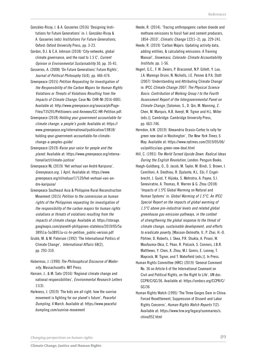González-Ricoy, I. & A. Gosseries (2016) 'Designing Institutions for Future Generations' in: I. González-Ricoy & A. Gosseries (eds) *Institutions For Future Generations*, Oxford: Oxford University Press, pp. 3-23.

Gordon, D.J. & C.A. Johnson (2018) 'City-networks, global climate governance, and the road to 1.5 C', *Current Opinion in Environmental Sustainability* 30, pp. 35-41.

Gosseries, A. (2008) 'On Future Generations' Future Rights', *Journal of Political Philosophy* 16(4), pp. 446-474.

Greenpeace (2015) *Petition Requesting for Investigation of the Responsibility of the Carbon Majors for Human Rights Violations or Threats of Violations Resulting from the Impacts of Climate Change*, Case No: CHR-NI-2016-0001. Available at: [http://www.greenpeace.org/seasia/ph/Page-](http://www.greenpeace.org/seasia/ph/PageFiles/735291/Petitioners-and-Annexes/CC-HR-Petition.pdf)[Files/735291/Petitioners-and-Annexes/CC-HR-Petition.pdf](http://www.greenpeace.org/seasia/ph/PageFiles/735291/Petitioners-and-Annexes/CC-HR-Petition.pdf).

Greenpeace (2018) *Holding your government accountable for climate change: a people's guide*. Available at: [https://](https://www.greenpeace.org/international/publication/19818/holding-your-government-accountable-for-climate-change-a-peoples-guide/) [www.greenpeace.org/international/publication/19818/](https://www.greenpeace.org/international/publication/19818/holding-your-government-accountable-for-climate-change-a-peoples-guide/) [holding-your-government-accountable-for-climate](https://www.greenpeace.org/international/publication/19818/holding-your-government-accountable-for-climate-change-a-peoples-guide/)[change-a-peoples-guide/](https://www.greenpeace.org/international/publication/19818/holding-your-government-accountable-for-climate-change-a-peoples-guide/) 

Greenpeace (2019) *Raise your voice for people and the planet*. Available at: [https://www.greenpeace.org/interna](https://www.greenpeace.org/international/act/climate-justice/)[tional/act/climate-justice/](https://www.greenpeace.org/international/act/climate-justice/)

Greenpeace NL (2019) 'Het verhaal van André Karipuna', *Greenpeace.org*, 1 April. Available at: [https://www.](https://www.greenpeace.org/nl/natuur/17120/het-verhaal-van-andre-karipuna/) [greenpeace.org/nl/natuur/17120/het-verhaal-van-an](https://www.greenpeace.org/nl/natuur/17120/het-verhaal-van-andre-karipuna/)[dre-karipuna/](https://www.greenpeace.org/nl/natuur/17120/het-verhaal-van-andre-karipuna/)

Greenpeace Southeast Asia & Philippine Rural Reconstruction Movement (2015) *Petition to the commission on human rights of the Philippines requesting for investigation of the responsibility of the carbon majors for human rights violations or threats of violations resulting from the impacts of climate change*. Available at: [https://storage.](https://storage.googleapis.com/planet4-philippines-stateless/2019/05/5a38951a-5a38951a-cc-hr-petition_public-version.pdf) [googleapis.com/planet4-philippines-stateless/2019/05/5a](https://storage.googleapis.com/planet4-philippines-stateless/2019/05/5a38951a-5a38951a-cc-hr-petition_public-version.pdf) [38951a-5a38951a-cc-hr-petition\\_public-version.pdf](https://storage.googleapis.com/planet4-philippines-stateless/2019/05/5a38951a-5a38951a-cc-hr-petition_public-version.pdf)

Grubb, M. & M. Paterson (1992) 'The International Politics of Climate Change', *International Affairs* 68(2), pp. 293-310.

Habermas, J. (1990) *The Philosophical Discourse of Modernity*, Massachusetts: MIT Press.

Hansen, J., & M. Sato (2016) 'Regional climate change and national responsibilities', *Environmental Research Letters* 11(3).

Harkness, J. (2019) 'The kids are all right: how the sunrise movement is fighting for our planet's future', *Peaceful Dumpling*, 4 March. Available at: [https://www.peaceful](https://www.peaceful%20dumpling.com/sunrise-movement) [dumpling.com/sunrise-movement](https://www.peaceful%20dumpling.com/sunrise-movement) 

Heede, R. (2014). 'Tracing anthropogenic carbon dioxide and methane emissions to fossil fuel and cement producers, 1854–2010', *Climatic Change* 122(1–2), pp. 229-241.

Heede, R. (2019) 'Carbon Majors: Updating activity data, adding entities, & calculating emissions: A Training Manual', *Snowmass, Colorado: Climate Accountability Institute*, pp. 1-56.

Hegerl, G.C., F. W. Zwiers, P. Braconnot, N.P. Gillett, Y. Luo, J.A. Marengo Orsini, N. Nicholls, J.E. Penner & P.A. Stott (2007) 'Understanding and Attributing Climate Change' in: IPCC *Climate Change 2007: The Physical Science Basis: Contribution of Working Group I to the Fourth Assessment Report of the Intergovernmental Panel on Climate Change*, [Solomon, S., D. Qin, M. Manning, Z. Chen, M. Marquis, K.B. Averyt, M. Tignor and H.L. Miller (eds.)], Cambridge: Cambridge University Press, pp. 663-746.

Herndon, A.W. (2019) 'Alexandria Ocasio-Cortez to rally for green new deal in Washington', *The New York Times*, 6 May. Available at: [https://www.nytimes.com/2019/05/06/](https://www.nytimes.com/2019/05/06/us/politics/aoc-green-new-deal.html) [us/politics/aoc-green-new-deal.html](https://www.nytimes.com/2019/05/06/us/politics/aoc-green-new-deal.html)

Hill, C. (1991) *The World Turned Upside Down: Radical Ideas During the English Revolution*, London: Penguin Books.

Hoegh-Guldberg, O., D. Jacob, M. Taylor, M. Bindi, S. Brown, I. Camilloni, A. Diedhiou, R. Djalante, K.L. Ebi, F. Engelbrecht, J. Guiot, Y. Hijioka, S. Mehrotra, A. Payne, S.I. Seneviratne, A. Thomas, R. Warren & G. Zhou (2018) 'Impacts of 1.5ºC Global Warming on Natural and Human Systems' in: *Global Warming of 1.5°C. An IPCC Special Report on the impacts of global warming of 1.5°C above pre-industrial levels and related global greenhouse gas emission pathways, in the context of strengthening the global response to the threat of climate change, sustainable development, and efforts to eradicate poverty*, [Masson-Delmotte, V., P. Zhai, H.-O. Pörtner, D. Roberts, J. Skea, P.R. Shukla, A. Pirani, W. Moufouma-Okia, C. Péan, R. Pidcock, S. Connors, J.B.R. Matthews, Y. Chen, X. Zhou, M.I. Gomis, E. Lonnoy, T. Maycock, M. Tignor, and T. Waterfield (eds.)]. In Press.

Human Rights Committee (HRC) (2019) 'General Comment No. 36 on Article 6 of the International Covenant on Civil and Political Rights, on the Right to Life', UN doc: CCPR/C/GC/36. Available at: [https://undocs.org/CCPR/C/](https://undocs.org/CCPR/C/GC/36) [GC/36](https://undocs.org/CCPR/C/GC/36) 

Human Rights Watch (1995) 'The Three Gorges Dam in China: Forced Resettlement, Suppression of Dissent and Labor Rights Concerns', *Human Rights Watch Reports* 7(2). Available at: [https://www.hrw.org/legacy/summaries/s.](https://www.hrw.org/legacy/summaries/s.china952.html) [china952.html](https://www.hrw.org/legacy/summaries/s.china952.html)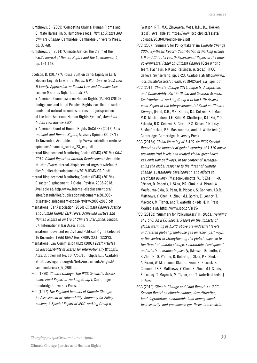- Humphreys, S. (2009) 'Competing Claims: Human Rights and Climate Harms' in: S. Humphreys (eds) *Human Rights and Climate Change*, Cambridge: Cambridge University Press, pp. 37-68.
- Humphreys, S. (2014) 'Climate Justice: The Claim of the Past', *Journal of Human Rights and the Environment 5,*  pp. 134-148.
- Ibbetson, D. (2014) 'A House Built on Sand: Equity in Early Modern English Law' in: E. Koops, & W.J. Zwalve (eds) *Law & Equity: Approaches in Roman Law and Common Law*, Leiden: Martinus Nijhoff, pp. 55-77.
- Inter-American Commission on Human Rights (IACHR) (2010) 'Indigenous and Tribal Peoples' Rights over their ancestral lands and natural resources. norms and jurisprudence of the Inter-American Human Rights System', *American Indian Law Review* 35(2).
- Inter-American Court of Human Rights (IACrtHR) (2017) *Environment and Human Rights*, Advisory Opinion OC-23/17, 15 November. Available at: [http://www.corteidh.or.cr/docs/](http://www.corteidh.or.cr/docs/opiniones/resumen_seriea_23_eng.pdf) [opiniones/resumen\\_seriea\\_23\\_eng.pdf](http://www.corteidh.or.cr/docs/opiniones/resumen_seriea_23_eng.pdf)
- Internal Displacement Monitoring Centre (IDMC) (2019a) *GRID 2019: Global Report on Internal Displacement*. Available at: <http://www.internal-displacement.org/sites/default/> files/publications/documents/2019-IDMC-GRID.pdf
- Internal Displacement Monitoring Centre (IDMC) (2019b) Disaster Displacement: A Global Review: 2008-2018. Available at: [http://www.internal-displacement.org/](http://www.internal-displacement.org/%20sites/default/files/publications/documents/201905-%20disaster-displacement-global-review-2008-2018.pdf) [sites/default/files/publications/documents/201905](http://www.internal-displacement.org/%20sites/default/files/publications/documents/201905-%20disaster-displacement-global-review-2008-2018.pdf) [disaster-displacement-global-review-2008-2018.pdf](http://www.internal-displacement.org/%20sites/default/files/publications/documents/201905-%20disaster-displacement-global-review-2008-2018.pdf)
- International Bar Association (2014) *Climate Change Justice and Human Rights Task Force, Achieving Justice and Human Rights in an Era of Climate Disruption*, London, UK: International Bar Association.
- International Covenant on Civil and Political Rights (adopted 16 December 1966) UNGA Res 2200A (XX1) (ICCPR).
- International Law Commission (ILC) (2001) *Draft Articles on Responsibility of States for Internationally Wrongful Acts*, Supplement No. 10 (A/56/10), chp.IV.E.1. Available at: [https://legal.un.org/ilc/texts/instruments/english/](https://legal.un.org/ilc/texts/instruments/english/commentaries/9_6_2001.pdf) [commentaries/9\\_6\\_2001.pdf](https://legal.un.org/ilc/texts/instruments/english/commentaries/9_6_2001.pdf)
- IPCC (1990) *Climate Change: The IPCC Scientific Assessment: Final Report of Working Group I,* Cambridge: Cambridge University Press.
- IPCC (1997) *The Regional Impacts of Climate Change: An Assessment of Vulnerability: Summary for Policymakers, A Special Report of IPCC Working Group II*,

[Watson, R.T., M.C. Zinyowera, Moss, R.H., D.J. Dokken (eds)]. Available at: [https://www.ipcc.ch/site/assets/](https://www.ipcc.ch/site/assets/uploads/2018/03/region-en-2.pdf) [uploads/2018/03/region-en-2.pdf](https://www.ipcc.ch/site/assets/uploads/2018/03/region-en-2.pdf) 

- IPCC (2007) 'Summary for Policymakers' in: *Climate Change 2007: Synthesis Report: Contribution of Working Groups I, II and III to the Fourth Assessment Report of the Intergovernmental Panel on Climate Change* [Core Writing Team, Pachauri, R.K and Reisinger, A. (eds.)]. IPCC, Geneva, Switzerland, pp. 1-23. Available at: [https://www.](https://www.ipcc.ch/site/assets/uploads/2018/02/ar4_syr_spm.pdf) [ipcc.ch/site/assets/uploads/2018/02/ar4\\_syr\\_spm.pdf](https://www.ipcc.ch/site/assets/uploads/2018/02/ar4_syr_spm.pdf)
- IPCC (2014) *Climate Change 2014: Impacts, Adaptation, and Vulnerability. Part A: Global and Sectoral Aspects. Contribution of Working Group II to the Fifth Assessment Report of the Intergovernmental Panel on Climate Change*, [Field, C.B., V.R. Barros, D.J. Dokken, K.J. Mach, M.D. Mastrandrea, T.E. Bilir, M. Chatterjee, K.L. Ebi, Y.O. Estrada, R.C. Genova, B. Girma, E.S. Kissel, A.N. Levy, S. MacCracken, P.R. Mastrandrea, and L.L.White (eds.)]. Cambridge: Cambridge University Press
- IPCC (2018a) *Global Warming of 1.5°C. An IPCC Special Report on the impacts of global warming of 1.5°C above pre-industrial levels and related global greenhouse gas emission pathways, in the context of strengthening the global response to the threat of climate change, sustainable development, and efforts to eradicate poverty*, [Masson-Delmotte, V., P. Zhai, H.-O. Pörtner, D. Roberts, J. Skea, P.R. Shukla, A. Pirani, W. Moufouma-Okia, C. Péan, R. Pidcock, S. Connors, J.B.R. Matthews, Y. Chen, X. Zhou, M.I. Gomis, E. Lonnoy, T. Maycock, M. Tignor, and T. Waterfield (eds.)]. In Press. Available at: <https://www.ipcc.ch/sr15/>
- IPCC (2018b) 'Summary for Policymakers' In: *Global Warming of 1.5°C. An IPCC Special Report on the impacts of global warming of 1.5°C above pre-industrial levels and related global greenhouse gas emission pathways, in the context of strengthening the global response to the threat of climate change, sustainable development, and efforts to eradicate poverty*, [Masson-Delmotte, V., P. Zhai, H.-O. Pörtner, D. Roberts, J. Skea, P.R. Shukla, A. Pirani, W. Moufouma-Okia, C. Péan, R. Pidcock, S. Connors, J.B.R. Matthews, Y. Chen, X. Zhou, M.I. Gomis, E. Lonnoy, T. Maycock, M. Tignor, and T. Waterfield (eds.)]. In Press.
- IPCC (2019) *Climate Change and Land Report. An IPCC Special Report on climate change, desertification, land degradation, sustainable land management, food security, and greenhouse gas fluxes in terrestrial*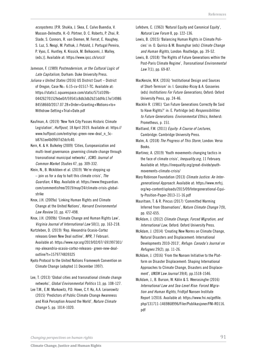*ecosystems*. [P.R. Shukla, J. Skea, E. Calvo Buendia, V. Masson-Delmotte, H.-O. Pörtner, D. C. Roberts, P. Zhai, R. Slade, S. Connors, R. van Diemen, M. Ferrat, E. Haughey, S. Luz, S. Neogi, M. Pathak, J. Petzold, J. Portugal Pereira, P. Vyas, E. Huntley, K. Kissick, M. Belkacemi, J. Malley, (eds.)]. Available at: <https://www.ipcc.ch/srccl/>

Jameson, F. (1989) *Postmodernism, or the Cultural Logic of Late Capitalism*, Durham: Duke University Press. *Juliana v United States* (2016) US District Court – District of Oregon, Case No.: 6:15-cv-01517-TC. Available at: [https://static1.squarespace.com/static/571d109b-](https://static1.squarespace.com/static/571d109b04426270152febe0/t/59541c8db3db2b21ddf4c17e/1498684558660/2017.07.28%2BOrder%2BGranting%2BMotions%2Bto%2B%20Withdraw-Setting%2BTrial%2BDate.pdf)[04426270152febe0/t/59541c8db3db2b21ddf4c17e/14986](https://static1.squarespace.com/static/571d109b04426270152febe0/t/59541c8db3db2b21ddf4c17e/1498684558660/2017.07.28%2BOrder%2BGranting%2BMotions%2Bto%2B%20Withdraw-Setting%2BTrial%2BDate.pdf) [84558660/2017.07.28+Order+Granting+Motions+to+](https://static1.squarespace.com/static/571d109b04426270152febe0/t/59541c8db3db2b21ddf4c17e/1498684558660/2017.07.28%2BOrder%2BGranting%2BMotions%2Bto%2B%20Withdraw-Setting%2BTrial%2BDate.pdf) [Withdraw-Setting+Trial+Date.pdf](https://static1.squarespace.com/static/571d109b04426270152febe0/t/59541c8db3db2b21ddf4c17e/1498684558660/2017.07.28%2BOrder%2BGranting%2BMotions%2Bto%2B%20Withdraw-Setting%2BTrial%2BDate.pdf)

Kaufman, A. (2019) 'New York City Passes Historic Climate Legislation', *Huffpost*, 18 April 2019. Available at: [https://](https://www.huffpost.com/entry/nyc-green-new-deal_n_5cb8761ee4b096f7d2dcfc40) [www.huffpost.com/entry/nyc-green-new-deal\\_n\\_5c](https://www.huffpost.com/entry/nyc-green-new-deal_n_5cb8761ee4b096f7d2dcfc40)[b8761ee4b096f7d2dcfc40.](https://www.huffpost.com/entry/nyc-green-new-deal_n_5cb8761ee4b096f7d2dcfc40)

Kern, K. & H. Bulkeley (2009) 'Cities, Europeanization and multi-level governance: governing climate change through transnational municipal networks', *JCMS: Journal of Common Market Studies* 47, pp. 309-332.

Klein, N., B. Mckibben et al. (2019) 'We're stepping up – join us for a day to halt this climate crisis', *The Guardian*, 4 May. Available at: [https://www.theguardian.](https://www.theguardian.com/commentisfree/2019/may/24/climate-crisis-global-strike) [com/commentisfree/2019/may/24/climate-crisis-global](https://www.theguardian.com/commentisfree/2019/may/24/climate-crisis-global-strike)[strike](https://www.theguardian.com/commentisfree/2019/may/24/climate-crisis-global-strike)

Knox, J.H. (2009a) 'Linking Human Rights and Climate Change at the United Nations', *Harvard Environmental Law Review* 33, pp. 477-498.

Knox, J.H. (2009b) 'Climate Change and Human Rights Law', *Virginia Journal of International Law* 50(1), pp. 163-218.

Kurtzleben, D. (2019) 'Rep. Alexandria Ocasio-Cortez releases Green New Deal outline', *NPR*, 7 Februari. Available at: [https://www.npr.org/2019/02/07/ 691997301/](https://www.npr.org/2019/02/07/%20691997301/rep-alexandria-ocasio-cortez-releases-%20green-new-deal-outline%3Ft%3D1579774839325) [rep-alexandria-ocasio-cortez-releases- green-new-deal](https://www.npr.org/2019/02/07/%20691997301/rep-alexandria-ocasio-cortez-releases-%20green-new-deal-outline%3Ft%3D1579774839325)[outline?t=1579774839325](https://www.npr.org/2019/02/07/%20691997301/rep-alexandria-ocasio-cortez-releases-%20green-new-deal-outline%3Ft%3D1579774839325) 

Kyoto Protocol to the United Nations Framework Convention on Climate Change (adopted 11 December 1997).

Lee, T. (2013) 'Global cities and transnational climate change networks', *Global Environmental Politics* 13, pp. 108-127.

Lee T.M., E.M. Markowitz, P.D. Howe, C.Y. Ko, A.A. Leiserowitz (2015) 'Predictors of Public Climate Change Awareness and Risk Perception Around the World', *Nature Climate Change* 5, pp. 1014-1020.

Lefebvre, C. (1963) 'Natural Equity and Canonical Equity', *Natural Law Forum* 8, pp: 122-136.

Lewis, B. (2015) 'Balancing Human Rights in Climate Policies' in: O. Quirico & M. Boumghar (eds) *Climate Change and Human Rights*, London: Routledge, pp. 39-52.

Lewis, B. (2018) 'The Rights of Future Generations within the Post-Paris Climate Regime', *Transnational Environmental Law* 7(1), pp. 69-87.

MacKenzie, M.K. (2016) 'Institutional Design and Sources of Short-Termism' in: I. González-Ricoy & A. Gosseries (eds) *Institutions For Future Generations*, Oxford: Oxford University Press, pp. 24-46.

Macklin R. (1981) 'Can Future Generations Correctly Be Said to Have Rights?' in: E. Partridge (ed) *Responsibilities to Future Generations: Environmental Ethics*, Amherst: Prometheus, p. 151.

Maitland, F.W. (2011) *Equity: A Course of Lectures*, Cambridge: Cambridge University Press.

Malm, A. (2018) *The Progress of This Storm*, London: Verso Books.

Martinez, A. (2019) 'Youth movements changing tactics in the face of climate crisis', *Inequality.org*, 11 February. Available at: [https://inequality.org/great-divide/youth](https://inequality.org/great-divide/youth-movements-climate-crisis/)[movements-climate-crisis/](https://inequality.org/great-divide/youth-movements-climate-crisis/) 

Mary Robinson Foundation (2013) *Climate Justice: An Intergenerational Approach*. Available at: [https://www.mrfcj.](https://www.mrfcj.org/wp-content/uploads/2015/09/Intergenerational-Equity-Position-Paper-2013-11-16.pdf) [org/wp-content/uploads/2015/09/Intergenerational-Equi](https://www.mrfcj.org/wp-content/uploads/2015/09/Intergenerational-Equity-Position-Paper-2013-11-16.pdf)[ty-Position-Paper-2013-11-16.pdf](https://www.mrfcj.org/wp-content/uploads/2015/09/Intergenerational-Equity-Position-Paper-2013-11-16.pdf)

Mauritsen, T. & R. Pincus (2017) 'Committed Warming Inferred from Observations', *Nature Climate Change* 7(9), pp. 652-655.

McAdam, J. (2012) *Climate Change, Forced Migration, and International Law*, Oxford: Oxford University Press.

McAdam, J. (2014) 'Creating New Norms on Climate Change, Natural Disasters and Displacement: International Developments 2010-2013', *Refuge: Canada's Journal on Refugees* 29(2), pp. 11-26.

McAdam, J. (2016) 'From the Nansen Initiative to the Platform on Disaster Displacement: Shaping International Approaches to Climate Change, Disasters and Displacement', *UNSW Law Journal* 39(4), pp.1518-1546.

McAdam, J., B. Burson, W. Kälin & S. Weerasinghe (2016) *International Law and Sea-Level Rise: Forced Migration and Human Rights*, Fridtjof Nansen Institute Report 1/2016. Available at: [https://www.fni.no/getfile.](https://www.fni.no/getfile.php/131711-1469868996/Filer/Publikasjoner/FNI-R0116.pdf) [php/131711-1469868996/Filer/Publikasjoner/FNI-R0116.](https://www.fni.no/getfile.php/131711-1469868996/Filer/Publikasjoner/FNI-R0116.pdf) [pdf](https://www.fni.no/getfile.php/131711-1469868996/Filer/Publikasjoner/FNI-R0116.pdf)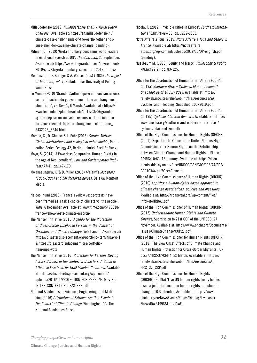- Milieudefensie (2019) *Milieudefensie et al. v. Royal Dutch Shell plc*.. Available at: [https://en.milieudefensie.nl/](https://en.milieudefensie.nl/climate-case-shell/friends-of-the-earth-netherlands-sues-shell-for-causing-climate-change) [climate-case-shell/friends-of-the-earth-netherlands](https://en.milieudefensie.nl/climate-case-shell/friends-of-the-earth-netherlands-sues-shell-for-causing-climate-change)[sues-shell-for-causing-climate-change](https://en.milieudefensie.nl/climate-case-shell/friends-of-the-earth-netherlands-sues-shell-for-causing-climate-change) (pending).
- Milman, O. (2019) 'Greta Thunberg condemns world leaders in emotional speech at UN', *The Guardian*, 23 September. Available at: [https://www.theguardian.com/environment/](https://www.theguardian.com/environment/%202019/sep/23/greta-thunberg-speech-un-2019-address) [2019/sep/23/greta-thunberg-speech-un-2019-address](https://www.theguardian.com/environment/%202019/sep/23/greta-thunberg-speech-un-2019-address)
- Mommsen, T., P. Krueger & A. Watson (eds) (1985) *The Digest of Justinian, Vol. 1,* Philadelphia: University of Pennsylvania Press.
- Le Monde (2019) 'Grande-Synthe dépose un nouveau recours contre l'inaction du gouvernement face au changement climatique', *Le Monde*, 6 March. Available at : [https://](https://www.lemonde.fr/planete/article/2019/03/06/grande-%20synthe-depose-un-nouveau-recours-contre-l-inaction-%20du-gouvernement-face-au-changement-climatique_%205432126_3244.html) [www.lemonde.fr/planete/article/2019/03/06/grande](https://www.lemonde.fr/planete/article/2019/03/06/grande-%20synthe-depose-un-nouveau-recours-contre-l-inaction-%20du-gouvernement-face-au-changement-climatique_%205432126_3244.html)[synthe-depose-un-nouveau-recours-contre-l-inaction](https://www.lemonde.fr/planete/article/2019/03/06/grande-%20synthe-depose-un-nouveau-recours-contre-l-inaction-%20du-gouvernement-face-au-changement-climatique_%205432126_3244.html)[du-gouvernement-face-au-changement-climatique\\_](https://www.lemonde.fr/planete/article/2019/03/06/grande-%20synthe-depose-un-nouveau-recours-contre-l-inaction-%20du-gouvernement-face-au-changement-climatique_%205432126_3244.html) [5432126\\_3244.html](https://www.lemonde.fr/planete/article/2019/03/06/grande-%20synthe-depose-un-nouveau-recours-contre-l-inaction-%20du-gouvernement-face-au-changement-climatique_%205432126_3244.html)
- Moreno, C., D. Chasse & L. Fuhr (2015) *Carbon Metrics: Global abstractions and ecological epistemicide*, Publication Series Ecology 42, Berlin: Heinrick Boell Stiftung.
- Moyn, S. (2014) 'A Powerless Companion: Human Rights in the Age of Neoliberalism', *Law and Contemporary Problems* 77(4), pp:147-170.
- Mwakasungura, K. & D. Miller (2015) *Malawi's lost years (1964-1994) and her forsaken heroes*, Balaka: Montfort Media.
- Naidoo, Kumi (2018) 'France's yellow vest protests have been framed as a false choice of climate vs. the people', *Time*, 6 December. Available at: [www.time.com/5473618/](http://www.time.com/5473618/france-yellow-vests-climate-macron/) [france-yellow-vests-climate-macron/](http://www.time.com/5473618/france-yellow-vests-climate-macron/)
- The Nansen Initiative (2015) *Agenda for the Protection of Cross-Border Displaced Persons in the Context of Disasters and Climate Change*, Vols I and II. Available at: <https://disasterdisplacement.org/portfolio-item/nipa-vol1> & [https://disasterdisplacement.org/portfolio](https://disasterdisplacement.org/portfolio-item/nipa-vol2)[item/nipa-vol2](https://disasterdisplacement.org/portfolio-item/nipa-vol2)
- The Nansen Initiative (2016) *Protection for Persons Moving Across Borders in the context of Disasters: A Guide to Effective Practices for RCM Member Countries*. Available at: [https://disasterdisplacement.org/wp-content/](https://disasterdisplacement.org/wp-content/uploads/2016/11/PROTECTION-FOR-PERSONS-MOVING-%20IN-THE-CONTEXT-OF-DISASTERS.pdf) [uploads/2016/11/PROTECTION-FOR-PERSONS-MOVING-](https://disasterdisplacement.org/wp-content/uploads/2016/11/PROTECTION-FOR-PERSONS-MOVING-%20IN-THE-CONTEXT-OF-DISASTERS.pdf)[IN-THE-CONTEXT-OF-DISASTERS.pdf](https://disasterdisplacement.org/wp-content/uploads/2016/11/PROTECTION-FOR-PERSONS-MOVING-%20IN-THE-CONTEXT-OF-DISASTERS.pdf)
- National Academies of Sciences, Engineering, and Medicine (2016) *Attribution of Extreme Weather Events in the Context of Climate Change*, Washington, DC: The National Academies Press.
- Nicola, F. (2012) 'Invisible Cities in Europe', *Fordham International Law Review* 35, pp. 1282-1363.
- Notre Affaire à Tous (2019) *Notre Affaire à Tous and Others v. France*. Available at: [https://notreaffaire](https://notreaffaire%20atous.org/wp-content/uploads/2018/10/DP-english.pdf) [atous.org/wp-content/uploads/2018/10/DP-english.pdf](https://notreaffaire%20atous.org/wp-content/uploads/2018/10/DP-english.pdf)  (pending).
- Nussbaum M. (1993) 'Equity and Mercy', *Philosophy & Public Affairs* 22(2), pp. 83-125.
- Office for the Coordination of Humanitarian Affairs (OCHA) (2019a) *Southern Africa: Cyclones Idai and Kenneth Snapshot as of 10 July 2019*. Available at: [https://](https://reliefweb.int/sites/reliefweb.int/files/resources/SA_Cyclone_and_Flooding_Snapshot_10072019.pdf) [reliefweb.int/sites/reliefweb.int/files/resources/SA\\_](https://reliefweb.int/sites/reliefweb.int/files/resources/SA_Cyclone_and_Flooding_Snapshot_10072019.pdf) [Cyclone\\_and\\_Flooding\\_Snapshot\\_10072019.pdf.](https://reliefweb.int/sites/reliefweb.int/files/resources/SA_Cyclone_and_Flooding_Snapshot_10072019.pdf)
- Office for the Coordination of Humanitarian Affairs (OCHA) (2019b) *Cyclones Idai and Kenneth*. Available at: [https://](https://www.unocha.org/southern-and-eastern-africa-rosea/%20cyclones-idai-and-kenneth) [www.unocha.org/southern-and-eastern-africa-rosea/](https://www.unocha.org/southern-and-eastern-africa-rosea/%20cyclones-idai-and-kenneth) [cyclones-idai-and-kenneth](https://www.unocha.org/southern-and-eastern-africa-rosea/%20cyclones-idai-and-kenneth)
- Office of the High Commissioner for Human Rights (OHCHR) (2009) 'Report of the Office of the United Nations High Commissioner for Human Rights on the Relationship between Climate Change and Human Rights', UN doc: A/HRC/10/61, 15 January. Available at: [https://docu](https://documents-dds-ny.un.org/doc/UNDOC/GEN/G09/103/44/PDF/G0910344.pdf%3FOpenElement)[ments-dds-ny.un.org/doc/UNDOC/GEN/G09/103/44/PDF/](https://documents-dds-ny.un.org/doc/UNDOC/GEN/G09/103/44/PDF/G0910344.pdf%3FOpenElement) [G0910344.pdf?OpenElement](https://documents-dds-ny.un.org/doc/UNDOC/GEN/G09/103/44/PDF/G0910344.pdf%3FOpenElement)
- Office of the High Commissioner of Human Rights (OHCHR) (2010) *Applying a human-rights based approach to climate change negotiations, policies and measures*. Available at: [http://hrbaportal.org/wp-content/files/](http://hrbaportal.org/wp-content/files/InfoNoteHRBA1.pdf) [InfoNoteHRBA1.pdf](http://hrbaportal.org/wp-content/files/InfoNoteHRBA1.pdf)
- Office of the High Commissioner of Human Rights (OHCHR) (2015) *Understanding Human Rights and Climate Change*, Submission to 21st COP of the UNFCCC, 27 November. Available at: [https://www.ohchr.org/Documents/](https://www.ohchr.org/Documents/Issues/ClimateChange/COP21.pdf) [Issues/ClimateChange/COP21.pdf](https://www.ohchr.org/Documents/Issues/ClimateChange/COP21.pdf)
- Office of the High Commissioner for Human Rights (OHCHR) (2018) 'The Slow Onset Effects of Climate Change and Human Rights Protection for Cross-Border Migrants', UN doc: A/HRC/37/CRP.4, 22 March. Available at: [https://](https://reliefweb.int/sites/reliefweb.int/files/resources/A_HRC_37_CRP.pdf) [reliefweb.int/sites/reliefweb.int/files/resources/A\\_](https://reliefweb.int/sites/reliefweb.int/files/resources/A_HRC_37_CRP.pdf) [HRC\\_37\\_CRP.pdf](https://reliefweb.int/sites/reliefweb.int/files/resources/A_HRC_37_CRP.pdf)
- Office of the High Commissioner for Human Rights (OHCHR) (2019a) 'Five UN human rights treaty bodies issue a joint statement on human rights and climate change', 16 September. Available at: [https://www.](https://www.ohchr.org/en/NewsEvents/Pages/DisplayNews.aspx%3FNewsID%3D24998%26LangID%3DE) [ohchr.org/en/NewsEvents/Pages/DisplayNews.aspx-](https://www.ohchr.org/en/NewsEvents/Pages/DisplayNews.aspx%3FNewsID%3D24998%26LangID%3DE) [?NewsID=24998&LangID=E](https://www.ohchr.org/en/NewsEvents/Pages/DisplayNews.aspx%3FNewsID%3D24998%26LangID%3DE).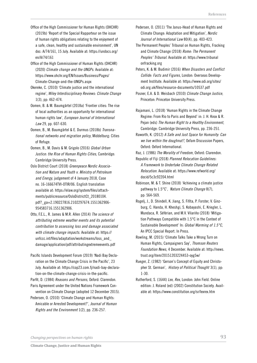- Office of the High Commissioner for Human Rights (OHCHR) (2019b) 'Report of the Special Rapporteur on the issue of human rights obligations relating to the enjoyment of a safe, clean, healthy and sustainable environment', UN doc: A/74/161, 15 July. Available at: [https://undocs.org/](https://undocs.org/en/A/74/161) [en/A/74/161](https://undocs.org/en/A/74/161)
- Office of the High Commissioner of Human Rights (OHCHR) (2020) *Climate change and the UNGPs*. Available at: [https://www.ohchr.org/EN/Issues/Business/Pages/](https://www.ohchr.org/EN/Issues/Business/Pages/Climate-Change-and-the-UNGPs.aspx) [Climate-Change-and-the-UNGPs.aspx](https://www.ohchr.org/EN/Issues/Business/Pages/Climate-Change-and-the-UNGPs.aspx)
- Okereke, C. (2010) 'Climate justice and the international regime', *Wiley Interdisciplinary Reviews: Climate Change* 1(3), pp: 462-474.
- Oomen, B. & M. Baumgärtel (2018a) 'Frontier cities: The rise of local authorities as an opportunity for international human rights law', *European Journal of International Law* 29, pp. 607-630.
- Oomen, B., M. Baumgärtel & E. Durmus (2018b) *Transnational networks and migration policy*, Middelburg: Cities of Refuge.
- Oomen, B., M. Davis & M. Grigolo (2016) *Global Urban Justice: the Rise of Human Rights Cities*, Cambridge: Cambridge University Press.
- Oslo District Court (2018) *Greenpeace Nordic Association and Nature and Youth v. Ministry of Petroleum and Energy*, judgement of 4 January 2018, Case no. 16-166674TVI-OTIR/06. English translation available at: [https://elaw.org/system/files/attach](https://elaw.org/system/files/attachments/publicresource/OsloDistrictCt_20180104.pdf%3F_ga%3D2.190227816.2102297674.1551362906-954583716.1551362906)[ments/publicresource/OsloDistrictCt\\_20180104.](https://elaw.org/system/files/attachments/publicresource/OsloDistrictCt_20180104.pdf%3F_ga%3D2.190227816.2102297674.1551362906-954583716.1551362906) [pdf?\\_ga=2.190227816.2102297674.1551362906-](https://elaw.org/system/files/attachments/publicresource/OsloDistrictCt_20180104.pdf%3F_ga%3D2.190227816.2102297674.1551362906-954583716.1551362906) [954583716.1551362906](https://elaw.org/system/files/attachments/publicresource/OsloDistrictCt_20180104.pdf%3F_ga%3D2.190227816.2102297674.1551362906-954583716.1551362906).
- Otto, F.E.L., R. James & M.R. Allen (2014) *The science of attributing extreme weather events and its potential contribution to assessing loss and damage associated with climate change impacts*. Available at: [https://](https://unfccc.int/files/adaptation/workstreams/loss_and_damage/application/pdf/attributingextremeevents.pdf) [unfccc.int/files/adaptation/workstreams/loss\\_and\\_](https://unfccc.int/files/adaptation/workstreams/loss_and_damage/application/pdf/attributingextremeevents.pdf) [damage/application/pdf/attributingextremeevents.pdf](https://unfccc.int/files/adaptation/workstreams/loss_and_damage/application/pdf/attributingextremeevents.pdf)

Pacific Islands Development Forum (2019) 'Nadi Bay Declaration on the Climate Change Crisis in the Pacific', 23 July. Available at: [https://cop23.com.fj/nadi-bay-declara](https://cop23.com.fj/nadi-bay-declaration-on-the-climate-change-crisis-in-the-pacific)[tion-on-the-climate-change-crisis-in-the-pacific](https://cop23.com.fj/nadi-bay-declaration-on-the-climate-change-crisis-in-the-pacific).

- Parfit, D. (1984) *Reasons and Persons*, Oxford: Clarendon. Paris Agreement under the United Nations Framework Con-
- vention on Climate Change (adopted 12 December 2015).
- Pedersen, O. (2010) 'Climate Change and Human Rights: Amicable or Arrested Development?', *Journal of Human Rights and the Environment* 1(2), pp. 236-257.
- Pedersen, O. (2011) 'The Janus-Head of Human Rights and Climate Change: Adaptation and Mitigation', *Nordic Journal of International Law* 80(4), pp. 403-423.
- The Permanent Peoples' Tribunal on Human Rights, Fracking and Climate Change (2018) *Rome: The Permanent Peoples' Tribunal*. Available at: [https://www.tribunal](https://www.tribunalonfracking.org) [onfracking.org](https://www.tribunalonfracking.org)
- Peters, K. & M. Budimir (2016) *When Disasters and Conflict Collide: Facts and Figures*, London: Overseas Development Institute. Available at: [https://www.odi.org/sites/](https://www.odi.org/sites/odi.org.uk/files/resource-documents/10537.pdf) [odi.org.uk/files/resource-documents/10537.pdf](https://www.odi.org/sites/odi.org.uk/files/resource-documents/10537.pdf)
- Posner, E.A. & D. Weisbach (2010) *Climate Change Justice*, Princeton: Princeton University Press.
- Rajamani, L. (2018) 'Human Rights in the Climate Change Regime: From Rio to Paris and Beyond' in: J. H. Knox & R. Pejan (eds) *The Human Right to a Healthy Environment*, Cambridge: Cambridge University Press, pp. 236-251.
- Raworth, K. (2012) *A Safe and Just Space for Humanity: Can we live within the doughnut?*, Oxfam Discussion Papers, Oxford: Oxford International.
- Raz, J. (1986) *The Morality of Freedom*, Oxford: Clarendon.

Republic of Fiji (2018) *Planned Relocation Guidelines: A Framework to Undertake Climate Change Related Relocation*. Available at: [https://www.refworld.org/](https://www.refworld.org/docid/5c3c92204.html) [docid/5c3c92204.html](https://www.refworld.org/docid/5c3c92204.html) 

- Robinson, M. & T. Shine (2018) 'Achieving a climate justice pathway to 1.5°C', *Nature Climate Change* 8(7), pp: 564-569.
- Rogelj, J., D. Shindell, K. Jiang, S. Fifita, P. Forster, V. Ginzburg, C. Handa, H. Kheshgi, S. Kobayashi, E. Kriegler, L. Mundaca, R. Séférian, and M.V. Vilariño (2018) 'Mitigation Pathways Compatible with 1.5°C in the Context of Sustainable Development' In: *Global Warming of 1.5°C*, An IPCC Special Report. In Press.
- Rowling, M. (2015) 'Climate Talks Take a Wrong Turn on Human Rights, Campaigners Say', *Thomson Reuters Foundation News*, 4 December. Available at: [http://news.](http://news.trust.org/item/20151203224453-oyg5w) [trust.org/item/20151203224453-oyg5w/](http://news.trust.org/item/20151203224453-oyg5w)
- Rueger, Z. (1982) 'Gerson's Concept of Equity and Christopher St. German', *History of Political Thought* 3(1), pp: 1-30.
- Rutherford, S. (1644) *Lex, Rex*, London: John Field. Online edition: J. Roland (ed) (2002) Constitution Society. Available at:<https://www.constitution.org/sr/lexrex.htm>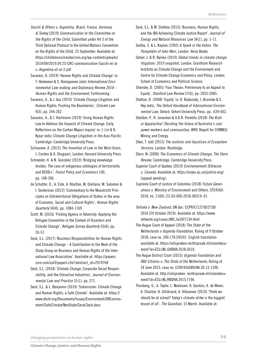- *Sacchi & Others v. Argentina, Brazil, France, Germany & Turkey* (2019) *Communication to the Committee on the Rights of the Child*, Submitted under Art 5 of the Third Optional Protocol to the United Nations Convention on the Rights of the Child, 23 September. Available at: [https://childrenvsclimatecrisis.org/wp-content/uploads/](https://childrenvsclimatecrisis.org/wp-content/uploads/%202019/09/2019.09.23-CRC-communication-Sacchi-et-al-%20v.-Argentina-et-al-2.pdf) [2019/09/2019.09.23-CRC-communication-Sacchi-et-al](https://childrenvsclimatecrisis.org/wp-content/uploads/%202019/09/2019.09.23-CRC-communication-Sacchi-et-al-%20v.-Argentina-et-al-2.pdf)[v.-Argentina-et-al-2.pdf](https://childrenvsclimatecrisis.org/wp-content/uploads/%202019/09/2019.09.23-CRC-communication-Sacchi-et-al-%20v.-Argentina-et-al-2.pdf)
- Savaresi, A. (2019) 'Human Rights and Climate Change' in: T. Honkonen & S. Romppanen (eds) *International Environmental Law-making and Diplomacy Review 2018 – Human Rights and the Environment*, Forthcoming.
- Savaresi, A., & J. Auz (2019) 'Climate Change Litigation and Human Rights: Pushing the Boundaries', *Climate Law* 9(3), pp. 244-262.
- Savaresi, A., & J. Hartmann (2019) 'Using Human Rights Law to Address the Impacts of Climate Change: Early Reflections on the Carbon Majors Inquiry' in: J. Lin & D. Kysar (eds) *Climate Change Litigation in the Asia Pacific*. Cambridge: Cambridge University Press.
- Schiavone, A. (2012) *The Invention of Law in the West* (trans. J. Carden & A. Shugaar), London: Harvard University Press.
- Schroeder, H. & N. González (2019) 'Bridging knowledge divides: The case of indigenous ontologies of territoriality and REDD+', *Forest Policy and Economics* 100, pp. 198-206.
- de Schutter, O., A. Eide, A. Khalfan, M. Orellana, M. Salomon & I. Seiderman (2012) 'Commentary to the Maastricht Principles on Extraterritorial Obligations of States in the area of Economic, Social and Cultural Rights', *Human Rights Quarterly* 34(4), pp. 1084-1169.
- Scott, M. (2016) 'Finding Agency in Adversity: Applying the Refugee Convention in the Context of Disasters and Climate Change', *Refugee Survey Quarterly* 35(4), pp. 26-57.
- Seck, S.L. (2017) 'Business Responsibilities for Human Rights and Climate Change – A Contribution to the Work of the Study Group on Business and Human Rights of the International Law Association'. Available at: [https://papers.](https://papers.ssrn.com/sol3/papers.cfm%3Fabstract_id%3D2974768) ssrn.com/sol3/papers.cfm?abstract\_id=2974768
- Seck, S.L. (2018) 'Climate Change, Corporate Social Responsibility, and the Extractive Industries', *Journal of Environmental Law and Practice* 31(1), pp. 271.
- Seck, S.L. & L. Benjamin (2019) 'Submission: Climate Change and Human Rights: a Safe Climate'. Available at: [https://](https://www.ohchr.org/Documents/Issues/Environment/SREnvironment/SafeClimate/NonState/SaraLSeck.docx) [www.ohchr.org/Documents/Issues/Environment/SREnviron](https://www.ohchr.org/Documents/Issues/Environment/SREnvironment/SafeClimate/NonState/SaraLSeck.docx)[ment/SafeClimate/NonState/SaraLSeck.docx](https://www.ohchr.org/Documents/Issues/Environment/SREnvironment/SafeClimate/NonState/SaraLSeck.docx)
- Seck, S.L. & M. Slattery (2015) 'Business, Human Rights, and the IBA Achieving Climate Justice Report', *Journal of Energy and Natural Resources Law* 34(1), pp. 1-11.
- Sedley, S. & L. Kaplan (1992) *A Spark in the Ashes: The Pamphlets of John Warr*, London: Verso Books.
- Setzer, J. & R. Byrnes (2019) *Global trends in climate change litigation: 2019 snapshot*, London: Grantham Research Institute on Climate Change and the Environment and Centre for Climate Change Economics and Policy, London School of Economics and Political Science.
- Shanske, D. (2005) 'Four Theses: Preliminary to an Appeal to Equity', *Stanford Law Review* 57(6), pp: 2053-2085.
- Shelton, D. (2008) 'Equity' in: D. Bodansky, J. Brunnée & E. Hey (eds), *The Oxford Handbook of International Environmental Law*, Oxford: Oxford University Press, pp.: 639-662.
- Sheldon, P., R. Junankar & A.D.R. Pontello (2018) *The Ruhr or Appalachia? Deciding the future of Australia's coal power workers and communities*, IRRC Report for CFMMEU Mining and Energy.
- Sikor, T. (ed) (2013) *The Justices and Injustices of Ecosystem Services*, London: Routledge.
- Stern, N. (2006) *The Economics of Climate Change: The Stern Review*, Cambridge: Cambridge University Press.
- Superior Court of Quebec (2019) *Environnement JEUnesse v. Canada*. Available at:<https://enjeu.qc.ca/justice-eng>/ (appeal pending).
- Supreme Court of Justice of Colombia (2018) *Future Generations v. Ministry of Environment and Others*, STC4360- 2018, no. 11001-22-03-000-2018-00319–01.
- *Teitiota v. New Zealand*, UN doc: CCPR/C/127/D/2728/ 2016 (24 October 2019). Available at: [https://www.](https://www.refworld.org/cases%2CHRC%2C5e26f7134.html) [refworld.org/cases,HRC,5e26f7134.html](https://www.refworld.org/cases%2CHRC%2C5e26f7134.html)
- The Hague Court of Appeal (2018) *The State of the Netherlands v Urgenda Foundation*, Ruling of 9 October 2018, case no. 200.178.245/01. English translation available at: [https://uitspraken.rechtspraak.nl/inziendocu](https://uitspraken.rechtspraak.nl/inziendocument%3Fid%3DECLI:NL:GHDHA:2018:2610)[ment?id=ECLI:NL:GHDHA:2018:2610](https://uitspraken.rechtspraak.nl/inziendocument%3Fid%3DECLI:NL:GHDHA:2018:2610).
- The Hague District Court (2015) *Urgenda Foundation and 886 Citizens v. The State of the Netherlands*, Ruling of 24 June 2015, case no. C/09/456689/HA ZA 13-1396. Available at: [http://uitspraken. rechtspraak.nl/inziendocu](http://uitspraken.%20rechtspraak.nl/inziendocument%3Fid%3DECLI:NL:RBDHA:2015:7196)[ment?id=ECLI:NL:RBDHA:2015:7196](http://uitspraken.%20rechtspraak.nl/inziendocument%3Fid%3DECLI:NL:RBDHA:2015:7196).
- Thunberg, G., A. Taylor, L. Neubauer, K. Gantois, A. de Wever, A. Charlier, H. Gillibrand, A. Villasenor (2019) 'Think we should be at school? Today's climate strike is the biggest lesson of all', *The Guardian*, 15 March. Available at: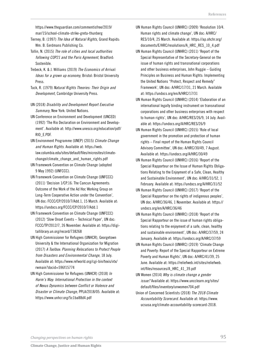[https://www.theguardian.com/commentisfree/2019/](https://www.theguardian.com/commentisfree/2019/mar/15/school-climate-strike-greta-thunberg) [mar/15/school-climate-strike-greta-thunberg](https://www.theguardian.com/commentisfree/2019/mar/15/school-climate-strike-greta-thunberg) 

- Tierney, B. (1997) *The Idea of Natural Rights*, Grand Rapids: Wm. B. Eerdmans Publishing Co.
- Tollin, N. (2015) *The role of cities and local authorities following COP21 and the Paris Agreement*, Bradford: Sostenible.
- Trebeck, K. & J. Williams (2019) *The Economics of Arrival: Ideas for a grown up economy*, Bristol: Bristol University Press.
- Tuck, R. (1979) *Natural Rights Theories: Their Origin and Development*, Cambridge University Press.
- UN (2018) *Disability and Development Report Executive Summary*, New York: United Nations.
- UN Conference on Environment and Development (UNCED) (1992) 'The Rio Declaration on Environment and Development'. Available at: [http://www.unesco.org/education/pdf/](http://www.unesco.org/education/pdf/RIO_E.PDF) [RIO\\_E.PDF](http://www.unesco.org/education/pdf/RIO_E.PDF).
- UN Environment Programme (UNEP) (2015) *Climate Change and Human Rights*. Available at: [https://web.](https://web.%20law.columbia.edu/sites/default/files/microsites/climate-%20change/climate_change_and_human_rights.pdf) [law.columbia.edu/sites/default/files/microsites/climate](https://web.%20law.columbia.edu/sites/default/files/microsites/climate-%20change/climate_change_and_human_rights.pdf)[change/climate\\_change\\_and\\_human\\_rights.pdf](https://web.%20law.columbia.edu/sites/default/files/microsites/climate-%20change/climate_change_and_human_rights.pdf)
- UN Framework Convention on Climate Change (adopted 9 May 1992) (UNFCCC).
- UN Framework Convention on Climate Change (UNFCCC) (2011) 'Decision 1/CP.16: The Cancun Agreements: Outcome of the Work of the Ad Hoc Working Group on Long-Term Cooperative Action under the Convention', UN doc: FCCC/CP/2010/7/Add.1, 15 March. Available at: <https://undocs.org/FCCC/CP/2010/7/Add.1>
- UN Framework Convention on Climate Change (UNFCCC) (2012) 'Slow Onset Events – Technical Paper', UN doc: FCCC/TP/2012/7, 26 November. Available at: [https://digi](https://digitallibrary.un.org/record/738268)[tallibrary.un.org/record/738268](https://digitallibrary.un.org/record/738268)
- UN High Commissioner for Refugees (UNHCR), Georgetown University & the International Organization for Migration (2017) *A Toolbox: Planning Relocations to Protect People from Disasters and Environmental Change*, 18 July. Available at: [https://www.refworld.org/cgi-bin/texis/vtx/](https://www.refworld.org/cgi-bin/texis/vtx/rwmain%3Fdocid%3D596f15774) [rwmain?docid=596f15774](https://www.refworld.org/cgi-bin/texis/vtx/rwmain%3Fdocid%3D596f15774)
- UN High Commissioner for Refugees (UNHCR) (2018) *In Harm's Way: International Protection in the context of Nexus Dynamics between Conflict or Violence and Disaster or Climate Change*, PPLA/2018/05. Available at: <https://www.unhcr.org/5c1ba88d4.pdf>
- UN Human Rights Council (UNHRC) (2009) 'Resolution 10/4. Human rights and climate change', UN doc: A/HRC/ RES/10/4, 25 March. Available at: [https://ap.ohchr.org/](https://ap.ohchr.org/documents/E/HRC/resolutions/A_HRC_RES_10_4.pdf) [documents/E/HRC/resolutions/A\\_HRC\\_RES\\_10\\_4.pdf](https://ap.ohchr.org/documents/E/HRC/resolutions/A_HRC_RES_10_4.pdf)
- UN Human Rights Council (UNHRC) (2011) 'Report of the Special Representative of the Secretary-General on the issue of human rights and transnational corporations and other business enterprises, John Ruggie – Guiding Principles on Business and Human Rights: Implementing the United Nations "Protect, Respect and Remedy" Framework', UN doc: A/HRC/17/31, 21 March. Available at:<https://undocs.org/en/A/HRC/17/31>
- UN Human Rights Council (UNHRC) (2014) 'Elaboration of an international legally binding instrument on transnational corporations and other business enterprises with respect to human rights', UN doc: A/HRC/RES/26/9, 14 July. Available at:<https://undocs.org/A/HRC/RES/26/9>
- UN Human Rights Council (UNHRC) (2015) 'Role of local government in the promotion and protection of human rights – Final report of the Human Rights Council Advisory Committee', UN doc: A/HRC/30/49, 7 August. Available at: <https://undocs.org/A/HRC/30/49>
- UN Human Rights Council (UNHRC) (2016) 'Report of the Special Rapporteur on the Issue of Human Rights Obligations Relating to the Enjoyment of a Safe, Clean, Healthy and Sustainable Environment', UN doc: A/HRC/31/52, 1 February. Available at: <https://undocs.org/A/HRC/31/52>
- UN Human Rights Council (UNHRC) (2017) 'Report of the Special Rapporteur on the rights of indigenous peoples', UN doc: A/HRC/36/46, 1 November. Available at: [https://](https://undocs.org/en/A/HRC/36/46) [undocs.org/en/A/HRC/36/46](https://undocs.org/en/A/HRC/36/46)
- UN Human Rights Council (UNHRC) (2018) 'Report of the Special Rapporteur on the issue of human rights obligations relating to the enjoyment of a safe, clean, healthy and sustainable environment', UN doc: A/HRC/37/59, 24 January. Available at:<https://undocs.org/A/HRC/37/59>
- UN Human Rights Council (UNHRC) (2019) 'Climate Change and Poverty: Report of the Special Rapporteur on Extreme Poverty and Human Rights', UN doc: A/HRC/41/39, 25 June. Available at: [https://reliefweb.int/sites/reliefweb.](https://reliefweb.int/sites/reliefweb.int/files/resources/A_HRC_41_39.pdf) [int/files/resources/A\\_HRC\\_41\\_39.pdf](https://reliefweb.int/sites/reliefweb.int/files/resources/A_HRC_41_39.pdf)
- UN Women (2014) *Why is climate change a gender issue?* Available at: [https://www.uncclearn.org/sites/](https://www.uncclearn.org/sites/default/files/inventory/unwomen704.pdf) [default/files/inventory/unwomen704.pdf](https://www.uncclearn.org/sites/default/files/inventory/unwomen704.pdf)
- Union of Concerned Scientists (2018) *The 2018 Climate Accountability Scorecard*. Available at: [https://www.](https://www.ucsusa.org/climate-accountability-scorecard-2018) [ucsusa.org/climate-accountability-scorecard-2018.](https://www.ucsusa.org/climate-accountability-scorecard-2018)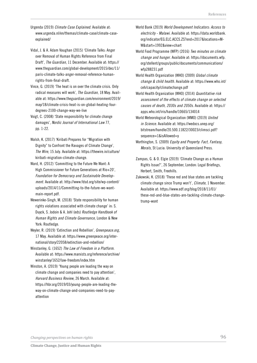Urgenda (2019) *Climate Case Explained*. Available at: [www.urgenda.nl/en/themas/climate-case/climate-case](www.urgenda.nl/en/themas/climate-case/climate-case-explained)[explained/](www.urgenda.nl/en/themas/climate-case/climate-case-explained)

- Vidal, J. & A. Adam Vaughan (2015) 'Climate Talks: Anger over Removal of Human Rights Reference from Final Draft', *The Guardian*, 11 December. Available at: [https://](https://www.theguardian.com/global-development/2015/dec/11/paris-climate-talks-anger-removal-reference-human-rights-from-final-draft) [www.theguardian.com/global-development/2015/dec/11/](https://www.theguardian.com/global-development/2015/dec/11/paris-climate-talks-anger-removal-reference-human-rights-from-final-draft) [paris-climate-talks-anger-removal-reference-human](https://www.theguardian.com/global-development/2015/dec/11/paris-climate-talks-anger-removal-reference-human-rights-from-final-draft)[rights-from-final-draft.](https://www.theguardian.com/global-development/2015/dec/11/paris-climate-talks-anger-removal-reference-human-rights-from-final-draft)
- Vince, G. (2019) 'The heat is on over the climate crisis. Only radical measures will work', *The Guardian*, 18 May. Available at: [https://www.theguardian.com/environment/2019/](https://www.theguardian.com/environment/2019/may/18/climate-crisis-heat-is-on-global-heating-four-degrees-2100-change-way-we-live) [may/18/climate-crisis-heat-is-on-global-heating-four](https://www.theguardian.com/environment/2019/may/18/climate-crisis-heat-is-on-global-heating-four-degrees-2100-change-way-we-live)[degrees-2100-change-way-we-live](https://www.theguardian.com/environment/2019/may/18/climate-crisis-heat-is-on-global-heating-four-degrees-2100-change-way-we-live)
- Voigt, C. (2008) 'State responsibility for climate change damages', *Nordic Journal of International Law* 77, pp. 1-22.
- Walsh, K. (2017) 'Kiribati Prepares for "Migration with Dignity" to Confront the Ravages of Climate Change', *The Wire*, 15 July. Available at: [https://thewire.in/culture/](https://thewire.in/culture/kiribati-migration-climate-change) [kiribati-migration-climate-change.](https://thewire.in/culture/kiribati-migration-climate-change)
- Ward, H. (2012) 'Committing to the Future We Want: A High Commissioner for Future Generations at Rio+20', *Foundation for Democracy and Sustainable Development*. Available at: [http://www.fdsd.org/site/wp-content/](http://www.fdsd.org/site/wp-content/uploads/2014/11/Committing-to-the-future-we-want-main-report.pdf) [uploads/2014/11/Committing-to-the-future-we-want](http://www.fdsd.org/site/wp-content/uploads/2014/11/Committing-to-the-future-we-want-main-report.pdf)[main-report.pdf](http://www.fdsd.org/site/wp-content/uploads/2014/11/Committing-to-the-future-we-want-main-report.pdf).
- Wewerinke-Singh, M. (2018) 'State responsibility for human rights violations associated with climate change' in: S. Duyck, S. Jodoin & A. Johl (eds) *Routledge Handbook of Human Rights and Climate Governance*, London & New York: Routledge.
- Weyler, R. (2019) 'Extinction and Rebellion', *Greenpeace.org*, 17 May. Available at: [https://www.greenpeace.org/inter](https://www.greenpeace.org/international/story/22058/extinction-and-rebellion/)[national/story/22058/extinction-and-rebellion/](https://www.greenpeace.org/international/story/22058/extinction-and-rebellion/)
- Winstanley, G. (1652) *The Law of Freedom in a Platform*. Available at: [https://www.marxists.org/reference/archive/](https://www.marxists.org/reference/archive/winstanley/1652/law-freedom/index.htm) [winstanley/1652/law-freedom/index.htm](https://www.marxists.org/reference/archive/winstanley/1652/law-freedom/index.htm)
- Winston, A. (2019) 'Young people are leading the way on climate change and companies need to pay attention', *Harvard Business Review*, 26 March. Available at: [https://hbr.org/2019/03/young-people-are-leading-the](https://hbr.org/2019/03/young-people-are-leading-the-way-on-climate-change-and-companies-need-to-pay-attention)[way-on-climate-change-and-companies-need-to-pay](https://hbr.org/2019/03/young-people-are-leading-the-way-on-climate-change-and-companies-need-to-pay-attention)[attention](https://hbr.org/2019/03/young-people-are-leading-the-way-on-climate-change-and-companies-need-to-pay-attention)
- World Bank (2019) *World Development Indicators: Access to electricity - Malawi.* Available at: [https://data.worldbank.](https://data.worldbank.org/indicator/EG.ELC.ACCS.ZS%3Fend%3D2017%26locations%3DMW%26start%3D1992%26view%3Dchart) [org/indicator/EG.ELC.ACCS.ZS?end=2017&locations=M-](https://data.worldbank.org/indicator/EG.ELC.ACCS.ZS%3Fend%3D2017%26locations%3DMW%26start%3D1992%26view%3Dchart)[W&start=1992&view=chart](https://data.worldbank.org/indicator/EG.ELC.ACCS.ZS%3Fend%3D2017%26locations%3DMW%26start%3D1992%26view%3Dchart)
- World Food Programme (WFP) (2016) *Two minutes on climate change and hunger*. Available at: [https://documents.wfp.](https://documents.wfp.org/stellent/groups/public/documents/communications/wfp288231.pdf) [org/stellent/groups/public/documents/communications/](https://documents.wfp.org/stellent/groups/public/documents/communications/wfp288231.pdf) [wfp288231.pdf](https://documents.wfp.org/stellent/groups/public/documents/communications/wfp288231.pdf)
- World Health Organization (WHO) (2009) *Global climate change & child health*. Available at: [https://www.who.int/](https://www.who.int/ceh/capacity/climatechange.pdf) [ceh/capacity/climatechange.pdf](https://www.who.int/ceh/capacity/climatechange.pdf)
- World Health Organization (WHO) (2014) *Quantitative risk assessment of the effects of climate change on selected causes of death, 2030s and 2050s*. Available at: [https://](https://apps.who.int/iris/handle/10665/134014) [apps.who.int/iris/handle/10665/134014](https://apps.who.int/iris/handle/10665/134014)
- World Meteorological Organization (WMO) (2019) *United in Science*. Available at: [https://wedocs.unep.org/](https://wedocs.unep.org/bitstream/handle/20.500.11822/30023/climsci.pdf%3F%20sequence%3D1%26isAllowed%3Dy) [bitstream/handle/20.500.11822/30023/climsci.pdf?](https://wedocs.unep.org/bitstream/handle/20.500.11822/30023/climsci.pdf%3F%20sequence%3D1%26isAllowed%3Dy) [sequence=1&isAllowed=y](https://wedocs.unep.org/bitstream/handle/20.500.11822/30023/climsci.pdf%3F%20sequence%3D1%26isAllowed%3Dy)
- Worthington, S. (2009) *Equity and Property: Fact, Fantasy, Morals*, St Lucia: University of Queensland Press.
- Zampas, G. & O. Elgie (2019) 'Climate Change as a Human Rights Issue?', 26 September, London: Legal Briefings, Herbert, Smith, Freehills.
- Zukowski, K. (2018) 'These red and blue states are tackling climate change since Trump won't', *Climate*, 1 November. Available at: [https://www.edf.org/blog/2018/11/01/](https://www.edf.org/blog/2018/11/01/these-red-and-blue-states-are-tackling-climate-change-trump-wont) [these-red-and-blue-states-are-tackling-climate-change](https://www.edf.org/blog/2018/11/01/these-red-and-blue-states-are-tackling-climate-change-trump-wont)[trump-wont](https://www.edf.org/blog/2018/11/01/these-red-and-blue-states-are-tackling-climate-change-trump-wont)